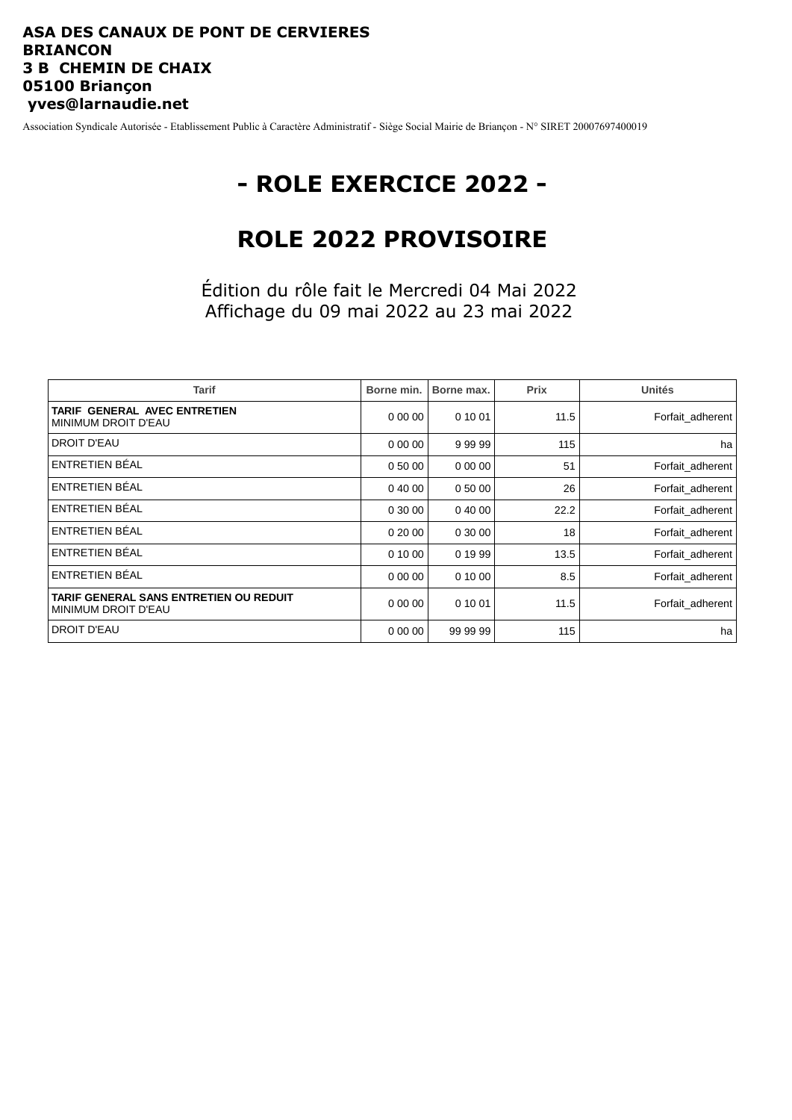### **ASA DES CANAUX DE PONT DE CERVIERES BRIANCON 3 B CHEMIN DE CHAIX 05100 Briançon yves@larnaudie.net**

Association Syndicale Autorisée - Etablissement Public à Caractère Administratif - Siège Social Mairie de Briançon - N° SIRET 20007697400019

# **- ROLE EXERCICE 2022 -**

## **ROLE 2022 PROVISOIRE**

Édition du rôle fait le Mercredi 04 Mai 2022 Affichage du 09 mai 2022 au 23 mai 2022

| <b>Tarif</b>                                                         | Borne min. | Borne max. | Prix | <b>Unités</b>    |
|----------------------------------------------------------------------|------------|------------|------|------------------|
| TARIF GENERAL AVEC ENTRETIEN<br><b>MINIMUM DROIT D'EAU</b>           | 0000       | 0 10 01    | 11.5 | Forfait adherent |
| <b>DROIT D'EAU</b>                                                   | 0 00 00    | 99999      | 115  | ha               |
| ENTRETIEN BÉAL                                                       | 0 50 00    | 0 00 00    | 51   | Forfait adherent |
| ENTRETIEN BÉAL                                                       | 0 40 00    | 0 50 00    | 26   | Forfait_adherent |
| ENTRETIEN BÉAL                                                       | 0 30 00    | 0 40 00    | 22.2 | Forfait adherent |
| ENTRETIEN BÉAL                                                       | 0 20 00    | 0 30 00    | 18   | Forfait adherent |
| ENTRETIEN BÉAL                                                       | 0 10 00    | 0 19 99    | 13.5 | Forfait adherent |
| ENTRETIEN BÉAL                                                       | 0 00 00    | 0 10 00    | 8.5  | Forfait adherent |
| TARIF GENERAL SANS ENTRETIEN OU REDUIT<br><b>MINIMUM DROIT D'EAU</b> | 0000       | 0 10 01    | 11.5 | Forfait adherent |
| <b>DROIT D'EAU</b>                                                   | 0 00 00    | 99 99 99   | 115  | ha               |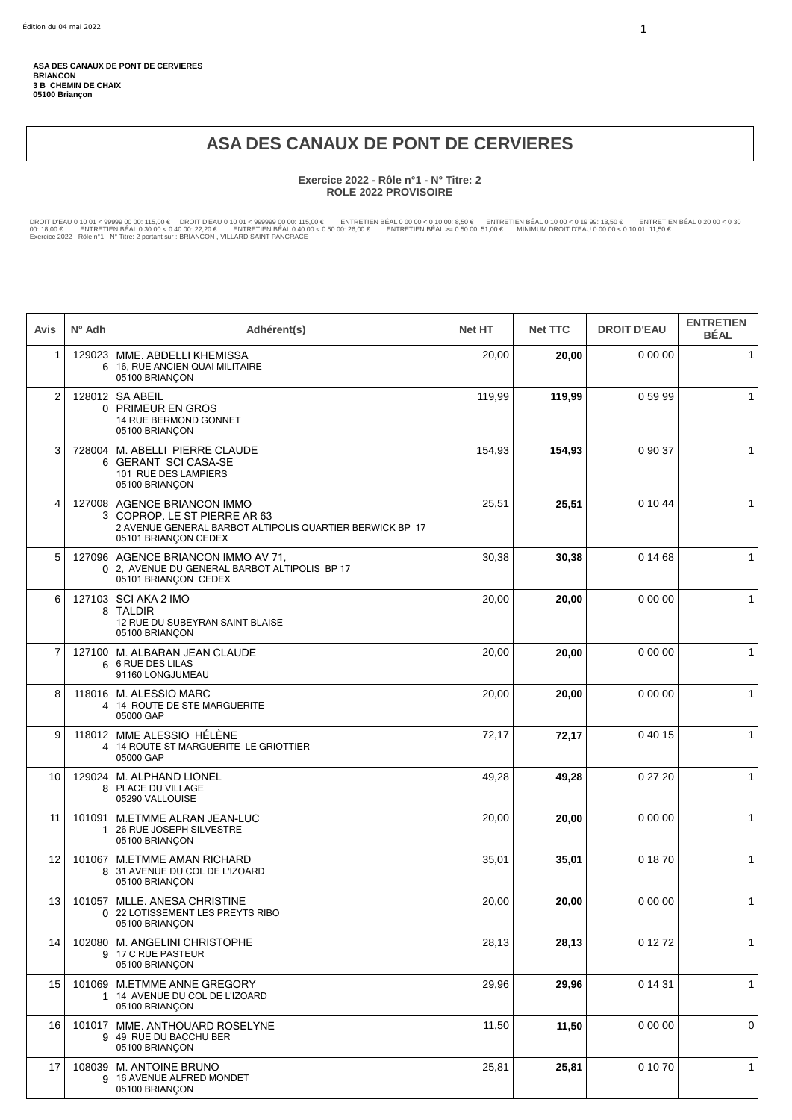## **ASA DES CANAUX DE PONT DE CERVIERES**

#### **Exercice 2022 - Rôle n°1 - N° Titre: 2 ROLE 2022 PROVISOIRE**

DROIT D'EAU 0 10 01 < 99999 00 00: 115,00 € DROIT D'EAU 0 10 01 < 999999 00 00: 115,00 € ENTRETIEN BEAL 0 00 0 < 0 10 00: 8,50 € ENTRETIEN BEAL 0 10 00 < 0 19 99: 13,50 € ENTRETIEN BEAL 0 20 00 < 0 30<br>00: 18,00 € ENTRETIE

| Avis            | $N^{\circ}$ Adh | Adhérent(s)                                                                                                                            | <b>Net HT</b> | <b>Net TTC</b> | <b>DROIT D'EAU</b> | <b>ENTRETIEN</b><br><b>BÉAL</b> |
|-----------------|-----------------|----------------------------------------------------------------------------------------------------------------------------------------|---------------|----------------|--------------------|---------------------------------|
| $\mathbf{1}$    | 129023<br>6     | MME. ABDELLI KHEMISSA<br>16, RUE ANCIEN QUAI MILITAIRE<br>05100 BRIANCON                                                               | 20,00         | 20,00          | 0 00 00            | $\mathbf{1}$                    |
| 2               | 128012<br>0     | <b>SA ABEIL</b><br><b>PRIMEUR EN GROS</b><br>14 RUE BERMOND GONNET<br>05100 BRIANÇON                                                   | 119,99        | 119,99         | 05999              | $\mathbf{1}$                    |
| 3               | 728004<br>6     | M. ABELLI PIERRE CLAUDE<br><b>GERANT SCI CASA-SE</b><br>101 RUE DES LAMPIERS<br>05100 BRIANÇON                                         | 154,93        | 154,93         | 0 90 37            | $\mathbf{1}$                    |
| 4               | 127008<br>3     | AGENCE BRIANCON IMMO<br>COPROP. LE ST PIERRE AR 63<br>2 AVENUE GENERAL BARBOT ALTIPOLIS QUARTIER BERWICK BP 17<br>05101 BRIANÇON CEDEX | 25,51         | 25,51          | 0 10 44            | $\mathbf{1}$                    |
| 5               | 127096<br>0     | AGENCE BRIANCON IMMO AV 71,<br>2, AVENUE DU GENERAL BARBOT ALTIPOLIS BP 17<br>05101 BRIANÇON CEDEX                                     | 30,38         | 30,38          | 0 14 68            | $\mathbf{1}$                    |
| 6               | 127103<br>8     | SCI AKA 2 IMO<br><b>TALDIR</b><br>12 RUE DU SUBEYRAN SAINT BLAISE<br>05100 BRIANÇON                                                    | 20,00         | 20,00          | 0 00 00            | $\mathbf{1}$                    |
| $\overline{7}$  | 127100<br>6     | M. ALBARAN JEAN CLAUDE<br><b>6 RUE DES LILAS</b><br>91160 LONGJUMEAU                                                                   | 20,00         | 20,00          | 0 00 00            | $\mathbf{1}$                    |
| 8               | 118016<br>4     | M. ALESSIO MARC<br>14 ROUTE DE STE MARGUERITE<br>05000 GAP                                                                             | 20,00         | 20,00          | 0 00 00            | $\mathbf{1}$                    |
| 9               | 118012<br>4     | MME ALESSIO HÉLÈNE<br>14 ROUTE ST MARGUERITE LE GRIOTTIER<br>05000 GAP                                                                 | 72,17         | 72,17          | 0 40 15            | $\mathbf{1}$                    |
| 10              | 129024<br>8     | M. ALPHAND LIONEL<br>PLACE DU VILLAGE<br>05290 VALLOUISE                                                                               | 49,28         | 49,28          | 0 27 20            | $\mathbf{1}$                    |
| 11              | 101091          | M.ETMME ALRAN JEAN-LUC<br>26 RUE JOSEPH SILVESTRE<br>05100 BRIANCON                                                                    | 20,00         | 20,00          | 0 00 00            | $\mathbf{1}$                    |
| 12              | 101067<br>8     | <b>M.ETMME AMAN RICHARD</b><br>31 AVENUE DU COL DE L'IZOARD<br>05100 BRIANÇON                                                          | 35,01         | 35,01          | 01870              | $\mathbf{1}$                    |
| 13 <sup>1</sup> | 0               | 101057   MLLE. ANESA CHRISTINE<br>22 LOTISSEMENT LES PREYTS RIBO<br>05100 BRIANÇON                                                     | 20,00         | 20,00          | 0 00 00            | $\mathbf{1}$                    |
| 14              | 102080<br>9     | M. ANGELINI CHRISTOPHE<br>17 C RUE PASTEUR<br>05100 BRIANÇON                                                                           | 28,13         | 28,13          | 0 12 72            | $\mathbf{1}$                    |
| 15              | 101069<br>1     | M.ETMME ANNE GREGORY<br>14 AVENUE DU COL DE L'IZOARD<br>05100 BRIANÇON                                                                 | 29,96         | 29,96          | 0 14 31            | $\mathbf{1}$                    |
| 16              | 101017<br>9     | MME. ANTHOUARD ROSELYNE<br>49 RUE DU BACCHU BER<br>05100 BRIANÇON                                                                      | 11,50         | 11,50          | 0 00 00            | 0                               |
| 17              | 108039<br>9     | <b>M. ANTOINE BRUNO</b><br>16 AVENUE ALFRED MONDET<br>05100 BRIANÇON                                                                   | 25,81         | 25,81          | 0 10 70            | $\mathbf{1}$                    |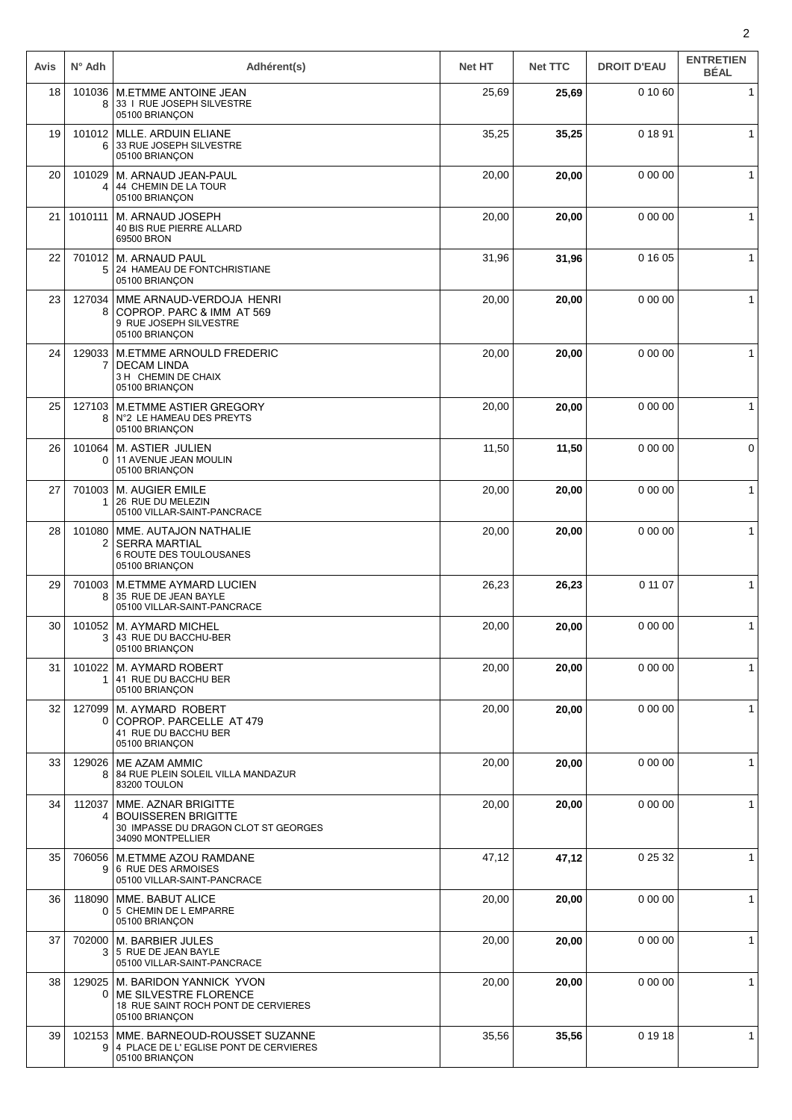| Avis | $N^{\circ}$ Adh    | Adhérent(s)                                                                                                    | <b>Net HT</b> | <b>Net TTC</b> | <b>DROIT D'EAU</b> | <b>ENTRETIEN</b><br><b>BÉAL</b> |
|------|--------------------|----------------------------------------------------------------------------------------------------------------|---------------|----------------|--------------------|---------------------------------|
| 18   | 101036<br>8        | M.ETMME ANTOINE JEAN<br>33   RUE JOSEPH SILVESTRE<br>05100 BRIANÇON                                            | 25,69         | 25,69          | 0 10 60            | $\mathbf{1}$                    |
| 19   | 101012<br>6        | MLLE. ARDUIN ELIANE<br>33 RUE JOSEPH SILVESTRE<br>05100 BRIANÇON                                               | 35,25         | 35,25          | 0 18 91            | $\mathbf{1}$                    |
| 20   | 101029<br>4        | M. ARNAUD JEAN-PAUL<br>44 CHEMIN DE LA TOUR<br>05100 BRIANÇON                                                  | 20,00         | 20,00          | 0 00 00            | 1                               |
| 21   | 1010111            | M. ARNAUD JOSEPH<br><b>40 BIS RUE PIERRE ALLARD</b><br>69500 BRON                                              | 20,00         | 20,00          | 0 00 00            | 1                               |
| 22   | 701012<br>5        | M. ARNAUD PAUL<br>24 HAMEAU DE FONTCHRISTIANE<br>05100 BRIANÇON                                                | 31,96         | 31,96          | 0 16 05            | $\mathbf 1$                     |
| 23   | 127034<br>8        | MME ARNAUD-VERDOJA HENRI<br>COPROP. PARC & IMM AT 569<br>9 RUE JOSEPH SILVESTRE<br>05100 BRIANÇON              | 20,00         | 20,00          | 0 00 00            | $\mathbf{1}$                    |
| 24   | 129033<br>7        | M.ETMME ARNOULD FREDERIC<br><b>DECAM LINDA</b><br>3 H CHEMIN DE CHAIX<br>05100 BRIANÇON                        | 20,00         | 20,00          | 0 00 00            | $\mathbf{1}$                    |
| 25   | 127103<br>8        | <b>M.ETMME ASTIER GREGORY</b><br>N°2 LE HAMEAU DES PREYTS<br>05100 BRIANÇON                                    | 20,00         | 20,00          | 0 00 00            | $\mathbf{1}$                    |
| 26   | 101064<br>$\Omega$ | <b>M. ASTIER JULIEN</b><br>11 AVENUE JEAN MOULIN<br>05100 BRIANÇON                                             | 11,50         | 11,50          | 0 00 00            | 0                               |
| 27   | 701003<br>1        | M. AUGIER EMILE<br>26 RUE DU MELEZIN<br>05100 VILLAR-SAINT-PANCRACE                                            | 20,00         | 20,00          | 0 00 00            | $\mathbf{1}$                    |
| 28   | 101080<br>2        | MME. AUTAJON NATHALIE<br><b>SERRA MARTIAL</b><br>6 ROUTE DES TOULOUSANES<br>05100 BRIANÇON                     | 20,00         | 20,00          | 0 00 00            | $\mathbf{1}$                    |
| 29   | 701003<br>8        | <b>M.ETMME AYMARD LUCIEN</b><br>35 RUE DE JEAN BAYLE<br>05100 VILLAR-SAINT-PANCRACE                            | 26,23         | 26,23          | 0 11 07            | $\mathbf 1$                     |
| 30   | 101052<br>3        | M. AYMARD MICHEL<br>43 RUE DU BACCHU-BER<br>05100 BRIANÇON                                                     | 20,00         | 20,00          | 0 00 00            | $\mathbf{1}$                    |
| 31   | 101022<br>1        | M. AYMARD ROBERT<br>41 RUE DU BACCHU BER<br>05100 BRIANÇON                                                     | 20,00         | 20,00          | 0 00 00            | $\mathbf{1}$                    |
| 32   | 127099<br>0        | <b>M. AYMARD ROBERT</b><br>COPROP. PARCELLE AT 479<br>41 RUE DU BACCHU BER<br>05100 BRIANÇON                   | 20,00         | 20,00          | 0 00 00            | 1                               |
| 33   | 129026<br>8        | <b>ME AZAM AMMIC</b><br>84 RUE PLEIN SOLEIL VILLA MANDAZUR<br>83200 TOULON                                     | 20,00         | 20,00          | 0 00 00            | $\mathbf{1}$                    |
| 34   | 112037<br>4        | MME. AZNAR BRIGITTE<br><b>BOUISSEREN BRIGITTE</b><br>30 IMPASSE DU DRAGON CLOT ST GEORGES<br>34090 MONTPELLIER | 20,00         | 20,00          | 0 00 00            | $\mathbf 1$                     |
| 35   | 706056<br>9        | M.ETMME AZOU RAMDANE<br>6 RUE DES ARMOISES<br>05100 VILLAR-SAINT-PANCRACE                                      | 47,12         | 47,12          | 0 25 32            | $\mathbf{1}$                    |
| 36   | 118090<br>$\Omega$ | MME. BABUT ALICE<br>5 CHEMIN DE L EMPARRE<br>05100 BRIANÇON                                                    | 20,00         | 20,00          | 0 00 00            | $\mathbf{1}$                    |
| 37   | 702000<br>3        | M. BARBIER JULES<br>5 RUE DE JEAN BAYLE<br>05100 VILLAR-SAINT-PANCRACE                                         | 20,00         | 20,00          | 0 00 00            | $\mathbf{1}$                    |
| 38   | 129025<br>0        | M. BARIDON YANNICK YVON<br>ME SILVESTRE FLORENCE<br>18 RUE SAINT ROCH PONT DE CERVIERES<br>05100 BRIANÇON      | 20,00         | 20,00          | 0 00 00            | 1                               |
| 39   | 102153<br>9        | MME. BARNEOUD-ROUSSET SUZANNE<br>4 PLACE DE L'EGLISE PONT DE CERVIERES<br>05100 BRIANÇON                       | 35,56         | 35,56          | 0 19 18            | $\mathbf{1}$                    |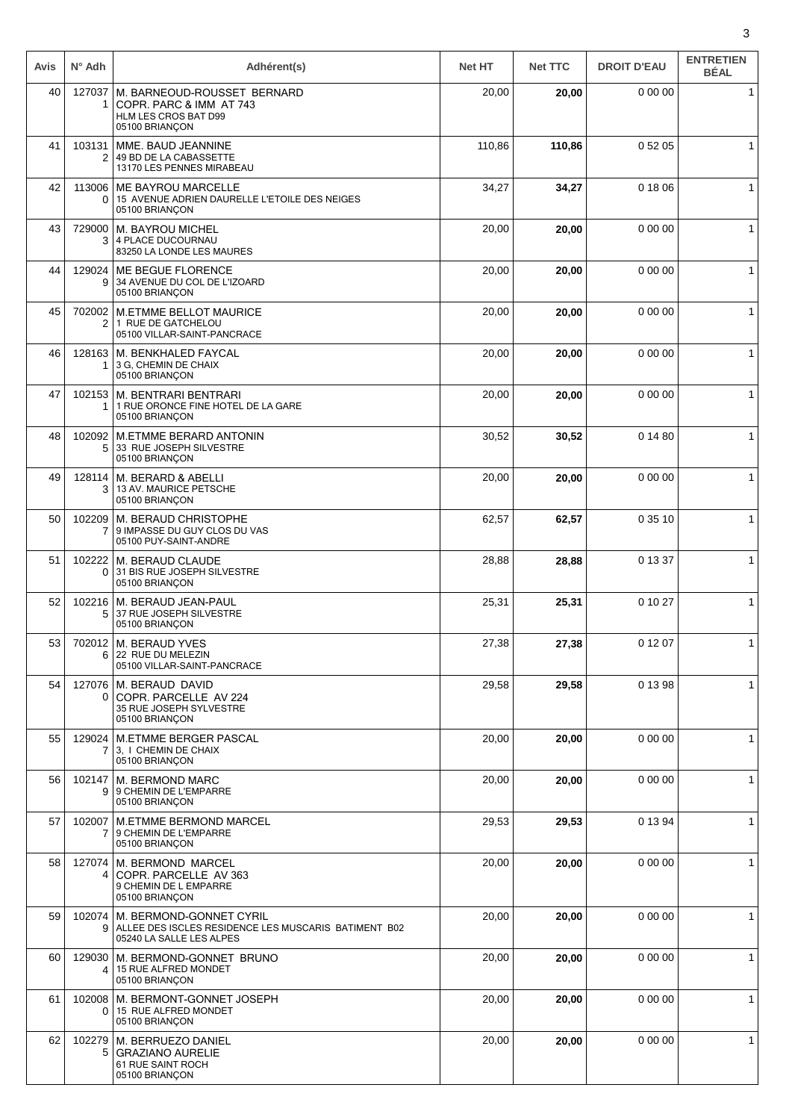| Avis | $N^{\circ}$ Adh    | Adhérent(s)                                                                                                 | <b>Net HT</b> | <b>Net TTC</b> | <b>DROIT D'EAU</b> | <b>ENTRETIEN</b><br><b>BÉAL</b> |
|------|--------------------|-------------------------------------------------------------------------------------------------------------|---------------|----------------|--------------------|---------------------------------|
| 40   | 127037<br>1        | M. BARNEOUD-ROUSSET BERNARD<br>COPR. PARC & IMM AT 743<br>HLM LES CROS BAT D99<br>05100 BRIANÇON            | 20,00         | 20,00          | 0 00 00            | $\mathbf{1}$                    |
| 41   | 103131<br>2        | MME. BAUD JEANNINE<br>49 BD DE LA CABASSETTE<br>13170 LES PENNES MIRABEAU                                   | 110,86        | 110,86         | 0 52 05            | $\mathbf{1}$                    |
| 42   | 113006<br>0        | <b>ME BAYROU MARCELLE</b><br>15 AVENUE ADRIEN DAURELLE L'ETOILE DES NEIGES<br>05100 BRIANÇON                | 34,27         | 34,27          | 0 18 06            | $\mathbf{1}$                    |
| 43   | 729000<br>3        | <b>M. BAYROU MICHEL</b><br>4 PLACE DUCOURNAU<br>83250 LA LONDE LES MAURES                                   | 20,00         | 20,00          | 0 00 00            | $\mathbf{1}$                    |
| 44   | 129024<br>9        | ME BEGUE FLORENCE<br>34 AVENUE DU COL DE L'IZOARD<br>05100 BRIANÇON                                         | 20,00         | 20,00          | 0 00 00            | 1                               |
| 45   | 702002<br>2        | <b>M.ETMME BELLOT MAURICE</b><br>1 RUE DE GATCHELOU<br>05100 VILLAR-SAINT-PANCRACE                          | 20,00         | 20,00          | 0 00 00            | $\mathbf{1}$                    |
| 46   | 128163<br>1        | M. BENKHALED FAYCAL<br>3 G, CHEMIN DE CHAIX<br>05100 BRIANÇON                                               | 20,00         | 20,00          | 0 00 00            | $\mathbf{1}$                    |
| 47   | 102153<br>1        | M. BENTRARI BENTRARI<br>1 RUE ORONCE FINE HOTEL DE LA GARE<br>05100 BRIANÇON                                | 20,00         | 20,00          | 0 00 00            | $\mathbf{1}$                    |
| 48   | 102092<br>5        | <b>M.ETMME BERARD ANTONIN</b><br>33 RUE JOSEPH SILVESTRE<br>05100 BRIANÇON                                  | 30,52         | 30,52          | 0 14 80            | $\mathbf{1}$                    |
| 49   | 128114<br>3        | M. BERARD & ABELLI<br>13 AV. MAURICE PETSCHE<br>05100 BRIANÇON                                              | 20,00         | 20,00          | 0 00 00            | $\mathbf{1}$                    |
| 50   | 102209<br>7        | M. BERAUD CHRISTOPHE<br>9 IMPASSE DU GUY CLOS DU VAS<br>05100 PUY-SAINT-ANDRE                               | 62,57         | 62,57          | 0 35 10            | $\mathbf{1}$                    |
| 51   | 102222<br>$\Omega$ | M. BERAUD CLAUDE<br>31 BIS RUE JOSEPH SILVESTRE<br>05100 BRIANÇON                                           | 28,88         | 28,88          | 0 13 37            | $\mathbf{1}$                    |
| 52   | 102216<br>5        | M. BERAUD JEAN-PAUL<br>37 RUE JOSEPH SILVESTRE<br>05100 BRIANÇON                                            | 25,31         | 25,31          | 0 10 27            | $\mathbf{1}$                    |
| 53   | 6                  | 702012 M. BERAUD YVES<br>22 RUE DU MELEZIN<br>05100 VILLAR-SAINT-PANCRACE                                   | 27,38         | 27,38          | 0 12 07            | $\mathbf{1}$                    |
| 54   | 0                  | 127076   M. BERAUD DAVID<br>COPR. PARCELLE AV 224<br>35 RUE JOSEPH SYLVESTRE<br>05100 BRIANÇON              | 29,58         | 29,58          | 0 13 98            | $\mathbf{1}$                    |
| 55   | 129024<br>7        | <b>M.ETMME BERGER PASCAL</b><br>3. I CHEMIN DE CHAIX<br>05100 BRIANÇON                                      | 20,00         | 20,00          | 0 00 00            | $\mathbf{1}$                    |
| 56   | 102147<br>9        | <b>M. BERMOND MARC</b><br>9 CHEMIN DE L'EMPARRE<br>05100 BRIANÇON                                           | 20,00         | 20,00          | 0 00 00            | $\mathbf{1}$                    |
| 57   | 102007<br>7        | <b>M.ETMME BERMOND MARCEL</b><br>9 CHEMIN DE L'EMPARRE<br>05100 BRIANÇON                                    | 29,53         | 29,53          | 0 13 94            | 1                               |
| 58   | 127074<br>4        | <b>M. BERMOND MARCEL</b><br>COPR. PARCELLE AV 363<br>9 CHEMIN DE L EMPARRE<br>05100 BRIANÇON                | 20,00         | 20,00          | 0 00 00            | $\mathbf{1}$                    |
| 59   | 102074<br>9        | M. BERMOND-GONNET CYRIL<br>ALLEE DES ISCLES RESIDENCE LES MUSCARIS BATIMENT B02<br>05240 LA SALLE LES ALPES | 20,00         | 20,00          | 0 00 00            | $\mathbf{1}$                    |
| 60   | 129030<br>4        | M. BERMOND-GONNET BRUNO<br>15 RUE ALFRED MONDET<br>05100 BRIANÇON                                           | 20,00         | 20,00          | 0 00 00            | $\mathbf{1}$                    |
| 61   | 102008<br>0        | M. BERMONT-GONNET JOSEPH<br>15 RUE ALFRED MONDET<br>05100 BRIANÇON                                          | 20,00         | 20,00          | 0 00 00            | $\mathbf{1}$                    |
| 62   | 102279<br>5        | M. BERRUEZO DANIEL<br><b>GRAZIANO AURELIE</b><br>61 RUE SAINT ROCH<br>05100 BRIANÇON                        | 20,00         | 20,00          | 0 00 00            | $\mathbf{1}$                    |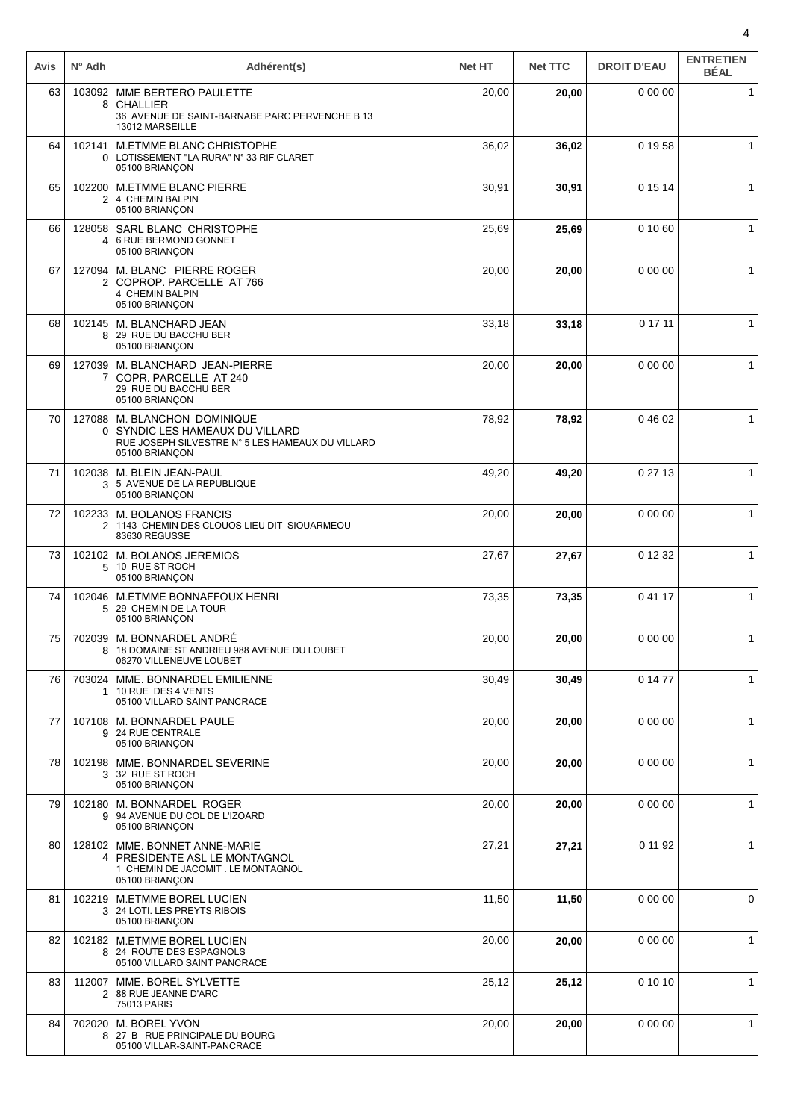| Avis | $N^{\circ}$ Adh          | Adhérent(s)                                                                                                                  | <b>Net HT</b> | <b>Net TTC</b> | <b>DROIT D'EAU</b> | <b>ENTRETIEN</b><br><b>BÉAL</b> |
|------|--------------------------|------------------------------------------------------------------------------------------------------------------------------|---------------|----------------|--------------------|---------------------------------|
| 63   | 103092<br>8              | MME BERTERO PAULETTE<br><b>CHALLIER</b><br>36 AVENUE DE SAINT-BARNABE PARC PERVENCHE B 13<br>13012 MARSEILLE                 | 20,00         | 20,00          | 0 00 00            | 1                               |
| 64   | 102141<br>0 <sup>1</sup> | M.ETMME BLANC CHRISTOPHE<br>LOTISSEMENT "LA RURA" N° 33 RIF CLARET<br>05100 BRIANÇON                                         | 36,02         | 36,02          | 0 19 58            | 1                               |
| 65   | 102200<br>$\overline{2}$ | <b>M.ETMME BLANC PIERRE</b><br>4 CHEMIN BALPIN<br>05100 BRIANÇON                                                             | 30,91         | 30,91          | 0 15 14            | $\mathbf{1}$                    |
| 66   | 128058<br>4              | SARL BLANC CHRISTOPHE<br>6 RUE BERMOND GONNET<br>05100 BRIANÇON                                                              | 25,69         | 25,69          | 0 10 60            | $\mathbf{1}$                    |
| 67   | 127094<br>2              | M. BLANC PIERRE ROGER<br>COPROP. PARCELLE AT 766<br>4 CHEMIN BALPIN<br>05100 BRIANÇON                                        | 20,00         | 20,00          | 0 00 00            | $\mathbf{1}$                    |
| 68   | 102145<br>8              | M. BLANCHARD JEAN<br>29 RUE DU BACCHU BER<br>05100 BRIANÇON                                                                  | 33,18         | 33,18          | 0 17 11            | 1                               |
| 69   | 127039<br>7              | M. BLANCHARD JEAN-PIERRE<br>COPR. PARCELLE AT 240<br>29 RUE DU BACCHU BER<br>05100 BRIANÇON                                  | 20,00         | 20,00          | 0 00 00            | $\mathbf{1}$                    |
| 70   | 127088<br>0              | M. BLANCHON DOMINIQUE<br>SYNDIC LES HAMEAUX DU VILLARD<br>RUE JOSEPH SILVESTRE N° 5 LES HAMEAUX DU VILLARD<br>05100 BRIANÇON | 78,92         | 78,92          | 04602              | $\mathbf{1}$                    |
| 71   |                          | 102038   M. BLEIN JEAN-PAUL<br>3 5 AVENUE DE LA REPUBLIQUE<br>05100 BRIANÇON                                                 | 49,20         | 49,20          | 0 27 13            | $\mathbf{1}$                    |
| 72   | 102233<br>2              | M. BOLANOS FRANCIS<br>1143 CHEMIN DES CLOUOS LIEU DIT SIOUARMEOU<br>83630 REGUSSE                                            | 20,00         | 20,00          | 0 00 00            | 1                               |
| 73   | 102102<br>5              | M. BOLANOS JEREMIOS<br>10 RUE ST ROCH<br>05100 BRIANÇON                                                                      | 27,67         | 27,67          | 0 12 32            | $\mathbf{1}$                    |
| 74   | 102046<br>5              | <b>M.ETMME BONNAFFOUX HENRI</b><br>29 CHEMIN DE LA TOUR<br>05100 BRIANÇON                                                    | 73,35         | 73,35          | 0 41 17            | $\mathbf{1}$                    |
| 75   |                          | 702039 M. BONNARDEL ANDRÉ<br>18 DOMAINE ST ANDRIEU 988 AVENUE DU LOUBET<br>06270 VILLENEUVE LOUBET                           | 20,00         | 20,00          | 0 00 00            | $\mathbf{1}$                    |
| 76   | 703024<br>1.             | MME. BONNARDEL EMILIENNE<br>10 RUE DES 4 VENTS<br>05100 VILLARD SAINT PANCRACE                                               | 30,49         | 30,49          | 0 14 77            | $\mathbf{1}$                    |
| 77   | 107108<br>9 <sup>1</sup> | M. BONNARDEL PAULE<br>24 RUE CENTRALE<br>05100 BRIANÇON                                                                      | 20,00         | 20,00          | 0 00 00            | $\mathbf{1}$                    |
| 78   | 102198<br>3              | MME. BONNARDEL SEVERINE<br>32 RUE ST ROCH<br>05100 BRIANÇON                                                                  | 20,00         | 20,00          | 0 00 00            | $\mathbf{1}$                    |
| 79   | 102180                   | M. BONNARDEL ROGER<br>9 94 AVENUE DU COL DE L'IZOARD<br>05100 BRIANÇON                                                       | 20,00         | 20,00          | 0 00 00            | $\mathbf{1}$                    |
| 80   |                          | 128102 MME. BONNET ANNE-MARIE<br>4   PRESIDENTE ASL LE MONTAGNOL<br>1 CHEMIN DE JACOMIT. LE MONTAGNOL<br>05100 BRIANÇON      | 27,21         | 27,21          | 0 11 92            | $\mathbf{1}$                    |
| 81   | 102219<br>3 <sup>1</sup> | <b>M.ETMME BOREL LUCIEN</b><br>24 LOTI. LES PREYTS RIBOIS<br>05100 BRIANÇON                                                  | 11,50         | 11,50          | 0 00 00            | 0                               |
| 82   | 102182<br>8              | M.ETMME BOREL LUCIEN<br>24 ROUTE DES ESPAGNOLS<br>05100 VILLARD SAINT PANCRACE                                               | 20,00         | 20,00          | 0 00 00            | $\mathbf{1}$                    |
| 83   | 112007<br>2              | MME. BOREL SYLVETTE<br>88 RUE JEANNE D'ARC<br>75013 PARIS                                                                    | 25,12         | 25,12          | 0 10 10            | $\mathbf{1}$                    |
| 84   | 8                        | 702020   M. BOREL YVON<br>27 B RUE PRINCIPALE DU BOURG<br>05100 VILLAR-SAINT-PANCRACE                                        | 20,00         | 20,00          | 0 00 00            | $\mathbf{1}$                    |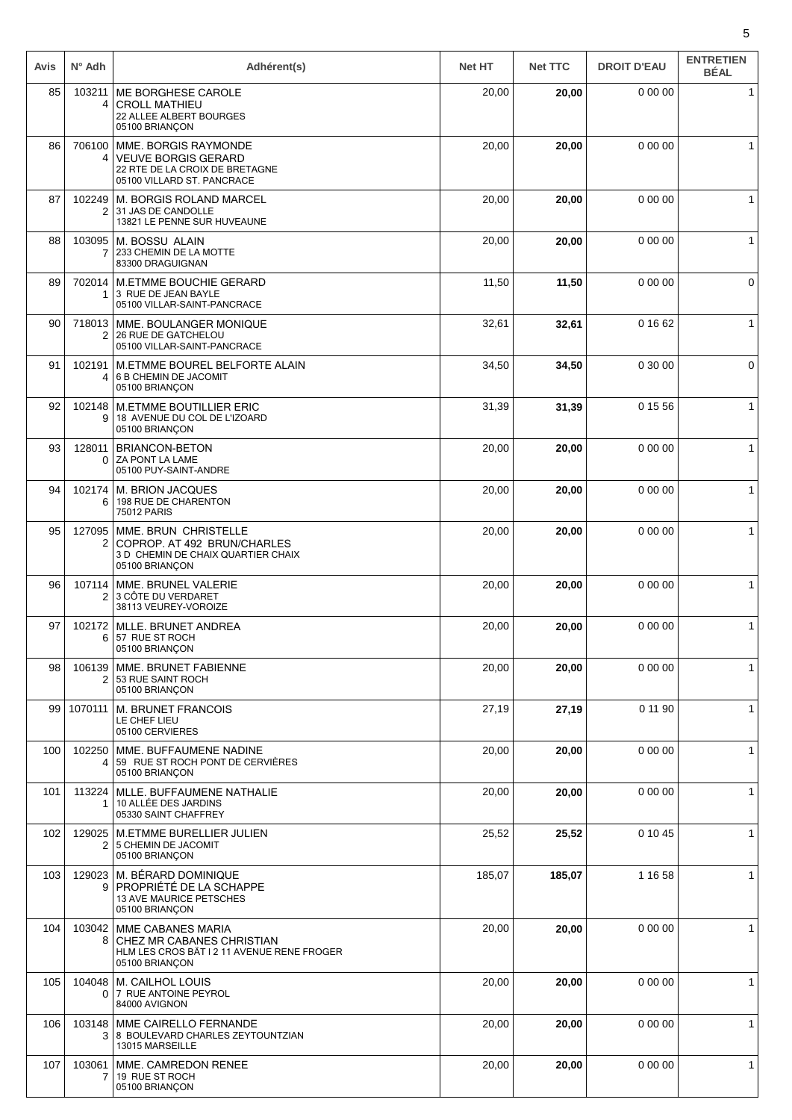| Avis | $N^{\circ}$ Adh    | Adhérent(s)                                                                                                        | <b>Net HT</b> | <b>Net TTC</b> | <b>DROIT D'EAU</b> | <b>ENTRETIEN</b><br><b>BÉAL</b> |
|------|--------------------|--------------------------------------------------------------------------------------------------------------------|---------------|----------------|--------------------|---------------------------------|
| 85   | 103211<br>4        | ME BORGHESE CAROLE<br><b>CROLL MATHIEU</b><br>22 ALLEE ALBERT BOURGES<br>05100 BRIANÇON                            | 20,00         | 20,00          | 0 00 00            | $\mathbf{1}$                    |
| 86   | 706100<br>4        | MME. BORGIS RAYMONDE<br><b>VEUVE BORGIS GERARD</b><br>22 RTE DE LA CROIX DE BRETAGNE<br>05100 VILLARD ST. PANCRACE | 20,00         | 20,00          | 0 00 00            | 1                               |
| 87   | 102249<br>2        | M. BORGIS ROLAND MARCEL<br>31 JAS DE CANDOLLE<br>13821 LE PENNE SUR HUVEAUNE                                       | 20,00         | 20,00          | 0 00 00            | 1                               |
| 88   | 103095<br>7        | M. BOSSU ALAIN<br>233 CHEMIN DE LA MOTTE<br>83300 DRAGUIGNAN                                                       | 20,00         | 20,00          | 0 00 00            | $\mathbf 1$                     |
| 89   | 702014<br>1        | <b>M.ETMME BOUCHIE GERARD</b><br>3 RUE DE JEAN BAYLE<br>05100 VILLAR-SAINT-PANCRACE                                | 11,50         | 11,50          | 0 00 00            | $\mathbf 0$                     |
| 90   | 718013<br>2        | MME. BOULANGER MONIQUE<br>26 RUE DE GATCHELOU<br>05100 VILLAR-SAINT-PANCRACE                                       | 32,61         | 32,61          | 0 16 62            | $\mathbf{1}$                    |
| 91   | 102191<br>4        | M.ETMME BOUREL BELFORTE ALAIN<br>6 B CHEMIN DE JACOMIT<br>05100 BRIANÇON                                           | 34,50         | 34,50          | 0 30 00            | 0                               |
| 92   | 102148<br>9        | <b>M.ETMME BOUTILLIER ERIC</b><br>18 AVENUE DU COL DE L'IZOARD<br>05100 BRIANÇON                                   | 31,39         | 31,39          | 0 15 56            | 1                               |
| 93   | 128011<br>$\Omega$ | <b>BRIANCON-BETON</b><br>ZA PONT LA LAME<br>05100 PUY-SAINT-ANDRE                                                  | 20,00         | 20,00          | 0 00 00            | $\mathbf{1}$                    |
| 94   | 102174<br>6        | M. BRION JACQUES<br>198 RUE DE CHARENTON<br><b>75012 PARIS</b>                                                     | 20,00         | 20,00          | 0 00 00            | $\mathbf{1}$                    |
| 95   | 127095<br>2        | MME. BRUN CHRISTELLE<br>COPROP. AT 492 BRUN/CHARLES<br>3 D CHEMIN DE CHAIX QUARTIER CHAIX<br>05100 BRIANÇON        | 20,00         | 20,00          | 0 00 00            | $\mathbf{1}$                    |
| 96   | 107114<br>2        | MME. BRUNEL VALERIE<br>3 CÔTE DU VERDARET<br>38113 VEUREY-VOROIZE                                                  | 20,00         | 20,00          | 0 00 00            | $\mathbf{1}$                    |
| 97   | 102172<br>6        | MLLE. BRUNET ANDREA<br>57 RUE ST ROCH<br>05100 BRIANÇON                                                            | 20,00         | 20,00          | 0 00 00            | $\mathbf{1}$                    |
| 98   | 106139<br>2        | MME. BRUNET FABIENNE<br>53 RUE SAINT ROCH<br>05100 BRIANÇON                                                        | 20,00         | 20,00          | 0000               | $\mathbf{1}$                    |
| 99   | 1070111            | M. BRUNET FRANCOIS<br>LE CHEF LIEU<br>05100 CERVIERES                                                              | 27,19         | 27,19          | 0 11 90            | $\mathbf{1}$                    |
| 100  | 102250<br>4        | MME. BUFFAUMENE NADINE<br>59 RUE ST ROCH PONT DE CERVIÈRES<br>05100 BRIANÇON                                       | 20,00         | 20,00          | 0 00 00            | $\mathbf 1$                     |
| 101  | 113224<br>1        | MLLE. BUFFAUMENE NATHALIE<br>10 ALLÉE DES JARDINS<br>05330 SAINT CHAFFREY                                          | 20,00         | 20,00          | 0 00 00            | $\mathbf{1}$                    |
| 102  | 129025<br>2        | <b>M.ETMME BURELLIER JULIEN</b><br>5 CHEMIN DE JACOMIT<br>05100 BRIANÇON                                           | 25,52         | 25,52          | 0 10 45            | $\mathbf{1}$                    |
| 103  | 129023<br>9        | M. BÉRARD DOMINIQUE<br><b>PROPRIÉTÉ DE LA SCHAPPE</b><br>13 AVE MAURICE PETSCHES<br>05100 BRIANÇON                 | 185,07        | 185,07         | 1 16 58            | $\mathbf{1}$                    |
| 104  | 103042<br>8        | MME CABANES MARIA<br>CHEZ MR CABANES CHRISTIAN<br>HLM LES CROS BÄT I 211 AVENUE RENE FROGER<br>05100 BRIANÇON      | 20,00         | 20,00          | 0 00 00            | $\mathbf{1}$                    |
| 105  | 104048<br>0        | M. CAILHOL LOUIS<br>7 RUE ANTOINE PEYROL<br>84000 AVIGNON                                                          | 20,00         | 20,00          | 0 00 00            | $\mathbf{1}$                    |
| 106  | 103148<br>3        | MME CAIRELLO FERNANDE<br>8 BOULEVARD CHARLES ZEYTOUNTZIAN<br>13015 MARSEILLE                                       | 20,00         | 20,00          | 0 00 00            | $\mathbf{1}$                    |
| 107  | 103061<br>7        | MME. CAMREDON RENEE<br>19 RUE ST ROCH<br>05100 BRIANÇON                                                            | 20,00         | 20,00          | 0 00 00            | $\mathbf{1}$                    |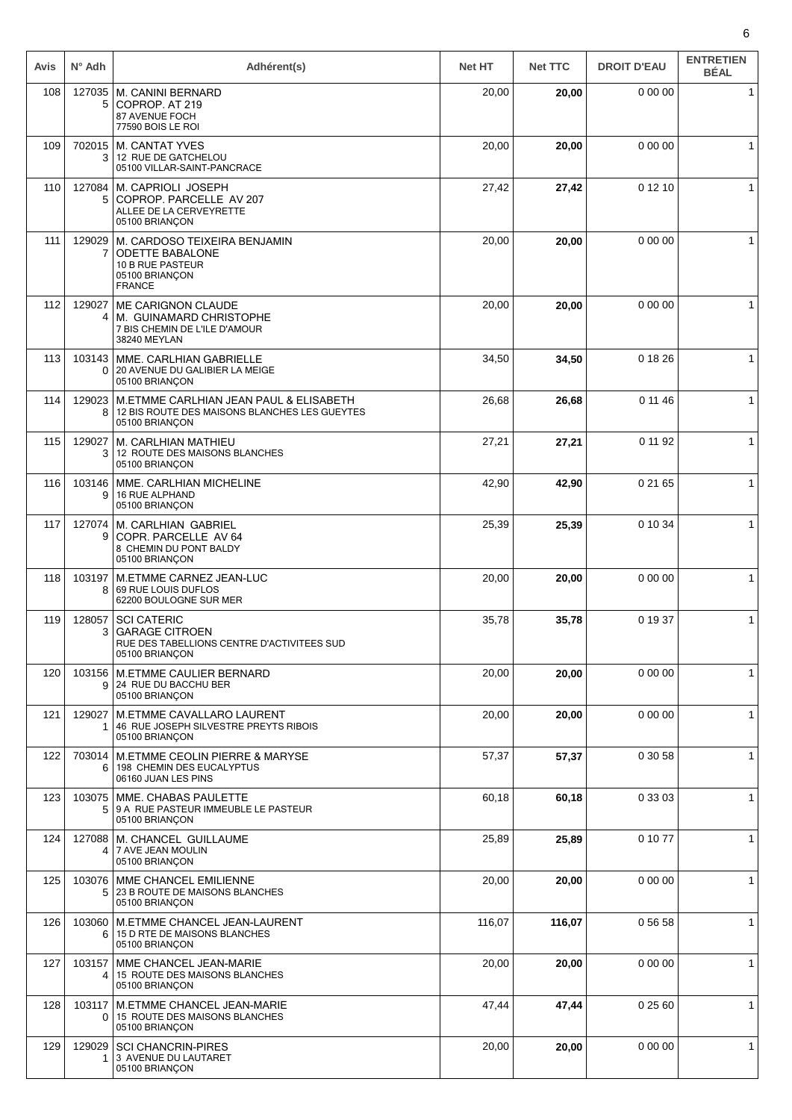| Avis | $N^{\circ}$ Adh | Adhérent(s)                                                                                                   | <b>Net HT</b> | <b>Net TTC</b> | <b>DROIT D'EAU</b> | <b>ENTRETIEN</b><br><b>BÉAL</b> |
|------|-----------------|---------------------------------------------------------------------------------------------------------------|---------------|----------------|--------------------|---------------------------------|
| 108  | 127035<br>5     | M. CANINI BERNARD<br>COPROP. AT 219<br>87 AVENUE FOCH<br>77590 BOIS LE ROI                                    | 20,00         | 20,00          | 0 00 00            | $\mathbf{1}$                    |
| 109  | 702015<br>3     | <b>M. CANTAT YVES</b><br>12 RUE DE GATCHELOU<br>05100 VILLAR-SAINT-PANCRACE                                   | 20,00         | 20,00          | 0 00 00            | 1                               |
| 110  | 127084<br>5     | M. CAPRIOLI JOSEPH<br>COPROP, PARCELLE AV 207<br>ALLEE DE LA CERVEYRETTE<br>05100 BRIANÇON                    | 27,42         | 27,42          | 0 12 10            | $\mathbf 1$                     |
| 111  | 129029<br>7     | M. CARDOSO TEIXEIRA BENJAMIN<br><b>ODETTE BABALONE</b><br>10 B RUE PASTEUR<br>05100 BRIANÇON<br><b>FRANCE</b> | 20,00         | 20,00          | 0 00 00            | 1                               |
| 112  | 129027<br>4     | <b>ME CARIGNON CLAUDE</b><br>M. GUINAMARD CHRISTOPHE<br>7 BIS CHEMIN DE L'ILE D'AMOUR<br>38240 MEYLAN         | 20,00         | 20,00          | 0 00 00            | 1                               |
| 113  | 103143<br>0     | MME. CARLHIAN GABRIELLE<br>20 AVENUE DU GALIBIER LA MEIGE<br>05100 BRIANÇON                                   | 34,50         | 34,50          | 0 18 26            | $\mathbf{1}$                    |
| 114  | 129023<br>8     | M.ETMME CARLHIAN JEAN PAUL & ELISABETH<br>12 BIS ROUTE DES MAISONS BLANCHES LES GUEYTES<br>05100 BRIANCON     | 26,68         | 26,68          | 0 11 46            | $\mathbf{1}$                    |
| 115  | 129027<br>3     | M. CARLHIAN MATHIEU<br>12 ROUTE DES MAISONS BLANCHES<br>05100 BRIANÇON                                        | 27,21         | 27,21          | 0 11 92            | $\mathbf{1}$                    |
| 116  | 103146<br>9     | MME. CARLHIAN MICHELINE<br>16 RUE ALPHAND<br>05100 BRIANÇON                                                   | 42,90         | 42,90          | 0 21 65            | $\mathbf{1}$                    |
| 117  | 127074<br>9     | <b>M. CARLHIAN GABRIEL</b><br>COPR. PARCELLE AV 64<br>8 CHEMIN DU PONT BALDY<br>05100 BRIANÇON                | 25,39         | 25,39          | 0 10 34            | $\mathbf{1}$                    |
| 118  | 103197<br>8     | M.ETMME CARNEZ JEAN-LUC<br>69 RUE LOUIS DUFLOS<br>62200 BOULOGNE SUR MER                                      | 20,00         | 20,00          | 0 00 00            | $\mathbf{1}$                    |
| 119  | 128057<br>3     | <b>SCI CATERIC</b><br><b>GARAGE CITROEN</b><br>RUE DES TABELLIONS CENTRE D'ACTIVITEES SUD<br>05100 BRIANÇON   | 35,78         | 35,78          | 0 19 37            | $\mathbf{1}$                    |
| 120  | 103156<br>9     | <b>M.ETMME CAULIER BERNARD</b><br>24 RUE DU BACCHU BER<br>05100 BRIANÇON                                      | 20,00         | 20,00          | 0 00 00            | 1                               |
| 121  | 129027<br>1     | M.ETMME CAVALLARO LAURENT<br>46 RUE JOSEPH SILVESTRE PREYTS RIBOIS<br>05100 BRIANÇON                          | 20,00         | 20,00          | 0 00 00            | $\mathbf{1}$                    |
| 122  | 703014<br>6.    | <b>M.ETMME CEOLIN PIERRE &amp; MARYSE</b><br>198 CHEMIN DES EUCALYPTUS<br>06160 JUAN LES PINS                 | 57,37         | 57,37          | 0 30 58            | $\mathbf{1}$                    |
| 123  | 5               | 103075 MME. CHABAS PAULETTE<br>9 A RUE PASTEUR IMMEUBLE LE PASTEUR<br>05100 BRIANÇON                          | 60,18         | 60,18          | 0 33 03            | $\mathbf{1}$                    |
| 124  | 127088<br>4     | M. CHANCEL GUILLAUME<br>7 AVE JEAN MOULIN<br>05100 BRIANÇON                                                   | 25,89         | 25,89          | 0 10 77            | $\mathbf{1}$                    |
| 125  | 103076<br>5     | MME CHANCEL EMILIENNE<br>23 B ROUTE DE MAISONS BLANCHES<br>05100 BRIANÇON                                     | 20,00         | 20,00          | 0 00 00            | $\mathbf{1}$                    |
| 126  | 103060<br>6     | M.ETMME CHANCEL JEAN-LAURENT<br>15 D RTE DE MAISONS BLANCHES<br>05100 BRIANÇON                                | 116,07        | 116,07         | 0 56 58            | $\mathbf{1}$                    |
| 127  | 103157<br>4     | MME CHANCEL JEAN-MARIE<br>15 ROUTE DES MAISONS BLANCHES<br>05100 BRIANÇON                                     | 20,00         | 20,00          | 0 00 00            | $\mathbf{1}$                    |
| 128  | 103117<br>0     | M.ETMME CHANCEL JEAN-MARIE<br>15 ROUTE DES MAISONS BLANCHES<br>05100 BRIANÇON                                 | 47,44         | 47,44          | 0 25 60            | $\mathbf{1}$                    |
| 129  | 129029<br>1     | <b>SCI CHANCRIN-PIRES</b><br>3 AVENUE DU LAUTARET<br>05100 BRIANÇON                                           | 20,00         | 20,00          | 0 00 00            | $\mathbf{1}$                    |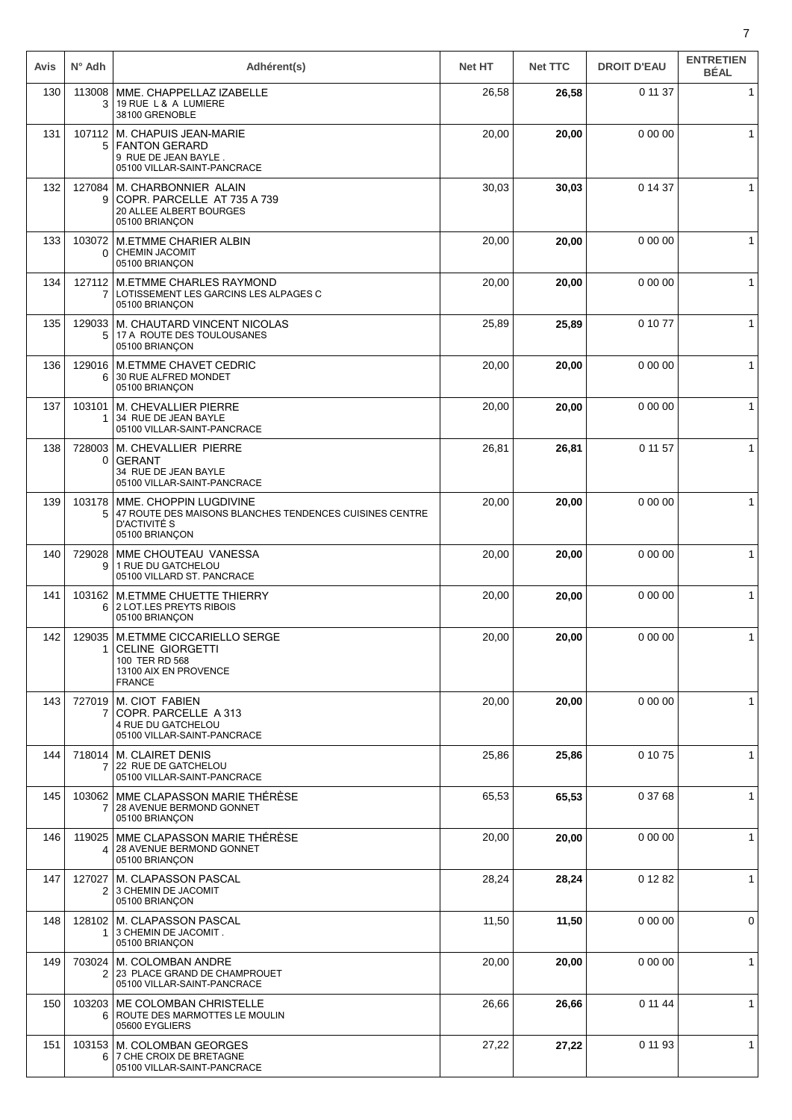| Avis | $N^{\circ}$ Adh          | Adhérent(s)                                                                                                               | <b>Net HT</b> | <b>Net TTC</b> | <b>DROIT D'EAU</b> | <b>ENTRETIEN</b><br><b>BÉAL</b> |
|------|--------------------------|---------------------------------------------------------------------------------------------------------------------------|---------------|----------------|--------------------|---------------------------------|
| 130  | 113008<br>3              | MME. CHAPPELLAZ IZABELLE<br>19 RUE L & A LUMIERE<br>38100 GRENOBLE                                                        | 26,58         | 26,58          | 0 11 37            | $\mathbf{1}$                    |
| 131  | 107112<br>5              | M. CHAPUIS JEAN-MARIE<br><b>FANTON GERARD</b><br>9 RUE DE JEAN BAYLE.<br>05100 VILLAR-SAINT-PANCRACE                      | 20,00         | 20,00          | 0 00 00            | $\mathbf{1}$                    |
| 132  | 127084<br>9              | M. CHARBONNIER ALAIN<br>COPR. PARCELLE AT 735 A 739<br>20 ALLEE ALBERT BOURGES<br>05100 BRIANÇON                          | 30,03         | 30,03          | 0 14 37            | $\mathbf{1}$                    |
| 133  | 103072<br>0              | <b>M.ETMME CHARIER ALBIN</b><br><b>CHEMIN JACOMIT</b><br>05100 BRIANÇON                                                   | 20,00         | 20,00          | 0 00 00            | $\mathbf{1}$                    |
| 134  | 127112<br>$\overline{7}$ | <b>M.ETMME CHARLES RAYMOND</b><br>LOTISSEMENT LES GARCINS LES ALPAGES C<br>05100 BRIANCON                                 | 20,00         | 20,00          | 0 00 00            | $\mathbf{1}$                    |
| 135  | 129033<br>5              | M. CHAUTARD VINCENT NICOLAS<br>17 A ROUTE DES TOULOUSANES<br>05100 BRIANÇON                                               | 25,89         | 25,89          | 0 10 77            | $\mathbf{1}$                    |
| 136  | 129016<br>6              | <b>M.ETMME CHAVET CEDRIC</b><br>30 RUE ALFRED MONDET<br>05100 BRIANÇON                                                    | 20,00         | 20,00          | 0 00 00            | $\mathbf{1}$                    |
| 137  | 103101                   | M. CHEVALLIER PIERRE<br>34 RUE DE JEAN BAYLE<br>05100 VILLAR-SAINT-PANCRACE                                               | 20,00         | 20,00          | 0 00 00            | $\mathbf{1}$                    |
| 138  | 728003<br>0              | M. CHEVALLIER PIERRE<br><b>GERANT</b><br>34 RUE DE JEAN BAYLE<br>05100 VILLAR-SAINT-PANCRACE                              | 26,81         | 26,81          | 0 11 57            | $\mathbf 1$                     |
| 139  | 103178<br>5              | MME. CHOPPIN LUGDIVINE<br>47 ROUTE DES MAISONS BLANCHES TENDENCES CUISINES CENTRE<br>D'ACTIVITÉ S<br>05100 BRIANÇON       | 20,00         | 20,00          | 0 00 00            | $\mathbf{1}$                    |
| 140  | 729028<br>9              | MME CHOUTEAU VANESSA<br>1 RUE DU GATCHELOU<br>05100 VILLARD ST. PANCRACE                                                  | 20,00         | 20,00          | 0 00 00            | $\mathbf{1}$                    |
| 141  | 103162<br>6              | <b>M.ETMME CHUETTE THIERRY</b><br>2 LOT.LES PREYTS RIBOIS<br>05100 BRIANÇON                                               | 20,00         | 20,00          | 0 00 00            | $\mathbf{1}$                    |
| 142  | 1                        | 129035   M.ETMME CICCARIELLO SERGE<br><b>CELINE GIORGETTI</b><br>100 TER RD 568<br>13100 AIX EN PROVENCE<br><b>FRANCE</b> | 20,00         | 20,00          | 0 00 00            | $\mathbf{1}$                    |
| 143  | 7                        | 727019   M. CIOT FABIEN<br>COPR. PARCELLE A 313<br>4 RUE DU GATCHELOU<br>05100 VILLAR-SAINT-PANCRACE                      | 20,00         | 20,00          | 0 00 00            | $\mathbf{1}$                    |
| 144  | 718014<br>7              | <b>M. CLAIRET DENIS</b><br>22 RUE DE GATCHELOU<br>05100 VILLAR-SAINT-PANCRACE                                             | 25,86         | 25,86          | 0 10 75            | $\mathbf{1}$                    |
| 145  | 7                        | 103062   MME CLAPASSON MARIE THÉRÉSE<br>28 AVENUE BERMOND GONNET<br>05100 BRIANÇON                                        | 65,53         | 65,53          | 0 37 68            | $\mathbf{1}$                    |
| 146  | 119025<br>4              | MME CLAPASSON MARIE THERESE<br>28 AVENUE BERMOND GONNET<br>05100 BRIANÇON                                                 | 20,00         | 20,00          | 0 00 00            | $\mathbf{1}$                    |
| 147  | 127027<br>2 <sup>1</sup> | M. CLAPASSON PASCAL<br>3 CHEMIN DE JACOMIT<br>05100 BRIANÇON                                                              | 28,24         | 28,24          | 0 12 82            | $\mathbf{1}$                    |
| 148  | 128102<br>1              | M. CLAPASSON PASCAL<br>3 CHEMIN DE JACOMIT.<br>05100 BRIANÇON                                                             | 11,50         | 11,50          | 0 00 00            | 0                               |
| 149  | 703024<br>2              | M. COLOMBAN ANDRE<br>23 PLACE GRAND DE CHAMPROUET<br>05100 VILLAR-SAINT-PANCRACE                                          | 20,00         | 20,00          | 0 00 00            | $\mathbf{1}$                    |
| 150  | 6                        | 103203 ME COLOMBAN CHRISTELLE<br>ROUTE DES MARMOTTES LE MOULIN<br>05600 EYGLIERS                                          | 26,66         | 26,66          | 0 11 44            | $\mathbf{1}$                    |
| 151  | 6                        | 103153   M. COLOMBAN GEORGES<br>7 CHE CROIX DE BRETAGNE<br>05100 VILLAR-SAINT-PANCRACE                                    | 27,22         | 27,22          | 0 11 93            | $\mathbf{1}$                    |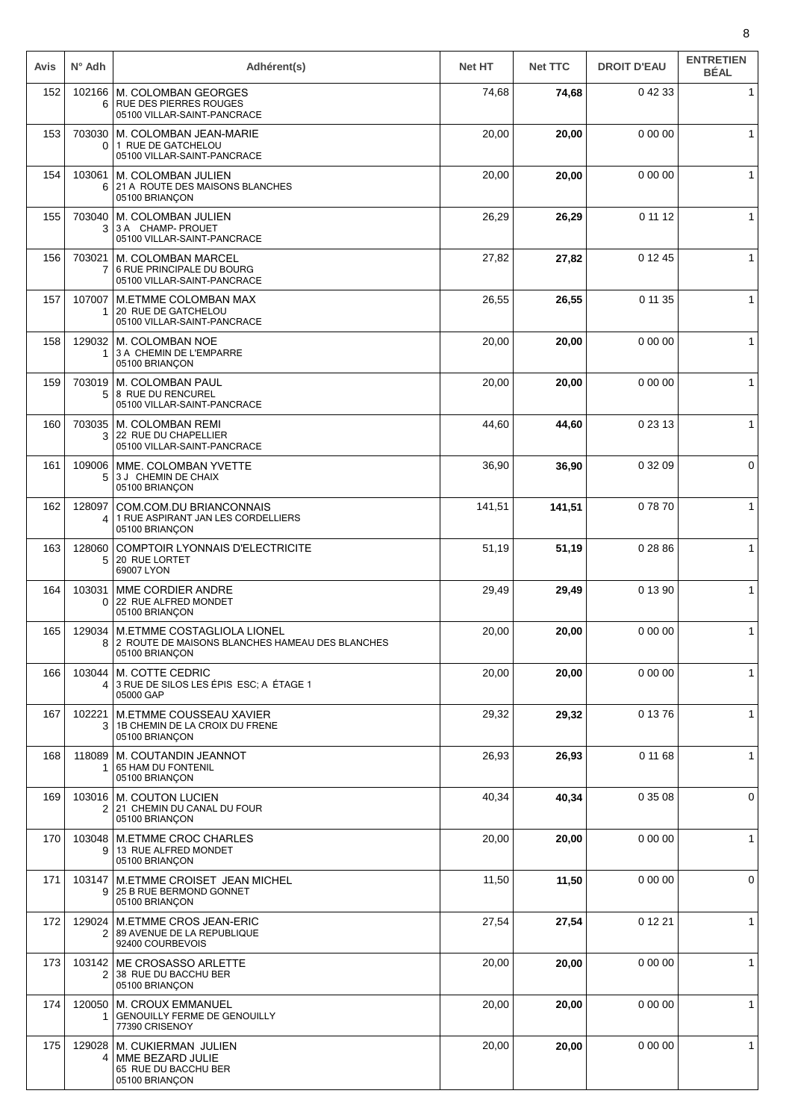| Avis | $N^{\circ}$ Adh           | Adhérent(s)                                                                                     | <b>Net HT</b> | <b>Net TTC</b> | <b>DROIT D'EAU</b> | <b>ENTRETIEN</b><br><b>BÉAL</b> |
|------|---------------------------|-------------------------------------------------------------------------------------------------|---------------|----------------|--------------------|---------------------------------|
| 152  | 102166<br>6               | M. COLOMBAN GEORGES<br><b>RUE DES PIERRES ROUGES</b><br>05100 VILLAR-SAINT-PANCRACE             | 74,68         | 74,68          | 0 42 33            | $\mathbf{1}$                    |
| 153  | 0                         | 703030   M. COLOMBAN JEAN-MARIE<br>1 RUE DE GATCHELOU<br>05100 VILLAR-SAINT-PANCRACE            | 20,00         | 20,00          | 0 00 00            | $\mathbf{1}$                    |
| 154  | 103061<br>6               | M. COLOMBAN JULIEN<br>21 A ROUTE DES MAISONS BLANCHES<br>05100 BRIANÇON                         | 20,00         | 20,00          | 0 00 00            | 1                               |
| 155  | 703040<br>3               | M. COLOMBAN JULIEN<br>3 A CHAMP- PROUET<br>05100 VILLAR-SAINT-PANCRACE                          | 26,29         | 26,29          | 0 11 12            | $\mathbf{1}$                    |
| 156  | 703021<br>7               | M. COLOMBAN MARCEL<br>6 RUE PRINCIPALE DU BOURG<br>05100 VILLAR-SAINT-PANCRACE                  | 27,82         | 27,82          | 0 12 45            | $\mathbf{1}$                    |
| 157  | 107007<br>1               | M.ETMME COLOMBAN MAX<br>20 RUE DE GATCHELOU<br>05100 VILLAR-SAINT-PANCRACE                      | 26,55         | 26,55          | 0 11 35            | $\mathbf{1}$                    |
| 158  |                           | 129032   M. COLOMBAN NOE<br>3 A CHEMIN DE L'EMPARRE<br>05100 BRIANÇON                           | 20,00         | 20,00          | 0 00 00            | $\mathbf{1}$                    |
| 159  | 5                         | 703019   M. COLOMBAN PAUL<br>8 RUE DU RENCUREL<br>05100 VILLAR-SAINT-PANCRACE                   | 20,00         | 20,00          | 0 00 00            | 1                               |
| 160  | 703035<br>3               | M. COLOMBAN REMI<br>22 RUE DU CHAPELLIER<br>05100 VILLAR-SAINT-PANCRACE                         | 44,60         | 44,60          | 0 23 13            | $\mathbf{1}$                    |
| 161  | 109006<br>5               | MME. COLOMBAN YVETTE<br>3 J CHEMIN DE CHAIX<br>05100 BRIANÇON                                   | 36,90         | 36,90          | 0 32 09            | 0                               |
| 162  | 128097<br>4               | COM.COM.DU BRIANCONNAIS<br>1 RUE ASPIRANT JAN LES CORDELLIERS<br>05100 BRIANÇON                 | 141,51        | 141,51         | 07870              | $\mathbf{1}$                    |
| 163  | 128060<br>5               | <b>COMPTOIR LYONNAIS D'ELECTRICITE</b><br>20 RUE LORTET<br>69007 LYON                           | 51,19         | 51,19          | 0 28 86            | $\mathbf{1}$                    |
| 164  | 103031<br>$\Omega$        | MME CORDIER ANDRE<br>22 RUE ALFRED MONDET<br>05100 BRIANÇON                                     | 29,49         | 29,49          | 0 13 90            | 1                               |
| 165  | 129034<br>8               | M.ETMME COSTAGLIOLA LIONEL<br>2 ROUTE DE MAISONS BLANCHES HAMEAU DES BLANCHES<br>05100 BRIANCON | 20,00         | 20,00          | 0 00 00            | $\mathbf{1}$                    |
| 166  | 103044<br>$\vert 4 \vert$ | M. COTTE CEDRIC<br>3 RUE DE SILOS LES ÉPIS ESC; A ÉTAGE 1<br>05000 GAP                          | 20,00         | 20,00          | 0 00 00            | $\mathbf{1}$                    |
| 167  | 102221<br>3               | M.ETMME COUSSEAU XAVIER<br>1B CHEMIN DE LA CROIX DU FRENE<br>05100 BRIANÇON                     | 29,32         | 29,32          | 0 13 76            | $\mathbf{1}$                    |
| 168  | 118089                    | M. COUTANDIN JEANNOT<br>65 HAM DU FONTENIL<br>05100 BRIANÇON                                    | 26,93         | 26,93          | 0 11 68            | $\mathbf{1}$                    |
| 169  |                           | 103016   M. COUTON LUCIEN<br>2 21 CHEMIN DU CANAL DU FOUR<br>05100 BRIANÇON                     | 40,34         | 40,34          | 0 35 08            | 0                               |
| 170  | 103048<br>9               | <b>M.ETMME CROC CHARLES</b><br>13 RUE ALFRED MONDET<br>05100 BRIANÇON                           | 20,00         | 20,00          | 0 00 00            | $\mathbf{1}$                    |
| 171  | 103147<br>9               | M.ETMME CROISET JEAN MICHEL<br>25 B RUE BERMOND GONNET<br>05100 BRIANÇON                        | 11,50         | 11,50          | 0 00 00            | 0                               |
| 172  | 129024<br>2               | M.ETMME CROS JEAN-ERIC<br>89 AVENUE DE LA REPUBLIQUE<br>92400 COURBEVOIS                        | 27,54         | 27,54          | 0 12 21            | $\mathbf{1}$                    |
| 173  | 2                         | 103142   ME CROSASSO ARLETTE<br>38 RUE DU BACCHU BER<br>05100 BRIANÇON                          | 20,00         | 20,00          | 0 00 00            | $\mathbf{1}$                    |
| 174  | 1                         | 120050   M. CROUX EMMANUEL<br>GENOUILLY FERME DE GENOUILLY<br>77390 CRISENOY                    | 20,00         | 20,00          | 0 00 00            | $\mathbf{1}$                    |
| 175  | 129028<br>4               | M. CUKIERMAN JULIEN<br>MME BEZARD JULIE<br>65 RUE DU BACCHU BER<br>05100 BRIANÇON               | 20,00         | 20,00          | 0 00 00            | $\mathbf{1}$                    |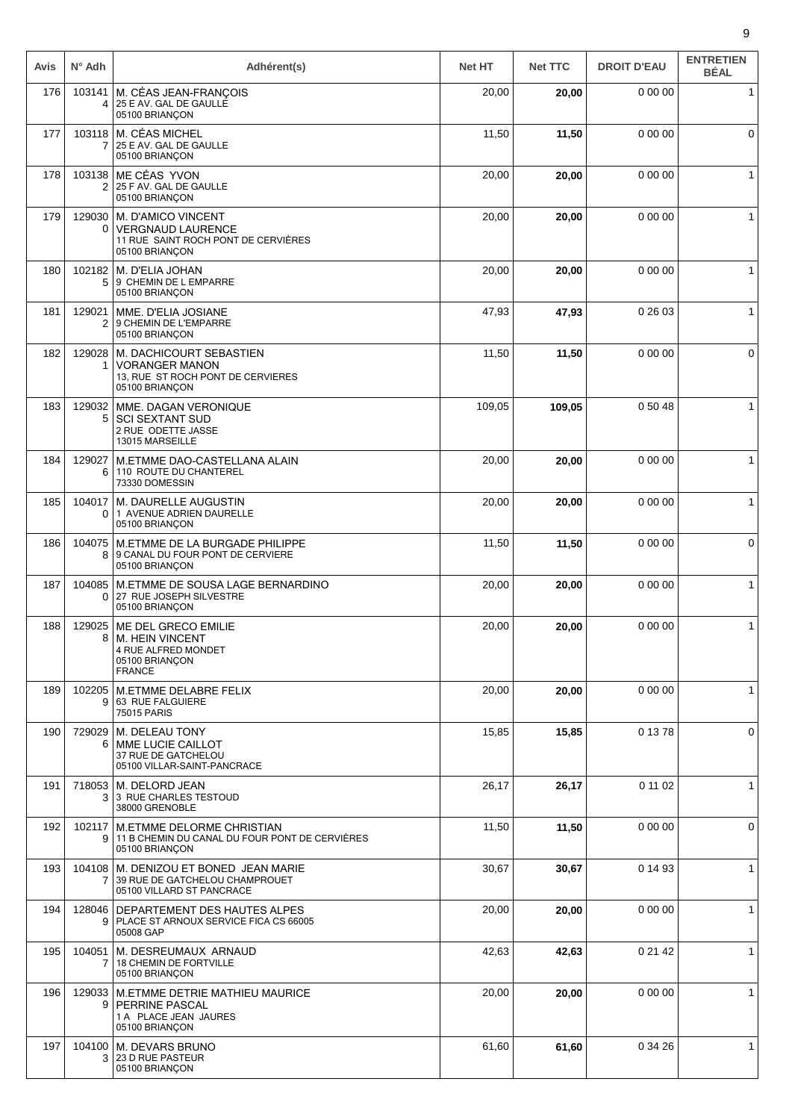| Avis | $N^{\circ}$ Adh          | Adhérent(s)                                                                                             | <b>Net HT</b> | <b>Net TTC</b> | <b>DROIT D'EAU</b> | <b>ENTRETIEN</b><br><b>BÉAL</b> |
|------|--------------------------|---------------------------------------------------------------------------------------------------------|---------------|----------------|--------------------|---------------------------------|
| 176  | 103141<br>4              | M. CÉAS JEAN-FRANÇOIS<br>25 E AV. GAL DE GAULLE<br>05100 BRIANÇON                                       | 20,00         | 20,00          | 0 00 00            | $\mathbf{1}$                    |
| 177  | 7                        | 103118 M. CÉAS MICHEL<br>25 E AV. GAL DE GAULLE<br>05100 BRIANÇON                                       | 11,50         | 11,50          | 0000               | $\mathbf 0$                     |
| 178  | 103138<br>2              | ME CÉAS YVON<br>25 F AV. GAL DE GAULLE<br>05100 BRIANÇON                                                | 20,00         | 20,00          | 0 00 00            | 1                               |
| 179  | 129030<br>0              | M. D'AMICO VINCENT<br><b>VERGNAUD LAURENCE</b><br>11 RUE SAINT ROCH PONT DE CERVIÈRES<br>05100 BRIANÇON | 20,00         | 20,00          | 0 00 00            | $\mathbf{1}$                    |
| 180  | 102182                   | M. D'ELIA JOHAN<br>5 9 CHEMIN DE L EMPARRE<br>05100 BRIANÇON                                            | 20,00         | 20,00          | 0 00 00            | $\mathbf{1}$                    |
| 181  | 129021<br>$\overline{2}$ | MME. D'ELIA JOSIANE<br>9 CHEMIN DE L'EMPARRE<br>05100 BRIANÇON                                          | 47,93         | 47,93          | 0 26 03            | $\mathbf{1}$                    |
| 182  | 129028<br>1              | M. DACHICOURT SEBASTIEN<br><b>VORANGER MANON</b><br>13, RUE ST ROCH PONT DE CERVIERES<br>05100 BRIANCON | 11,50         | 11,50          | 0 00 00            | 0                               |
| 183  | 129032<br>5              | MME. DAGAN VERONIQUE<br><b>SCI SEXTANT SUD</b><br>2 RUE ODETTE JASSE<br>13015 MARSEILLE                 | 109,05        | 109,05         | 0 50 48            | $\mathbf{1}$                    |
| 184  | 129027<br>6              | M.ETMME DAO-CASTELLANA ALAIN<br>110 ROUTE DU CHANTEREL<br>73330 DOMESSIN                                | 20,00         | 20,00          | 0 00 00            | $\mathbf{1}$                    |
| 185  | 104017<br>0 <sup>1</sup> | M. DAURELLE AUGUSTIN<br>1 AVENUE ADRIEN DAURELLE<br>05100 BRIANÇON                                      | 20,00         | 20,00          | 0 00 00            | $\mathbf{1}$                    |
| 186  | 104075<br>8              | M.ETMME DE LA BURGADE PHILIPPE<br>9 CANAL DU FOUR PONT DE CERVIERE<br>05100 BRIANÇON                    | 11,50         | 11,50          | 0 00 00            | 0                               |
| 187  | 104085<br>0              | M.ETMME DE SOUSA LAGE BERNARDINO<br>27 RUE JOSEPH SILVESTRE<br>05100 BRIANÇON                           | 20,00         | 20,00          | 0 00 00            | $\mathbf{1}$                    |
| 188  | 129025                   | ME DEL GRECO EMILIE<br>8   M. HEIN VINCENT<br>4 RUE ALFRED MONDET<br>05100 BRIANÇON<br><b>FRANCE</b>    | 20,00         | 20,00          | 0 00 00            | $\mathbf{1}$                    |
| 189  | 102205<br>9              | <b>M.ETMME DELABRE FELIX</b><br>63 RUE FALGUIERE<br><b>75015 PARIS</b>                                  | 20,00         | 20,00          | 0 00 00            | $\mathbf{1}$                    |
| 190  | 61                       | 729029   M. DELEAU TONY<br>MME LUCIE CAILLOT<br>37 RUE DE GATCHELOU<br>05100 VILLAR-SAINT-PANCRACE      | 15,85         | 15,85          | 0 13 78            | 0                               |
| 191  | 718053                   | M. DELORD JEAN<br>3 3 RUE CHARLES TESTOUD<br>38000 GRENOBLE                                             | 26,17         | 26,17          | 0 11 02            | $\mathbf{1}$                    |
| 192  | 9                        | 102117   M.ETMME DELORME CHRISTIAN<br>11 B CHEMIN DU CANAL DU FOUR PONT DE CERVIÈRES<br>05100 BRIANÇON  | 11,50         | 11,50          | 0 00 00            | $\mathbf 0$                     |
| 193  | $\overline{7}$           | 104108   M. DENIZOU ET BONED JEAN MARIE<br>39 RUE DE GATCHELOU CHAMPROUET<br>05100 VILLARD ST PANCRACE  | 30,67         | 30,67          | 0 14 93            | $\mathbf{1}$                    |
| 194  | 9 <sup>1</sup>           | 128046   DEPARTEMENT DES HAUTES ALPES<br>PLACE ST ARNOUX SERVICE FICA CS 66005<br>05008 GAP             | 20,00         | 20,00          | 0 00 00            | 1                               |
| 195  | 104051<br>7              | M. DESREUMAUX ARNAUD<br><b>18 CHEMIN DE FORTVILLE</b><br>05100 BRIANÇON                                 | 42,63         | 42,63          | 0 21 42            | $\mathbf{1}$                    |
| 196  | 129033<br>9              | M.ETMME DETRIE MATHIEU MAURICE<br><b>PERRINE PASCAL</b><br>1 A PLACE JEAN JAURES<br>05100 BRIANÇON      | 20,00         | 20,00          | 0 00 00            | $\mathbf{1}$                    |
| 197  | 104100<br>3              | M. DEVARS BRUNO<br>23 D RUE PASTEUR<br>05100 BRIANÇON                                                   | 61,60         | 61,60          | 0 34 26            | $\mathbf{1}$                    |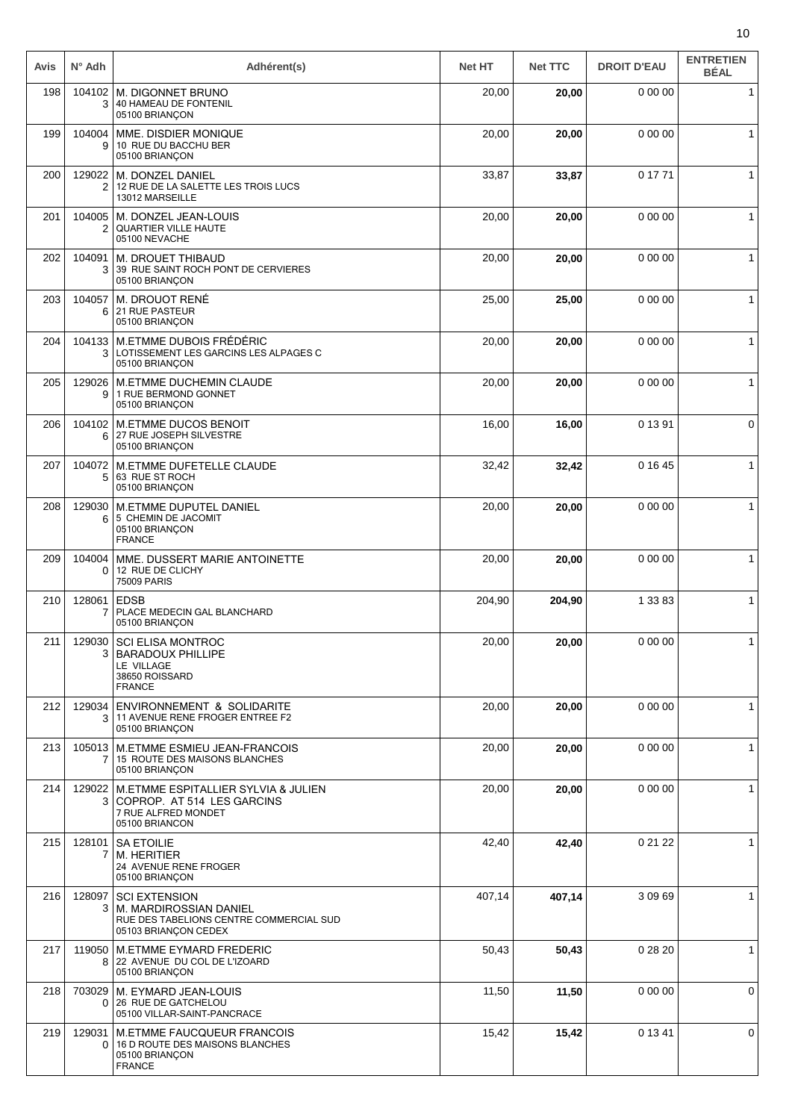| Avis | $N^{\circ}$ Adh | Adhérent(s)                                                                                                       | <b>Net HT</b> | <b>Net TTC</b> | <b>DROIT D'EAU</b> | <b>ENTRETIEN</b><br><b>BÉAL</b> |
|------|-----------------|-------------------------------------------------------------------------------------------------------------------|---------------|----------------|--------------------|---------------------------------|
| 198  | 104102<br>3     | M. DIGONNET BRUNO<br>40 HAMEAU DE FONTENIL<br>05100 BRIANÇON                                                      | 20,00         | 20,00          | 0 00 00            | $\mathbf{1}$                    |
| 199  | 104004<br>9     | MME. DISDIER MONIQUE<br>10 RUE DU BACCHU BER<br>05100 BRIANÇON                                                    | 20,00         | 20,00          | 0 00 00            | $\mathbf{1}$                    |
| 200  | 129022<br>2     | M. DONZEL DANIEL<br>12 RUE DE LA SALETTE LES TROIS LUCS<br>13012 MARSEILLE                                        | 33,87         | 33,87          | 0 17 71            | 1                               |
| 201  | 104005<br>2     | M. DONZEL JEAN-LOUIS<br>QUARTIER VILLE HAUTE<br>05100 NEVACHE                                                     | 20,00         | 20,00          | 0 00 00            | 1                               |
| 202  | 104091<br>3     | M. DROUET THIBAUD<br>39 RUE SAINT ROCH PONT DE CERVIERES<br>05100 BRIANÇON                                        | 20,00         | 20,00          | 0 00 00            | $\mathbf{1}$                    |
| 203  | 104057<br>6     | M. DROUOT RENÉ<br>21 RUE PASTEUR<br>05100 BRIANÇON                                                                | 25,00         | 25,00          | 0 00 00            | $\mathbf{1}$                    |
| 204  | 3               | 104133 M.ETMME DUBOIS FRÉDÉRIC<br>LOTISSEMENT LES GARCINS LES ALPAGES C<br>05100 BRIANÇON                         | 20,00         | 20,00          | 0 00 00            | $\mathbf{1}$                    |
| 205  | 129026<br>9     | <b>M.ETMME DUCHEMIN CLAUDE</b><br>1 RUE BERMOND GONNET<br>05100 BRIANÇON                                          | 20,00         | 20,00          | 0 00 00            | 1                               |
| 206  | 104102<br>6     | <b>M.ETMME DUCOS BENOIT</b><br>27 RUE JOSEPH SILVESTRE<br>05100 BRIANÇON                                          | 16,00         | 16,00          | 0 13 91            | 0                               |
| 207  | 104072<br>5     | M.ETMME DUFETELLE CLAUDE<br>63 RUE ST ROCH<br>05100 BRIANÇON                                                      | 32,42         | 32,42          | 0 16 45            | $\mathbf{1}$                    |
| 208  | 129030<br>6     | <b>M.ETMME DUPUTEL DANIEL</b><br>5 CHEMIN DE JACOMIT<br>05100 BRIANÇON<br><b>FRANCE</b>                           | 20,00         | 20,00          | 0 00 00            | $\mathbf{1}$                    |
| 209  | 104004<br>0     | MME. DUSSERT MARIE ANTOINETTE<br>12 RUE DE CLICHY<br><b>75009 PARIS</b>                                           | 20,00         | 20,00          | 0 00 00            | 1                               |
| 210  | 128061<br>7     | <b>EDSB</b><br>PLACE MEDECIN GAL BLANCHARD<br>05100 BRIANÇON                                                      | 204,90        | 204,90         | 1 33 83            | $\mathbf{1}$                    |
| 211  | 3               | 129030 SCI ELISA MONTROC<br><b>BARADOUX PHILLIPE</b><br>LE VILLAGE<br>38650 ROISSARD<br><b>FRANCE</b>             | 20,00         | 20,00          | 0 00 00            | $\mathbf{1}$                    |
| 212  | 129034<br>3     | ENVIRONNEMENT & SOLIDARITE<br>11 AVENUE RENE FROGER ENTREE F2<br>05100 BRIANCON                                   | 20,00         | 20,00          | 0 00 00            | $\mathbf{1}$                    |
| 213  |                 | 105013   M.ETMME ESMIEU JEAN-FRANCOIS<br>15 ROUTE DES MAISONS BLANCHES<br>05100 BRIANÇON                          | 20,00         | 20,00          | 0 00 00            | $\mathbf{1}$                    |
| 214  | 3               | 129022 M.ETMME ESPITALLIER SYLVIA & JULIEN<br>COPROP. AT 514 LES GARCINS<br>7 RUE ALFRED MONDET<br>05100 BRIANCON | 20,00         | 20,00          | 0 00 00            | 1                               |
| 215  | 128101<br>7     | <b>SA ETOILIE</b><br>M. HERITIER<br>24 AVENUE RENE FROGER<br>05100 BRIANÇON                                       | 42,40         | 42,40          | 0 21 22            | $\mathbf{1}$                    |
| 216  | 128097<br>3     | <b>SCI EXTENSION</b><br>M. MARDIROSSIAN DANIEL<br>RUE DES TABELIONS CENTRE COMMERCIAL SUD<br>05103 BRIANÇON CEDEX | 407,14        | 407,14         | 3 09 69            | $\mathbf{1}$                    |
| 217  | 119050<br>8     | <b>M.ETMME EYMARD FREDERIC</b><br>22 AVENUE DU COL DE L'IZOARD<br>05100 BRIANÇON                                  | 50,43         | 50,43          | 0 28 20            | 1                               |
| 218  | 703029          | M. EYMARD JEAN-LOUIS<br>0 26 RUE DE GATCHELOU<br>05100 VILLAR-SAINT-PANCRACE                                      | 11,50         | 11,50          | 0 00 00            | 0                               |
| 219  | 129031<br>0     | M.ETMME FAUCQUEUR FRANCOIS<br>16 D ROUTE DES MAISONS BLANCHES<br>05100 BRIANÇON<br><b>FRANCE</b>                  | 15,42         | 15,42          | 0 13 41            | 0                               |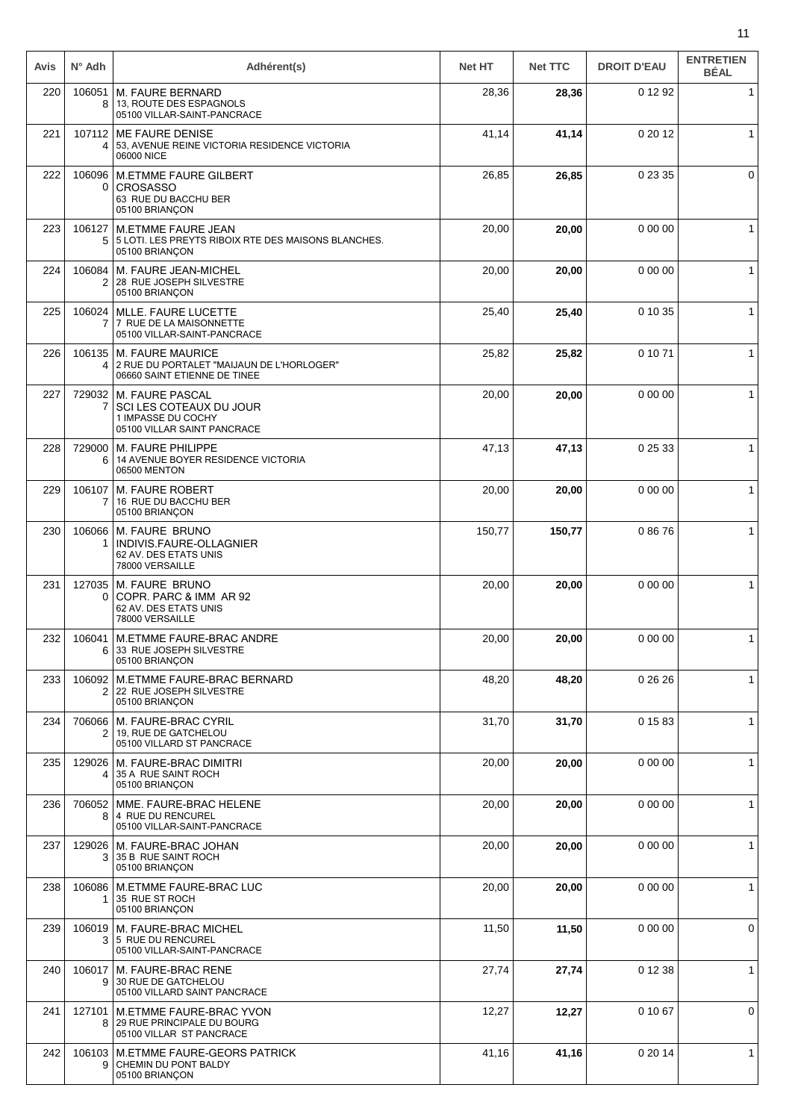| Avis | $N^{\circ}$ Adh          | Adhérent(s)                                                                                            | <b>Net HT</b> | <b>Net TTC</b> | <b>DROIT D'EAU</b> | <b>ENTRETIEN</b><br><b>BÉAL</b> |
|------|--------------------------|--------------------------------------------------------------------------------------------------------|---------------|----------------|--------------------|---------------------------------|
| 220  | 106051<br>8              | <b>M. FAURE BERNARD</b><br>13, ROUTE DES ESPAGNOLS<br>05100 VILLAR-SAINT-PANCRACE                      | 28,36         | 28,36          | 0 12 92            | $\mathbf{1}$                    |
| 221  | 4                        | 107112   ME FAURE DENISE<br>53, AVENUE REINE VICTORIA RESIDENCE VICTORIA<br>06000 NICE                 | 41,14         | 41,14          | 0 20 12            | $\mathbf{1}$                    |
| 222  | 106096<br>0              | <b>M.ETMME FAURE GILBERT</b><br><b>CROSASSO</b><br>63 RUE DU BACCHU BER<br>05100 BRIANÇON              | 26,85         | 26,85          | 0 23 35            | 0                               |
| 223  | 5                        | 106127   M.ETMME FAURE JEAN<br>5 LOTI. LES PREYTS RIBOIX RTE DES MAISONS BLANCHES.<br>05100 BRIANÇON   | 20,00         | 20,00          | 0 00 00            | $\mathbf{1}$                    |
| 224  | 106084<br>2              | M. FAURE JEAN-MICHEL<br>28 RUE JOSEPH SILVESTRE<br>05100 BRIANÇON                                      | 20,00         | 20,00          | 0 00 00            | $\mathbf{1}$                    |
| 225  | 106024<br>$\overline{7}$ | <b>MLLE. FAURE LUCETTE</b><br>7 RUE DE LA MAISONNETTE<br>05100 VILLAR-SAINT-PANCRACE                   | 25,40         | 25,40          | 0 10 35            | 1                               |
| 226  | 106135<br>4              | <b>M. FAURE MAURICE</b><br>2 RUE DU PORTALET "MAIJAUN DE L'HORLOGER"<br>06660 SAINT ETIENNE DE TINEE   | 25,82         | 25,82          | 0 10 71            | $\mathbf{1}$                    |
| 227  | 729032                   | <b>M. FAURE PASCAL</b><br>SCI LES COTEAUX DU JOUR<br>1 IMPASSE DU COCHY<br>05100 VILLAR SAINT PANCRACE | 20,00         | 20,00          | 0 00 00            | $\mathbf{1}$                    |
| 228  | 729000<br>6              | M. FAURE PHILIPPE<br>14 AVENUE BOYER RESIDENCE VICTORIA<br>06500 MENTON                                | 47,13         | 47,13          | 0 25 33            | $\mathbf{1}$                    |
| 229  | 106107<br>$\overline{7}$ | <b>M. FAURE ROBERT</b><br>16 RUE DU BACCHU BER<br>05100 BRIANÇON                                       | 20,00         | 20,00          | 0 00 00            | $\mathbf{1}$                    |
| 230  | 106066                   | M. FAURE BRUNO<br>INDIVIS.FAURE-OLLAGNIER<br>62 AV. DES ETATS UNIS<br>78000 VERSAILLE                  | 150,77        | 150,77         | 08676              | $\mathbf{1}$                    |
| 231  | 127035<br>0              | <b>M. FAURE BRUNO</b><br>COPR. PARC & IMM AR 92<br>62 AV. DES ETATS UNIS<br>78000 VERSAILLE            | 20,00         | 20,00          | 0 00 00            | $\mathbf{1}$                    |
| 232  | 6                        | 106041   M.ETMME FAURE-BRAC ANDRE<br>33 RUE JOSEPH SILVESTRE<br>05100 BRIANÇON                         | 20,00         | 20,00          | 0 00 00            | $\mathbf{1}$                    |
| 233  | 106092<br>2 <sup>1</sup> | M.ETMME FAURE-BRAC BERNARD<br>22 RUE JOSEPH SILVESTRE<br>05100 BRIANÇON                                | 48,20         | 48,20          | 0 26 26            | 1                               |
| 234  | 706066<br>$\overline{2}$ | M. FAURE-BRAC CYRIL<br>19. RUE DE GATCHELOU<br>05100 VILLARD ST PANCRACE                               | 31,70         | 31,70          | 0 15 83            | $\mathbf{1}$                    |
| 235  | 129026<br>4              | M. FAURE-BRAC DIMITRI<br>35 A RUE SAINT ROCH<br>05100 BRIANÇON                                         | 20,00         | 20,00          | 0 00 00            | $\mathbf{1}$                    |
| 236  | 706052<br>8              | MME. FAURE-BRAC HELENE<br>4 RUE DU RENCUREL<br>05100 VILLAR-SAINT-PANCRACE                             | 20,00         | 20,00          | 0 00 00            | $\mathbf{1}$                    |
| 237  | 3                        | 129026   M. FAURE-BRAC JOHAN<br>35 B RUE SAINT ROCH<br>05100 BRIANÇON                                  | 20,00         | 20,00          | 0 00 00            | $\mathbf{1}$                    |
| 238  | 106086<br>1              | M.ETMME FAURE-BRAC LUC<br>35 RUE ST ROCH<br>05100 BRIANÇON                                             | 20,00         | 20,00          | 0 00 00            | $\mathbf{1}$                    |
| 239  | 106019                   | M. FAURE-BRAC MICHEL<br>3   5 RUE DU RENCUREL<br>05100 VILLAR-SAINT-PANCRACE                           | 11,50         | 11,50          | 0 00 00            | 0                               |
| 240  | 106017<br>9              | M. FAURE-BRAC RENE<br>30 RUE DE GATCHELOU<br>05100 VILLARD SAINT PANCRACE                              | 27,74         | 27,74          | 0 12 38            | $\mathbf{1}$                    |
| 241  | 8                        | 127101   M.ETMME FAURE-BRAC YVON<br>29 RUE PRINCIPALE DU BOURG<br>05100 VILLAR ST PANCRACE             | 12,27         | 12,27          | 0 10 67            | 0                               |
| 242  | 9                        | 106103   M.ETMME FAURE-GEORS PATRICK<br>CHEMIN DU PONT BALDY<br>05100 BRIANÇON                         | 41,16         | 41,16          | 0 20 14            | $\mathbf{1}$                    |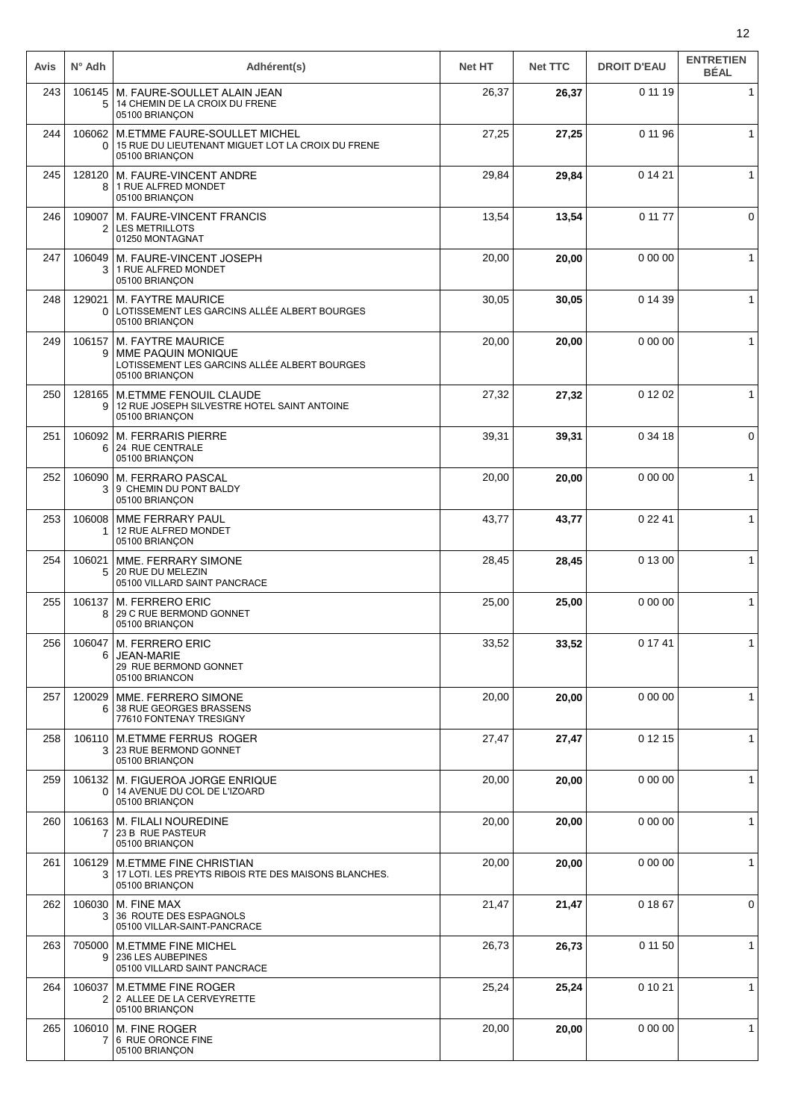| Avis | $N^{\circ}$ Adh | Adhérent(s)                                                                                                      | <b>Net HT</b> | <b>Net TTC</b> | <b>DROIT D'EAU</b> | <b>ENTRETIEN</b><br><b>BÉAL</b> |
|------|-----------------|------------------------------------------------------------------------------------------------------------------|---------------|----------------|--------------------|---------------------------------|
| 243  | 106145<br>5     | M. FAURE-SOULLET ALAIN JEAN<br>14 CHEMIN DE LA CROIX DU FRENE<br>05100 BRIANÇON                                  | 26,37         | 26,37          | 0 11 19            | $\mathbf{1}$                    |
| 244  | 106062<br>0     | <b>M.ETMME FAURE-SOULLET MICHEL</b><br>15 RUE DU LIEUTENANT MIGUET LOT LA CROIX DU FRENE<br>05100 BRIANÇON       | 27,25         | 27,25          | 0 11 96            | $\mathbf{1}$                    |
| 245  | 128120<br>8     | M. FAURE-VINCENT ANDRE<br>1 RUE ALFRED MONDET<br>05100 BRIANÇON                                                  | 29,84         | 29,84          | 0 14 21            | $\mathbf{1}$                    |
| 246  | 109007<br>2     | M. FAURE-VINCENT FRANCIS<br><b>LES METRILLOTS</b><br>01250 MONTAGNAT                                             | 13,54         | 13,54          | 0 11 77            | 0                               |
| 247  | 106049<br>3     | M. FAURE-VINCENT JOSEPH<br>1 RUE ALFRED MONDET<br>05100 BRIANÇON                                                 | 20,00         | 20,00          | 0 00 00            | $\mathbf{1}$                    |
| 248  | 129021<br>0     | <b>M. FAYTRE MAURICE</b><br>LOTISSEMENT LES GARCINS ALLÉE ALBERT BOURGES<br>05100 BRIANÇON                       | 30,05         | 30,05          | 0 14 39            | $\mathbf{1}$                    |
| 249  | 106157<br>9     | <b>M. FAYTRE MAURICE</b><br>MME PAQUIN MONIQUE<br>LOTISSEMENT LES GARCINS ALLÉE ALBERT BOURGES<br>05100 BRIANÇON | 20,00         | 20,00          | 0 00 00            | $\mathbf{1}$                    |
| 250  | 128165<br>9     | M.ETMME FENOUIL CLAUDE<br>12 RUE JOSEPH SILVESTRE HOTEL SAINT ANTOINE<br>05100 BRIANÇON                          | 27,32         | 27,32          | 0 12 02            | $\mathbf{1}$                    |
| 251  | 106092<br>6     | <b>M. FERRARIS PIERRE</b><br>24 RUE CENTRALE<br>05100 BRIANÇON                                                   | 39,31         | 39,31          | 0 34 18            | $\mathbf 0$                     |
| 252  | 106090<br>3     | M. FERRARO PASCAL<br>9 CHEMIN DU PONT BALDY<br>05100 BRIANÇON                                                    | 20,00         | 20,00          | 0 00 00            | $\mathbf{1}$                    |
| 253  | 106008          | MME FERRARY PAUL<br>12 RUE ALFRED MONDET<br>05100 BRIANÇON                                                       | 43,77         | 43,77          | 0 22 41            | $\mathbf{1}$                    |
| 254  | 106021<br>5     | MME. FERRARY SIMONE<br>20 RUE DU MELEZIN<br>05100 VILLARD SAINT PANCRACE                                         | 28,45         | 28,45          | 0 13 00            | $\mathbf{1}$                    |
| 255  | 106137<br>8     | <b>M. FERRERO ERIC</b><br>29 C RUE BERMOND GONNET<br>05100 BRIANCON                                              | 25,00         | 25,00          | 0 00 00            | $\mathbf{1}$                    |
| 256  | 6               | $106047$ M. FERRERO ERIC<br><b>JEAN-MARIE</b><br>29 RUE BERMOND GONNET<br>05100 BRIANCON                         | 33,52         | 33,52          | 0 17 41            | $\mathbf{1}$                    |
| 257  | 120029<br>6     | MME. FERRERO SIMONE<br>38 RUE GEORGES BRASSENS<br>77610 FONTENAY TRESIGNY                                        | 20,00         | 20,00          | 0 00 00            | $\mathbf{1}$                    |
| 258  | 106110<br>3     | <b>M.ETMME FERRUS ROGER</b><br>23 RUE BERMOND GONNET<br>05100 BRIANÇON                                           | 27,47         | 27,47          | 0 12 15            | $\mathbf{1}$                    |
| 259  | 106132<br>0     | M. FIGUEROA JORGE ENRIQUE<br>14 AVENUE DU COL DE L'IZOARD<br>05100 BRIANÇON                                      | 20,00         | 20,00          | 0 00 00            | $\mathbf{1}$                    |
| 260  | 106163          | M. FILALI NOUREDINE<br>23 B RUE PASTEUR<br>05100 BRIANÇON                                                        | 20,00         | 20,00          | 0 00 00            | $\mathbf{1}$                    |
| 261  | 106129<br>3     | <b>M.ETMME FINE CHRISTIAN</b><br>17 LOTI. LES PREYTS RIBOIS RTE DES MAISONS BLANCHES.<br>05100 BRIANÇON          | 20,00         | 20,00          | 0 00 00            | 1                               |
| 262  | 106030<br>3     | M. FINE MAX<br>36 ROUTE DES ESPAGNOLS<br>05100 VILLAR-SAINT-PANCRACE                                             | 21,47         | 21,47          | 0 18 67            | 0                               |
| 263  | 705000<br>9     | <b>M.ETMME FINE MICHEL</b><br>236 LES AUBEPINES<br>05100 VILLARD SAINT PANCRACE                                  | 26,73         | 26,73          | 0 11 50            | $\mathbf{1}$                    |
| 264  | 106037<br>2     | <b>M.ETMME FINE ROGER</b><br>2 ALLEE DE LA CERVEYRETTE<br>05100 BRIANÇON                                         | 25,24         | 25,24          | 0 10 21            | $\mathbf{1}$                    |
| 265  | 106010<br>7     | M. FINE ROGER<br>6 RUE ORONCE FINE<br>05100 BRIANÇON                                                             | 20,00         | 20,00          | 0 00 00            | $\mathbf{1}$                    |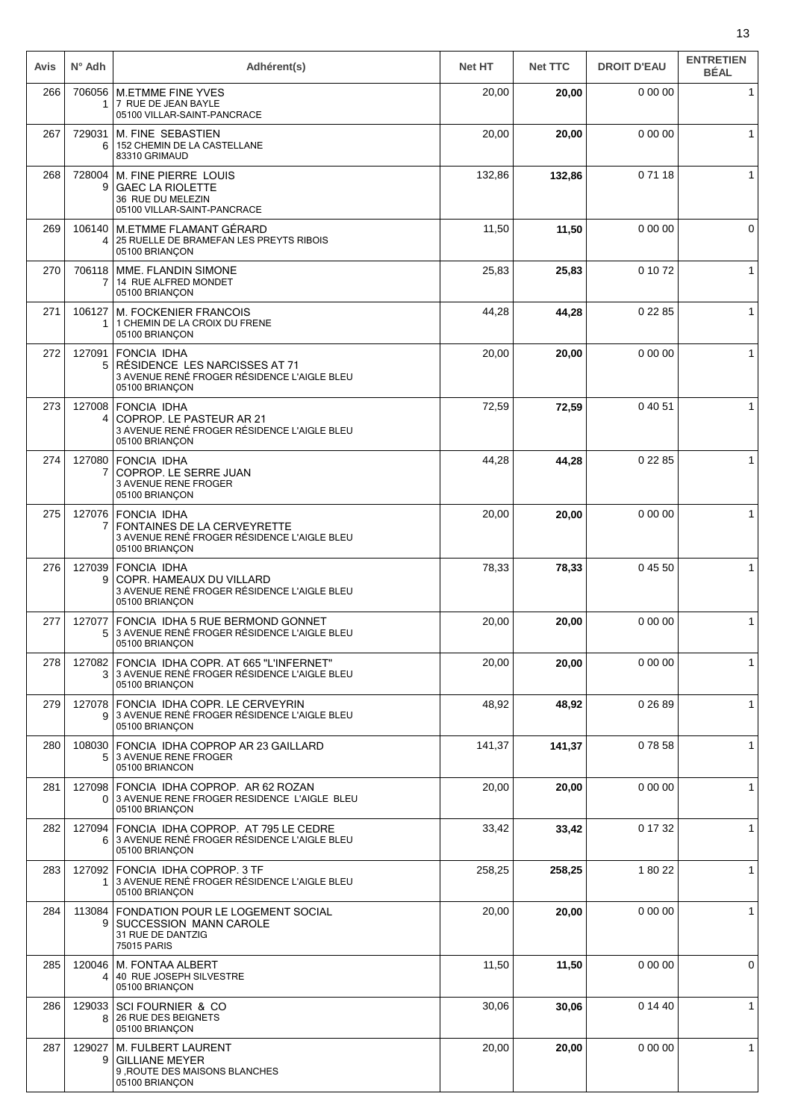| Avis | $N^{\circ}$ Adh          | Adhérent(s)                                                                                                          | <b>Net HT</b> | <b>Net TTC</b> | <b>DROIT D'EAU</b> | <b>ENTRETIEN</b><br><b>BÉAL</b> |
|------|--------------------------|----------------------------------------------------------------------------------------------------------------------|---------------|----------------|--------------------|---------------------------------|
| 266  | 1.                       | 706056   M.ETMME FINE YVES<br>7 RUE DE JEAN BAYLE<br>05100 VILLAR-SAINT-PANCRACE                                     | 20,00         | 20,00          | 0 00 00            | $\mathbf{1}$                    |
| 267  | 6                        | 729031   M. FINE SEBASTIEN<br>152 CHEMIN DE LA CASTELLANE<br>83310 GRIMAUD                                           | 20,00         | 20,00          | 0 00 00            | $\mathbf{1}$                    |
| 268  | 728004<br>9              | M. FINE PIERRE LOUIS<br><b>GAEC LA RIOLETTE</b><br>36 RUE DU MELEZIN<br>05100 VILLAR-SAINT-PANCRACE                  | 132,86        | 132,86         | 07118              | 1                               |
| 269  | 4                        | 106140   M.ETMME FLAMANT GÉRARD<br>25 RUELLE DE BRAMEFAN LES PREYTS RIBOIS<br>05100 BRIANÇON                         | 11,50         | 11,50          | 0 00 00            | 0                               |
| 270  | 7                        | 706118   MME. FLANDIN SIMONE<br>14 RUE ALFRED MONDET<br>05100 BRIANÇON                                               | 25,83         | 25,83          | 0 10 72            | 1                               |
| 271  | 106127<br>$\mathbf{1}$   | <b>M. FOCKENIER FRANCOIS</b><br>1 CHEMIN DE LA CROIX DU FRENE<br>05100 BRIANÇON                                      | 44,28         | 44,28          | 0 22 85            | 1                               |
| 272  | 127091<br>5 <sup>1</sup> | <b>FONCIA IDHA</b><br>RÉSIDENCE LES NARCISSES AT 71<br>3 AVENUE RENÉ FROGER RÉSIDENCE L'AIGLE BLEU<br>05100 BRIANÇON | 20,00         | 20,00          | 0 00 00            | 1                               |
| 273  | 4                        | 127008 FONCIA IDHA<br>COPROP. LE PASTEUR AR 21<br>3 AVENUE RENÉ FROGER RÉSIDENCE L'AIGLE BLEU<br>05100 BRIANÇON      | 72,59         | 72,59          | 0 40 51            |                                 |
| 274  | 7                        | 127080 FONCIA IDHA<br>COPROP. LE SERRE JUAN<br>3 AVENUE RENE FROGER<br>05100 BRIANÇON                                | 44,28         | 44,28          | 0 22 85            | $\mathbf{1}$                    |
| 275  | 7                        | 127076 FONCIA IDHA<br>FONTAINES DE LA CERVEYRETTE<br>3 AVENUE RENÉ FROGER RÉSIDENCE L'AIGLE BLEU<br>05100 BRIANÇON   | 20,00         | 20,00          | 0 00 00            | $\mathbf{1}$                    |
| 276  | 127039<br>9              | <b>FONCIA IDHA</b><br>COPR. HAMEAUX DU VILLARD<br>3 AVENUE RENÉ FROGER RÉSIDENCE L'AIGLE BLEU<br>05100 BRIANÇON      | 78,33         | 78,33          | 0 45 50            | 1                               |
| 277  | 127077<br>5              | FONCIA IDHA 5 RUE BERMOND GONNET<br>3 AVENUE RENÉ FROGER RÉSIDENCE L'AIGLE BLEU<br>05100 BRIANÇON                    | 20,00         | 20,00          | 0 00 00            | 1                               |
| 278  | 3 <sup>1</sup>           | 127082 FONCIA IDHA COPR. AT 665 "L'INFERNET"<br>3 AVENUE RENÉ FROGER RÉSIDENCE L'AIGLE BLEU<br>05100 BRIANÇON        | 20,00         | 20,00          | 0 00 00            | 1                               |
| 279  | 9 <sup>1</sup>           | 127078   FONCIA IDHA COPR. LE CERVEYRIN<br>3 AVENUE RENÉ FROGER RÉSIDENCE L'AIGLE BLEU<br>05100 BRIANÇON             | 48,92         | 48,92          | 0 26 89            | 1                               |
| 280  | 108030<br>5.             | FONCIA IDHA COPROP AR 23 GAILLARD<br>3 AVENUE RENE FROGER<br>05100 BRIANCON                                          | 141,37        | 141,37         | 07858              | $\mathbf{1}$                    |
| 281  |                          | 127098 FONCIA IDHA COPROP. AR 62 ROZAN<br>0 3 AVENUE RENE FROGER RESIDENCE L'AIGLE BLEU<br>05100 BRIANÇON            | 20,00         | 20,00          | 0 00 00            | $\mathbf 1$                     |
| 282  | 6                        | 127094   FONCIA IDHA COPROP. AT 795 LE CEDRE<br>3 AVENUE RENÉ FROGER RÉSIDENCE L'AIGLE BLEU<br>05100 BRIANÇON        | 33,42         | 33,42          | 0 17 32            | $\mathbf{1}$                    |
| 283  | 1.                       | 127092 FONCIA IDHA COPROP. 3 TF<br>3 AVENUE RENÉ FROGER RÉSIDENCE L'AIGLE BLEU<br>05100 BRIANÇON                     | 258,25        | 258,25         | 1 80 22            | 1                               |
| 284  | 113084<br>9              | FONDATION POUR LE LOGEMENT SOCIAL<br>SUCCESSION MANN CAROLE<br>31 RUE DE DANTZIG<br>75015 PARIS                      | 20,00         | 20,00          | 0 00 00            | 1                               |
| 285  | 120046<br>4              | M. FONTAA ALBERT<br>40 RUE JOSEPH SILVESTRE<br>05100 BRIANÇON                                                        | 11,50         | 11,50          | 0 00 00            | 0                               |
| 286  | 129033<br>8              | SCI FOURNIER & CO<br>26 RUE DES BEIGNETS<br>05100 BRIANÇON                                                           | 30,06         | 30,06          | 0 14 40            | $\mathbf 1$                     |
| 287  | 129027<br>9              | M. FULBERT LAURENT<br><b>GILLIANE MEYER</b><br>9, ROUTE DES MAISONS BLANCHES<br>05100 BRIANÇON                       | 20,00         | 20,00          | 0 00 00            | $\mathbf 1$                     |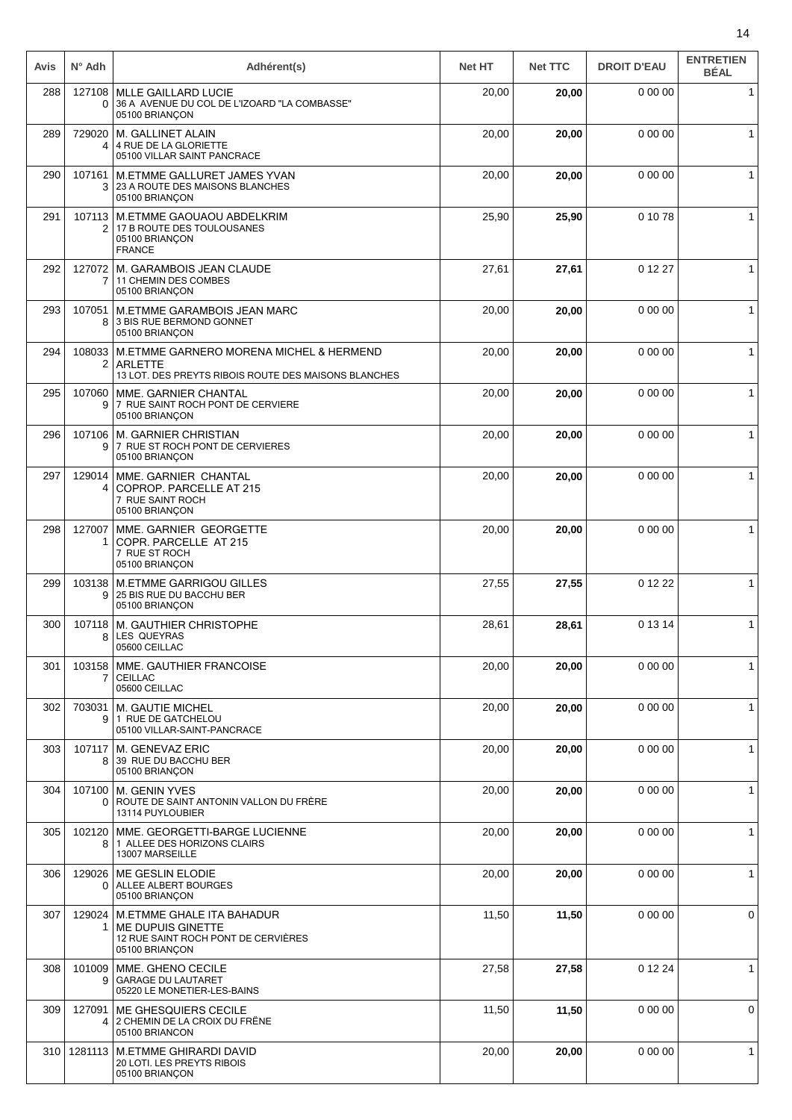| Avis | $N^{\circ}$ Adh    | Adhérent(s)                                                                                                       | <b>Net HT</b> | <b>Net TTC</b> | <b>DROIT D'EAU</b> | <b>ENTRETIEN</b><br><b>BÉAL</b> |
|------|--------------------|-------------------------------------------------------------------------------------------------------------------|---------------|----------------|--------------------|---------------------------------|
| 288  | 127108<br>0        | <b>MLLE GAILLARD LUCIE</b><br>36 A AVENUE DU COL DE L'IZOARD "LA COMBASSE"<br>05100 BRIANCON                      | 20,00         | 20,00          | 0 00 00            | $\mathbf{1}$                    |
| 289  | 729020<br>4        | M. GALLINET ALAIN<br>4 RUE DE LA GLORIETTE<br>05100 VILLAR SAINT PANCRACE                                         | 20,00         | 20,00          | 0 00 00            | $\mathbf{1}$                    |
| 290  | 107161<br>3        | M.ETMME GALLURET JAMES YVAN<br>23 A ROUTE DES MAISONS BLANCHES<br>05100 BRIANÇON                                  | 20,00         | 20,00          | 0 00 00            | 1                               |
| 291  | 107113<br>2        | M.ETMME GAOUAOU ABDELKRIM<br>17 B ROUTE DES TOULOUSANES<br>05100 BRIANÇON<br><b>FRANCE</b>                        | 25,90         | 25,90          | 0 10 78            | $\mathbf 1$                     |
| 292  | 127072             | M. GARAMBOIS JEAN CLAUDE<br>11 CHEMIN DES COMBES<br>05100 BRIANÇON                                                | 27,61         | 27,61          | 0 12 27            | $\mathbf{1}$                    |
| 293  | 107051<br>8        | M. ETMME GARAMBOIS JEAN MARC<br>3 BIS RUE BERMOND GONNET<br>05100 BRIANÇON                                        | 20,00         | 20,00          | 0 00 00            | $\mathbf{1}$                    |
| 294  | 108033<br>2        | M.ETMME GARNERO MORENA MICHEL & HERMEND<br><b>ARLETTE</b><br>13 LOT. DES PREYTS RIBOIS ROUTE DES MAISONS BLANCHES | 20,00         | 20,00          | 0 00 00            | $\mathbf{1}$                    |
| 295  | 107060<br>9        | MME. GARNIER CHANTAL<br>7 RUE SAINT ROCH PONT DE CERVIERE<br>05100 BRIANÇON                                       | 20,00         | 20,00          | 0 00 00            | $\mathbf{1}$                    |
| 296  | 107106<br>9        | M. GARNIER CHRISTIAN<br>7 RUE ST ROCH PONT DE CERVIERES<br>05100 BRIANÇON                                         | 20,00         | 20,00          | 0 00 00            | $\mathbf{1}$                    |
| 297  | 129014<br>4        | MME. GARNIER CHANTAL<br>COPROP. PARCELLE AT 215<br>7 RUE SAINT ROCH<br>05100 BRIANÇON                             | 20,00         | 20,00          | 0 00 00            | $\mathbf{1}$                    |
| 298  | 127007<br>1        | MME. GARNIER GEORGETTE<br>COPR. PARCELLE AT 215<br>7 RUE ST ROCH<br>05100 BRIANCON                                | 20,00         | 20,00          | 0 00 00            | $\mathbf{1}$                    |
| 299  | 103138<br>9        | <b>M.ETMME GARRIGOU GILLES</b><br>25 BIS RUE DU BACCHU BER<br>05100 BRIANÇON                                      | 27,55         | 27,55          | 0 12 22            | $\mathbf{1}$                    |
| 300  | 107118<br>8        | M. GAUTHIER CHRISTOPHE<br><b>LES QUEYRAS</b><br>05600 CEILLAC                                                     | 28,61         | 28,61          | 0 13 14            | $\mathbf 1$                     |
| 301  | 103158<br>7        | MME. GAUTHIER FRANCOISE<br><b>CEILLAC</b><br>05600 CEILLAC                                                        | 20,00         | 20,00          | 0 00 00            | $\mathbf{1}$                    |
| 302  | 703031<br>9        | M. GAUTIE MICHEL<br>1 RUE DE GATCHELOU<br>05100 VILLAR-SAINT-PANCRACE                                             | 20,00         | 20,00          | 0 00 00            | $\mathbf{1}$                    |
| 303  | 107117<br>8        | M. GENEVAZ ERIC<br>39 RUE DU BACCHU BER<br>05100 BRIANÇON                                                         | 20,00         | 20,00          | 0 00 00            | 1                               |
| 304  | 107100<br>$\Omega$ | <b>M. GENIN YVES</b><br>ROUTE DE SAINT ANTONIN VALLON DU FRÈRE<br>13114 PUYLOUBIER                                | 20,00         | 20,00          | 0 00 00            | $\mathbf{1}$                    |
| 305  | 102120<br>8        | MME. GEORGETTI-BARGE LUCIENNE<br>1 ALLEE DES HORIZONS CLAIRS<br>13007 MARSEILLE                                   | 20,00         | 20,00          | 0 00 00            | $\mathbf{1}$                    |
| 306  | 129026<br>0        | ME GESLIN ELODIE<br>ALLEE ALBERT BOURGES<br>05100 BRIANÇON                                                        | 20,00         | 20,00          | 0 00 00            | $\mathbf{1}$                    |
| 307  | 129024<br>1        | M.ETMME GHALE ITA BAHADUR<br>ME DUPUIS GINETTE<br>12 RUE SAINT ROCH PONT DE CERVIÈRES<br>05100 BRIANÇON           | 11,50         | 11,50          | 0 00 00            | 0                               |
| 308  | 101009<br>9        | MME. GHENO CECILE<br><b>GARAGE DU LAUTARET</b><br>05220 LE MONETIER-LES-BAINS                                     | 27,58         | 27,58          | 0 12 24            | $\mathbf{1}$                    |
| 309  | 127091<br>4        | ME GHESQUIERS CECILE<br>2 CHEMIN DE LA CROIX DU FRÊNE<br>05100 BRIANCON                                           | 11,50         | 11,50          | 0 00 00            | 0                               |
| 310  | 1281113            | <b>M.ETMME GHIRARDI DAVID</b><br>20 LOTI. LES PREYTS RIBOIS<br>05100 BRIANÇON                                     | 20,00         | 20,00          | 0 00 00            | $\mathbf{1}$                    |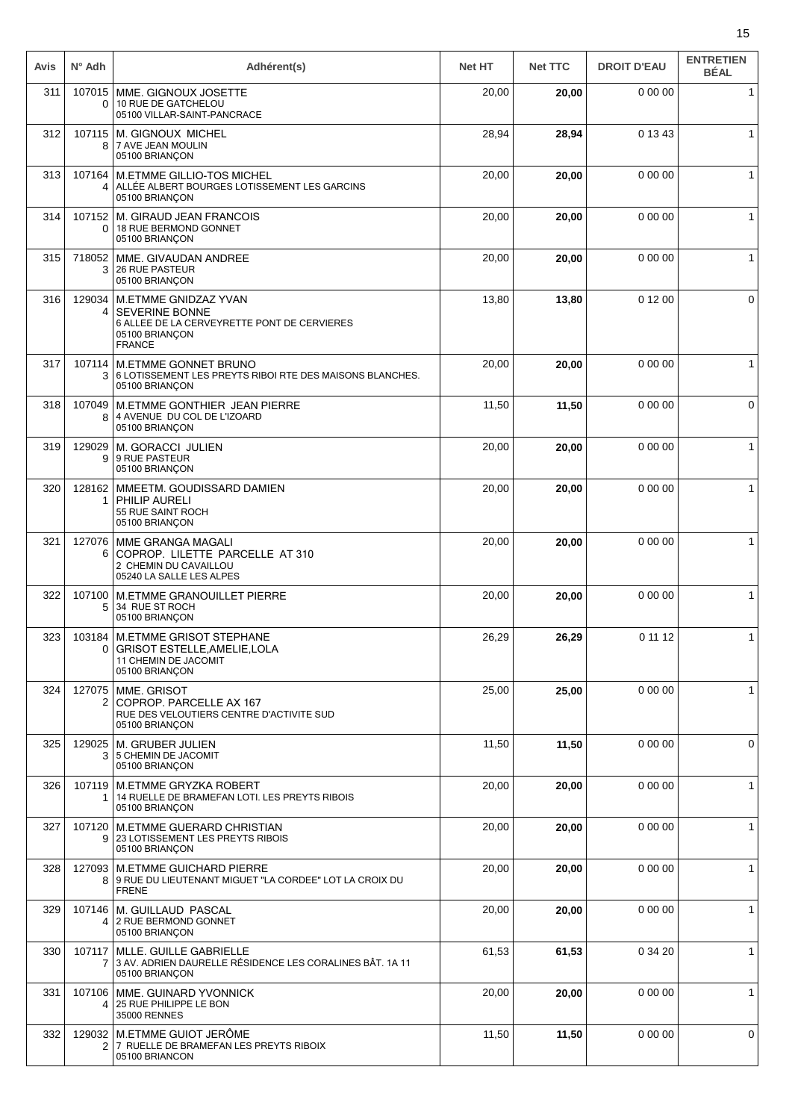| Avis | $N^{\circ}$ Adh          | Adhérent(s)                                                                                                                     | <b>Net HT</b> | <b>Net TTC</b> | <b>DROIT D'EAU</b> | <b>ENTRETIEN</b><br><b>BÉAL</b> |
|------|--------------------------|---------------------------------------------------------------------------------------------------------------------------------|---------------|----------------|--------------------|---------------------------------|
| 311  | 107015<br>0              | MME. GIGNOUX JOSETTE<br>10 RUE DE GATCHELOU<br>05100 VILLAR-SAINT-PANCRACE                                                      | 20,00         | 20,00          | 0 00 00            | $\mathbf{1}$                    |
| 312  | 8                        | 107115   M. GIGNOUX MICHEL<br>7 AVE JEAN MOULIN<br>05100 BRIANÇON                                                               | 28,94         | 28,94          | 0 13 43            | $\mathbf{1}$                    |
| 313  | 107164<br>4              | M.ETMME GILLIO-TOS MICHEL<br>ALLÉE ALBERT BOURGES LOTISSEMENT LES GARCINS<br>05100 BRIANCON                                     | 20,00         | 20,00          | 0 00 00            | 1                               |
| 314  | 107152<br>$\Omega$       | M. GIRAUD JEAN FRANCOIS<br>18 RUE BERMOND GONNET<br>05100 BRIANÇON                                                              | 20,00         | 20,00          | 0 00 00            | 1                               |
| 315  | 718052<br>3              | MME. GIVAUDAN ANDREE<br><b>26 RUE PASTEUR</b><br>05100 BRIANÇON                                                                 | 20,00         | 20,00          | 0 00 00            | $\mathbf{1}$                    |
| 316  | 129034<br>4              | M.ETMME GNIDZAZ YVAN<br><b>SEVERINE BONNE</b><br>6 ALLEE DE LA CERVEYRETTE PONT DE CERVIERES<br>05100 BRIANÇON<br><b>FRANCE</b> | 13,80         | 13,80          | 0 12 00            | 0                               |
| 317  | 107114<br>3              | <b>M.ETMME GONNET BRUNO</b><br>6 LOTISSEMENT LES PREYTS RIBOI RTE DES MAISONS BLANCHES.<br>05100 BRIANÇON                       | 20,00         | 20,00          | 0 00 00            | $\mathbf{1}$                    |
| 318  | 107049<br>8              | M.ETMME GONTHIER JEAN PIERRE<br>4 AVENUE DU COL DE L'IZOARD<br>05100 BRIANCON                                                   | 11,50         | 11,50          | 0 00 00            | 0                               |
| 319  | 129029<br>9              | <b>M. GORACCI JULIEN</b><br>9 RUE PASTEUR<br>05100 BRIANÇON                                                                     | 20,00         | 20,00          | 0 00 00            | $\mathbf{1}$                    |
| 320  | 128162<br>1              | MMEETM. GOUDISSARD DAMIEN<br><b>PHILIP AURELI</b><br>55 RUE SAINT ROCH<br>05100 BRIANÇON                                        | 20,00         | 20,00          | 0 00 00            | $\mathbf{1}$                    |
| 321  | 127076<br>6              | MME GRANGA MAGALI<br>COPROP. LILETTE PARCELLE AT 310<br>2 CHEMIN DU CAVAILLOU<br>05240 LA SALLE LES ALPES                       | 20,00         | 20,00          | 0 00 00            | $\mathbf{1}$                    |
| 322  | 107100<br>5              | M.ETMME GRANOUILLET PIERRE<br>34 RUE ST ROCH<br>05100 BRIANÇON                                                                  | 20,00         | 20,00          | 0 00 00            | $\mathbf{1}$                    |
| 323  | 0                        | 103184 M.ETMME GRISOT STEPHANE<br>GRISOT ESTELLE, AMELIE, LOLA<br>11 CHEMIN DE JACOMIT<br>05100 BRIANÇON                        | 26,29         | 26,29          | 0 11 12            | 1                               |
| 324  | 127075<br>2 <sub>1</sub> | MME. GRISOT<br>COPROP. PARCELLE AX 167<br>RUE DES VELOUTIERS CENTRE D'ACTIVITE SUD<br>05100 BRIANÇON                            | 25,00         | 25,00          | 0 00 00            | $\mathbf 1$                     |
| 325  | 129025<br>3              | M. GRUBER JULIEN<br>5 CHEMIN DE JACOMIT<br>05100 BRIANÇON                                                                       | 11,50         | 11,50          | 0 00 00            | 0                               |
| 326  | 107119<br>1.             | M.ETMME GRYZKA ROBERT<br>14 RUELLE DE BRAMEFAN LOTI. LES PREYTS RIBOIS<br>05100 BRIANÇON                                        | 20,00         | 20,00          | 0 00 00            | $\mathbf{1}$                    |
| 327  | 9                        | 107120   M.ETMME GUERARD CHRISTIAN<br>23 LOTISSEMENT LES PREYTS RIBOIS<br>05100 BRIANÇON                                        | 20,00         | 20,00          | 0 00 00            | $\mathbf{1}$                    |
| 328  |                          | 127093   M.ETMME GUICHARD PIERRE<br>8 9 RUE DU LIEUTENANT MIGUET "LA CORDEE" LOT LA CROIX DU<br><b>FRENE</b>                    | 20,00         | 20,00          | 0 00 00            | $\mathbf{1}$                    |
| 329  |                          | 107146   M. GUILLAUD PASCAL<br>4 2 RUE BERMOND GONNET<br>05100 BRIANÇON                                                         | 20,00         | 20,00          | 0 00 00            | $\mathbf{1}$                    |
| 330  | 107117<br>7              | MLLE. GUILLE GABRIELLE<br>3 AV. ADRIEN DAURELLE RÉSIDENCE LES CORALINES BÂT. 1A 11<br>05100 BRIANÇON                            | 61,53         | 61,53          | 0 34 20            | $\mathbf 1$                     |
| 331  | 107106<br>4              | MME. GUINARD YVONNICK<br>25 RUE PHILIPPE LE BON<br>35000 RENNES                                                                 | 20,00         | 20,00          | 0 00 00            | $\mathbf{1}$                    |
| 332  | 2                        | 129032 M.ETMME GUIOT JERÔME<br>7 RUELLE DE BRAMEFAN LES PREYTS RIBOIX<br>05100 BRIANCON                                         | 11,50         | 11,50          | 0 00 00            | 0                               |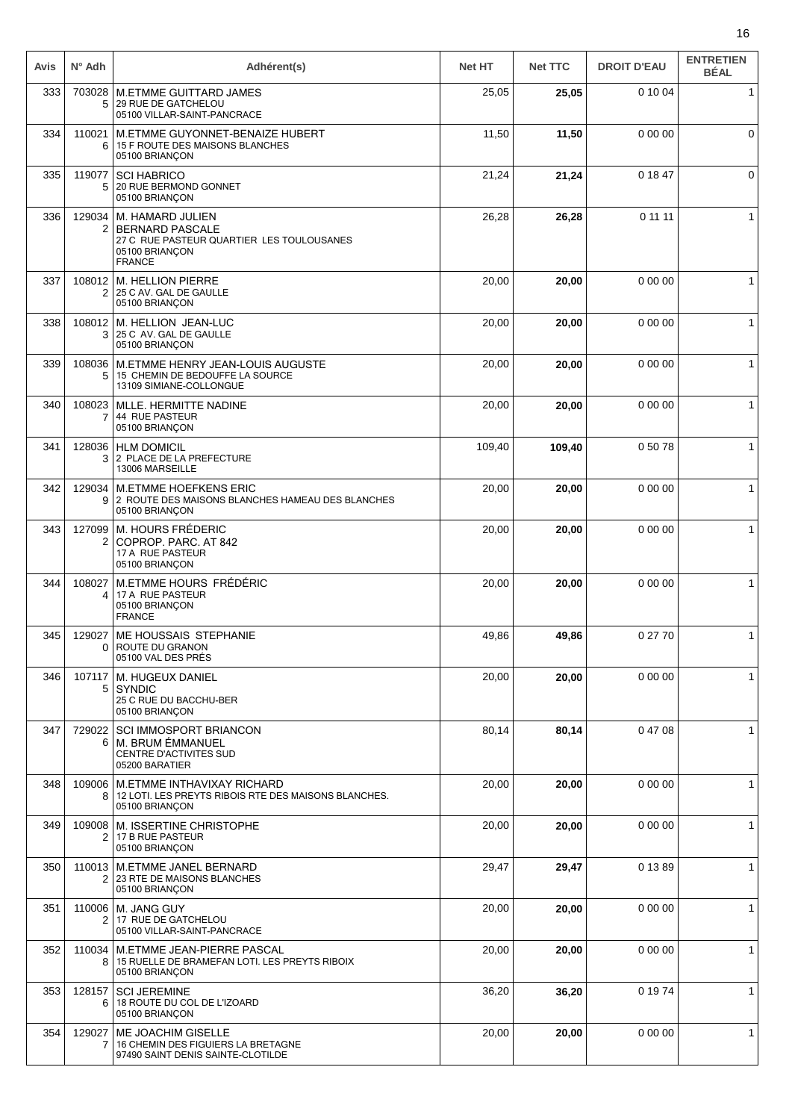| Avis | $N^{\circ}$ Adh          | Adhérent(s)                                                                                                                      | <b>Net HT</b> | <b>Net TTC</b> | <b>DROIT D'EAU</b> | <b>ENTRETIEN</b><br><b>BÉAL</b> |
|------|--------------------------|----------------------------------------------------------------------------------------------------------------------------------|---------------|----------------|--------------------|---------------------------------|
| 333  | 703028<br>5              | <b>M.ETMME GUITTARD JAMES</b><br>29 RUE DE GATCHELOU<br>05100 VILLAR-SAINT-PANCRACE                                              | 25,05         | 25,05          | 0 10 04            | $\mathbf{1}$                    |
| 334  | 110021<br>6              | M.ETMME GUYONNET-BENAIZE HUBERT<br>15 F ROUTE DES MAISONS BLANCHES<br>05100 BRIANÇON                                             | 11,50         | 11,50          | 0 00 00            | $\mathbf 0$                     |
| 335  | 119077<br>5.             | <b>SCI HABRICO</b><br>20 RUE BERMOND GONNET<br>05100 BRIANÇON                                                                    | 21,24         | 21,24          | 0 18 47            | $\mathbf 0$                     |
| 336  |                          | 129034   M. HAMARD JULIEN<br>2   BERNARD PASCALE<br>27 C RUE PASTEUR QUARTIER LES TOULOUSANES<br>05100 BRIANCON<br><b>FRANCE</b> | 26,28         | 26,28          | 0 11 11            | $\mathbf{1}$                    |
| 337  | $\overline{2}$           | 108012 M. HELLION PIERRE<br>25 C AV. GAL DE GAULLE<br>05100 BRIANÇON                                                             | 20,00         | 20,00          | 0 00 00            | $\mathbf{1}$                    |
| 338  | 108012<br>3              | M. HELLION JEAN-LUC<br>25 C AV. GAL DE GAULLE<br>05100 BRIANÇON                                                                  | 20,00         | 20,00          | 0 00 00            | $\mathbf{1}$                    |
| 339  | 108036<br>5              | M.ETMME HENRY JEAN-LOUIS AUGUSTE<br>15 CHEMIN DE BEDOUFFE LA SOURCE<br>13109 SIMIANE-COLLONGUE                                   | 20,00         | 20,00          | 0 00 00            | $\mathbf{1}$                    |
| 340  | 108023<br>7              | MLLE. HERMITTE NADINE<br>44 RUE PASTEUR<br>05100 BRIANÇON                                                                        | 20,00         | 20,00          | 0 00 00            | $\mathbf{1}$                    |
| 341  | 128036<br>3              | <b>HLM DOMICIL</b><br>2 PLACE DE LA PREFECTURE<br>13006 MARSEILLE                                                                | 109,40        | 109,40         | 0 50 78            | $\mathbf{1}$                    |
| 342  | 129034<br>9 <sup>1</sup> | <b>M.ETMME HOEFKENS ERIC</b><br>2 ROUTE DES MAISONS BLANCHES HAMEAU DES BLANCHES<br>05100 BRIANÇON                               | 20,00         | 20,00          | 0 00 00            | $\mathbf{1}$                    |
| 343  | 127099<br>2              | M. HOURS FRÉDERIC<br>COPROP. PARC. AT 842<br>17 A RUE PASTEUR<br>05100 BRIANÇON                                                  | 20,00         | 20,00          | 0 00 00            | $\mathbf{1}$                    |
| 344  | 108027<br>4              | M.ETMME HOURS FRÉDÉRIC<br>17 A RUE PASTEUR<br>05100 BRIANCON<br><b>FRANCE</b>                                                    | 20,00         | 20,00          | 0 00 00            | $\mathbf{1}$                    |
| 345  | 129027                   | ME HOUSSAIS STEPHANIE<br>ROUTE DU GRANON<br>05100 VAL DES PRÉS                                                                   | 49,86         | 49,86          | 0 27 70            | $\mathbf{1}$                    |
| 346  | 107117<br>5              | M. HUGEUX DANIEL<br><b>SYNDIC</b><br>25 C RUE DU BACCHU-BER<br>05100 BRIANÇON                                                    | 20,00         | 20,00          | 0 00 00            | 1                               |
| 347  | 729022<br>6              | <b>SCI IMMOSPORT BRIANCON</b><br>M. BRUM ÉMMANUEL<br>CENTRE D'ACTIVITES SUD<br>05200 BARATIER                                    | 80,14         | 80,14          | 04708              | $\mathbf 1$                     |
| 348  | 8                        | 109006   M.ETMME INTHAVIXAY RICHARD<br>12 LOTI. LES PREYTS RIBOIS RTE DES MAISONS BLANCHES.<br>05100 BRIANÇON                    | 20,00         | 20,00          | 0 00 00            | $\mathbf{1}$                    |
| 349  | 109008<br>2              | M. ISSERTINE CHRISTOPHE<br>17 B RUE PASTEUR<br>05100 BRIANÇON                                                                    | 20,00         | 20,00          | 0 00 00            | 1                               |
| 350  |                          | 110013   M.ETMME JANEL BERNARD<br>2   23 RTE DE MAISONS BLANCHES<br>05100 BRIANÇON                                               | 29,47         | 29,47          | 0 13 89            | $\mathbf{1}$                    |
| 351  | 2                        | 110006   M. JANG GUY<br>17 RUE DE GATCHELOU<br>05100 VILLAR-SAINT-PANCRACE                                                       | 20,00         | 20,00          | 0 00 00            | $\mathbf{1}$                    |
| 352  | 110034<br>8              | M.ETMME JEAN-PIERRE PASCAL<br>15 RUELLE DE BRAMEFAN LOTI. LES PREYTS RIBOIX<br>05100 BRIANÇON                                    | 20,00         | 20,00          | 0 00 00            | $\mathbf{1}$                    |
| 353  | 128157<br>6              | <b>SCI JEREMINE</b><br>18 ROUTE DU COL DE L'IZOARD<br>05100 BRIANÇON                                                             | 36,20         | 36,20          | 0 19 74            | $\mathbf{1}$                    |
| 354  | 129027<br>7              | <b>ME JOACHIM GISELLE</b><br>16 CHEMIN DES FIGUIERS LA BRETAGNE<br>97490 SAINT DENIS SAINTE-CLOTILDE                             | 20,00         | 20,00          | 0 00 00            | 1                               |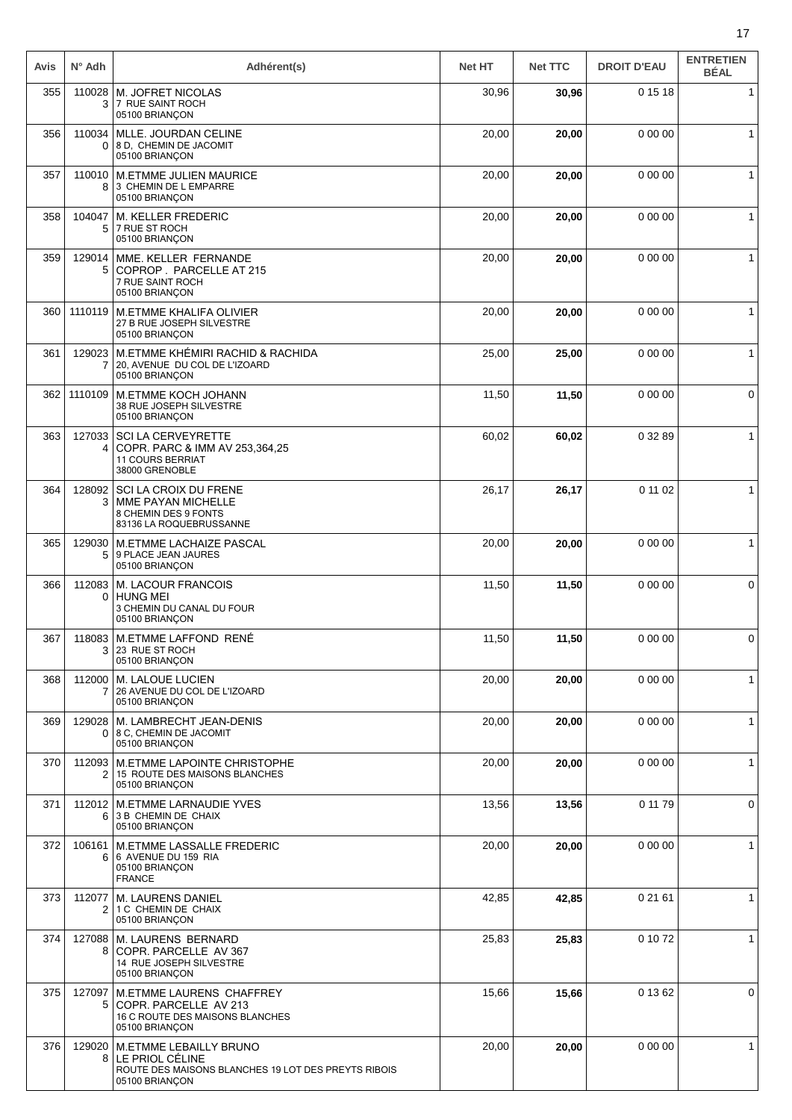| Avis | $N^{\circ}$ Adh          | Adhérent(s)                                                                                                                   | <b>Net HT</b> | <b>Net TTC</b> | <b>DROIT D'EAU</b> | <b>ENTRETIEN</b><br><b>BÉAL</b> |
|------|--------------------------|-------------------------------------------------------------------------------------------------------------------------------|---------------|----------------|--------------------|---------------------------------|
| 355  | 110028<br>3              | M. JOFRET NICOLAS<br>7 RUE SAINT ROCH<br>05100 BRIANÇON                                                                       | 30,96         | 30,96          | 0 15 18            | $\mathbf{1}$                    |
| 356  | 110034<br>0              | MLLE. JOURDAN CELINE<br>8 D. CHEMIN DE JACOMIT<br>05100 BRIANÇON                                                              | 20,00         | 20,00          | 0 00 00            | $\mathbf{1}$                    |
| 357  | 110010<br>8              | <b>M.ETMME JULIEN MAURICE</b><br>3 CHEMIN DE L EMPARRE<br>05100 BRIANÇON                                                      | 20,00         | 20,00          | 0 00 00            | 1                               |
| 358  | 104047<br>5              | <b>M. KELLER FREDERIC</b><br>7 RUE ST ROCH<br>05100 BRIANÇON                                                                  | 20,00         | 20,00          | 0 00 00            | $\mathbf 1$                     |
| 359  | 129014<br>5              | MME. KELLER FERNANDE<br>COPROP. PARCELLE AT 215<br>7 RUE SAINT ROCH<br>05100 BRIANÇON                                         | 20,00         | 20,00          | 0 00 00            | $\mathbf{1}$                    |
| 360  | 1110119                  | <b>M.ETMME KHALIFA OLIVIER</b><br>27 B RUE JOSEPH SILVESTRE<br>05100 BRIANÇON                                                 | 20,00         | 20,00          | 0 00 00            | 1                               |
| 361  | 129023<br>$\overline{7}$ | M.ETMME KHÉMIRI RACHID & RACHIDA<br>20, AVENUE DU COL DE L'IZOARD<br>05100 BRIANÇON                                           | 25,00         | 25,00          | 0 00 00            | $\mathbf{1}$                    |
| 362  | 1110109                  | M.ETMME KOCH JOHANN<br>38 RUE JOSEPH SILVESTRE<br>05100 BRIANÇON                                                              | 11,50         | 11,50          | 0 00 00            | $\mathbf 0$                     |
| 363  | 127033<br>4              | <b>SCI LA CERVEYRETTE</b><br>COPR. PARC & IMM AV 253,364,25<br><b>11 COURS BERRIAT</b><br>38000 GRENOBLE                      | 60,02         | 60,02          | 0 32 89            | $\mathbf{1}$                    |
| 364  | 128092<br>3              | SCI LA CROIX DU FRENE<br><b>MME PAYAN MICHELLE</b><br>8 CHEMIN DES 9 FONTS<br>83136 LA ROQUEBRUSSANNE                         | 26,17         | 26,17          | 0 11 02            | $\mathbf{1}$                    |
| 365  | 129030<br>5              | M.ETMME LACHAIZE PASCAL<br>9 PLACE JEAN JAURES<br>05100 BRIANÇON                                                              | 20,00         | 20,00          | 0 00 00            | $\mathbf{1}$                    |
| 366  | 112083<br>0              | <b>M. LACOUR FRANCOIS</b><br><b>HUNG MEI</b><br>3 CHEMIN DU CANAL DU FOUR<br>05100 BRIANÇON                                   | 11,50         | 11,50          | 0 00 00            | 0                               |
| 367  | 3                        | 118083 M.ETMME LAFFOND RENÉ<br>23 RUE ST ROCH<br>05100 BRIANÇON                                                               | 11,50         | 11,50          | 0 00 00            | 0                               |
| 368  | 112000<br>$\overline{7}$ | M. LALOUE LUCIEN<br>26 AVENUE DU COL DE L'IZOARD<br>05100 BRIANÇON                                                            | 20,00         | 20,00          | 0 00 00            | 1                               |
| 369  | 129028                   | M. LAMBRECHT JEAN-DENIS<br>0 8 C, CHEMIN DE JACOMIT<br>05100 BRIANÇON                                                         | 20,00         | 20,00          | 0 00 00            | $\mathbf{1}$                    |
| 370  | 2                        | 112093 M.ETMME LAPOINTE CHRISTOPHE<br>15 ROUTE DES MAISONS BLANCHES<br>05100 BRIANÇON                                         | 20,00         | 20,00          | 0 00 00            | $\mathbf{1}$                    |
| 371  | 6                        | 112012 M.ETMME LARNAUDIE YVES<br>3 B CHEMIN DE CHAIX<br>05100 BRIANÇON                                                        | 13,56         | 13,56          | 0 11 79            | 0                               |
| 372  | 106161<br>6              | M.ETMME LASSALLE FREDERIC<br>6 AVENUE DU 159 RIA<br>05100 BRIANÇON<br><b>FRANCE</b>                                           | 20,00         | 20,00          | 0 00 00            | $\mathbf{1}$                    |
| 373  | 112077<br>2              | <b>M. LAURENS DANIEL</b><br>1 C CHEMIN DE CHAIX<br>05100 BRIANÇON                                                             | 42,85         | 42,85          | 0 21 61            | $\mathbf{1}$                    |
| 374  | 8                        | 127088   M. LAURENS BERNARD<br>COPR. PARCELLE AV 367<br>14 RUE JOSEPH SILVESTRE<br>05100 BRIANÇON                             | 25,83         | 25,83          | 0 10 72            | $\mathbf{1}$                    |
| 375  | 127097<br>5              | M.ETMME LAURENS CHAFFREY<br>COPR. PARCELLE AV 213<br>16 C ROUTE DES MAISONS BLANCHES<br>05100 BRIANÇON                        | 15,66         | 15,66          | 0 13 62            | 0                               |
| 376  | 129020                   | <b>M.ETMME LEBAILLY BRUNO</b><br>8   LE PRIOL CÉLINE<br>ROUTE DES MAISONS BLANCHES 19 LOT DES PREYTS RIBOIS<br>05100 BRIANÇON | 20,00         | 20,00          | 0 00 00            | $\mathbf{1}$                    |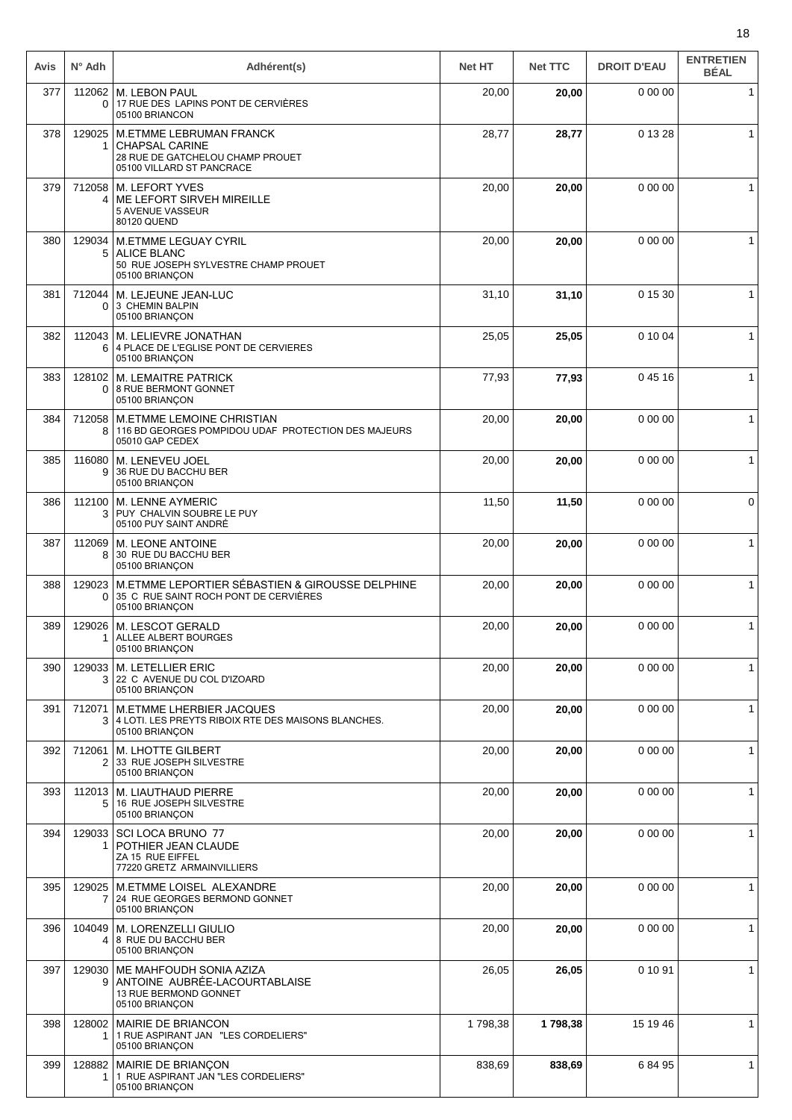| Avis | $N^{\circ}$ Adh        | Adhérent(s)                                                                                                       | <b>Net HT</b> | <b>Net TTC</b> | <b>DROIT D'EAU</b> | <b>ENTRETIEN</b><br><b>BÉAL</b> |
|------|------------------------|-------------------------------------------------------------------------------------------------------------------|---------------|----------------|--------------------|---------------------------------|
| 377  | 112062<br>0            | <b>M. LEBON PAUL</b><br>17 RUE DES LAPINS PONT DE CERVIÈRES<br>05100 BRIANCON                                     | 20,00         | 20,00          | 0 00 00            | $\mathbf{1}$                    |
| 378  | 129025                 | M.ETMME LEBRUMAN FRANCK<br><b>CHAPSAL CARINE</b><br>28 RUE DE GATCHELOU CHAMP PROUET<br>05100 VILLARD ST PANCRACE | 28,77         | 28,77          | 0 13 28            | $\mathbf{1}$                    |
| 379  | 712058<br>4            | <b>M. LEFORT YVES</b><br>ME LEFORT SIRVEH MIREILLE<br>5 AVENUE VASSEUR<br>80120 QUEND                             | 20,00         | 20,00          | 0 00 00            | $\mathbf{1}$                    |
| 380  | 129034<br>5            | <b>M.ETMME LEGUAY CYRIL</b><br><b>ALICE BLANC</b><br>50 RUE JOSEPH SYLVESTRE CHAMP PROUET<br>05100 BRIANÇON       | 20,00         | 20,00          | 0 00 00            | $\mathbf{1}$                    |
| 381  | 712044<br>0            | M. LEJEUNE JEAN-LUC<br>3 CHEMIN BALPIN<br>05100 BRIANÇON                                                          | 31,10         | 31,10          | 0 15 30            | 1                               |
| 382  | 112043<br>6            | M. LELIEVRE JONATHAN<br>4 PLACE DE L'EGLISE PONT DE CERVIERES<br>05100 BRIANÇON                                   | 25,05         | 25,05          | 0 10 04            | $\mathbf{1}$                    |
| 383  | 128102<br>0            | <b>M. LEMAITRE PATRICK</b><br>8 RUE BERMONT GONNET<br>05100 BRIANÇON                                              | 77,93         | 77,93          | 04516              | $\mathbf{1}$                    |
| 384  | 712058<br>8            | M.ETMME LEMOINE CHRISTIAN<br>116 BD GEORGES POMPIDOU UDAF PROTECTION DES MAJEURS<br>05010 GAP CEDEX               | 20,00         | 20,00          | 0 00 00            | $\mathbf{1}$                    |
| 385  | 116080<br>9            | M. LENEVEU JOEL<br>36 RUE DU BACCHU BER<br>05100 BRIANÇON                                                         | 20,00         | 20,00          | 0 00 00            | $\mathbf{1}$                    |
| 386  | 112100<br>3            | M. LENNE AYMERIC<br>PUY CHALVIN SOUBRE LE PUY<br>05100 PUY SAINT ANDRÉ                                            | 11,50         | 11,50          | 0 00 00            | $\mathbf 0$                     |
| 387  | 112069<br>8            | M. LEONE ANTOINE<br>30 RUE DU BACCHU BER<br>05100 BRIANCON                                                        | 20,00         | 20,00          | 0 00 00            | $\mathbf{1}$                    |
| 388  | 129023<br>0            | M.ETMME LEPORTIER SÉBASTIEN & GIROUSSE DELPHINE<br>35 C RUE SAINT ROCH PONT DE CERVIÈRES<br>05100 BRIANÇON        | 20,00         | 20,00          | 0 00 00            | $\mathbf{1}$                    |
| 389  | 129026<br>1            | M. LESCOT GERALD<br>ALLEE ALBERT BOURGES<br>05100 BRIANÇON                                                        | 20,00         | 20,00          | 0 00 00            | $\mathbf{1}$                    |
| 390  | 129033<br>3            | <b>M. LETELLIER ERIC</b><br>22 C AVENUE DU COL D'IZOARD<br>05100 BRIANÇON                                         | 20,00         | 20,00          | 0 00 00            | $\mathbf{1}$                    |
| 391  | 712071<br>3            | <b>M.ETMME LHERBIER JACQUES</b><br>4 LOTI. LES PREYTS RIBOIX RTE DES MAISONS BLANCHES.<br>05100 BRIANCON          | 20,00         | 20,00          | 0 00 00            | 1                               |
| 392  | 712061<br>2            | <b>M. LHOTTE GILBERT</b><br>33 RUE JOSEPH SILVESTRE<br>05100 BRIANÇON                                             | 20,00         | 20,00          | 0 00 00            | $\mathbf{1}$                    |
| 393  | 112013<br>5            | M. LIAUTHAUD PIERRE<br>16 RUE JOSEPH SILVESTRE<br>05100 BRIANÇON                                                  | 20,00         | 20,00          | 0 00 00            | $\mathbf{1}$                    |
| 394  | 129033<br>1.           | SCI LOCA BRUNO 77<br>POTHIER JEAN CLAUDE<br>ZA 15 RUE EIFFEL<br>77220 GRETZ ARMAINVILLIERS                        | 20,00         | 20,00          | 0 00 00            | $\mathbf{1}$                    |
| 395  | 129025<br>$\mathbf{7}$ | M.ETMME LOISEL ALEXANDRE<br>24 RUE GEORGES BERMOND GONNET<br>05100 BRIANÇON                                       | 20,00         | 20,00          | 0 00 00            | $\mathbf{1}$                    |
| 396  | 104049<br>4            | M. LORENZELLI GIULIO<br>8 RUE DU BACCHU BER<br>05100 BRIANÇON                                                     | 20,00         | 20,00          | 0 00 00            | $\mathbf{1}$                    |
| 397  | 129030<br>9            | ME MAHFOUDH SONIA AZIZA<br>ANTOINE AUBRÉE-LACOURTABLAISE<br>13 RUE BERMOND GONNET<br>05100 BRIANÇON               | 26,05         | 26,05          | 0 10 91            | $\mathbf{1}$                    |
| 398  | 128002<br>1            | <b>MAIRIE DE BRIANCON</b><br>1 RUE ASPIRANT JAN "LES CORDELIERS"<br>05100 BRIANÇON                                | 1798,38       | 1798,38        | 15 19 46           | $\mathbf{1}$                    |
| 399  | 128882<br>1.           | MAIRIE DE BRIANÇON<br>1 RUE ASPIRANT JAN "LES CORDELIERS"<br>05100 BRIANÇON                                       | 838,69        | 838,69         | 68495              | $\mathbf{1}$                    |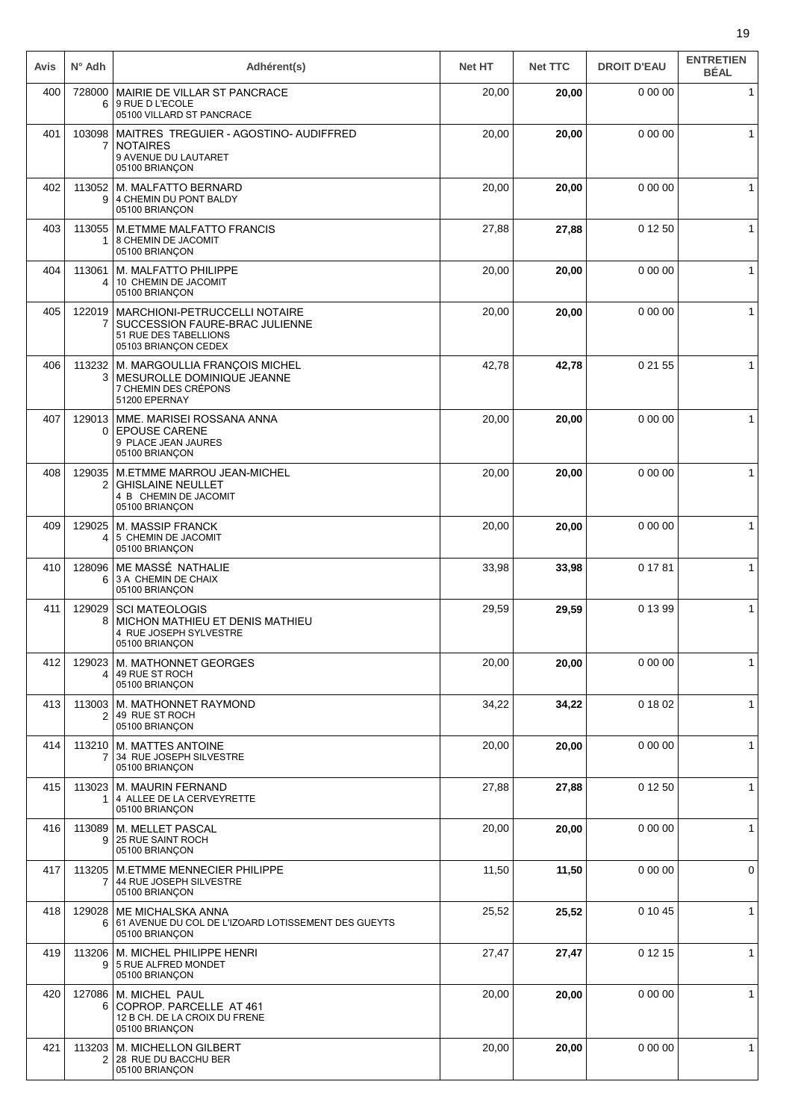| Avis | $N^{\circ}$ Adh | Adhérent(s)                                                                                                      | <b>Net HT</b> | <b>Net TTC</b> | <b>DROIT D'EAU</b> | <b>ENTRETIEN</b><br><b>BÉAL</b> |
|------|-----------------|------------------------------------------------------------------------------------------------------------------|---------------|----------------|--------------------|---------------------------------|
| 400  | 728000<br>6     | MAIRIE DE VILLAR ST PANCRACE<br>9 RUE D L'ECOLE<br>05100 VILLARD ST PANCRACE                                     | 20,00         | 20,00          | 0 00 00            | $\mathbf{1}$                    |
| 401  | 103098<br>7     | MAITRES TREGUIER - AGOSTINO- AUDIFFRED<br><b>NOTAIRES</b><br>9 AVENUE DU LAUTARET<br>05100 BRIANÇON              | 20,00         | 20,00          | 0 00 00            | $\mathbf{1}$                    |
| 402  | 113052<br>9     | M. MALFATTO BERNARD<br>4 CHEMIN DU PONT BALDY<br>05100 BRIANÇON                                                  | 20,00         | 20,00          | 0 00 00            | $\mathbf{1}$                    |
| 403  | 113055<br>1     | <b>M.ETMME MALFATTO FRANCIS</b><br>8 CHEMIN DE JACOMIT<br>05100 BRIANÇON                                         | 27,88         | 27,88          | 0 12 50            | $\mathbf{1}$                    |
| 404  | 113061<br>4     | M. MALFATTO PHILIPPE<br>10 CHEMIN DE JACOMIT<br>05100 BRIANÇON                                                   | 20,00         | 20,00          | 0 00 00            | $\mathbf{1}$                    |
| 405  | 122019<br>7     | MARCHIONI-PETRUCCELLI NOTAIRE<br>SUCCESSION FAURE-BRAC JULIENNE<br>51 RUE DES TABELLIONS<br>05103 BRIANÇON CEDEX | 20,00         | 20,00          | 0 00 00            | $\mathbf{1}$                    |
| 406  | 113232<br>3     | M. MARGOULLIA FRANÇOIS MICHEL<br>MESUROLLE DOMINIQUE JEANNE<br>7 CHEMIN DES CRÉPONS<br>51200 EPERNAY             | 42,78         | 42,78          | 0 21 55            | $\mathbf{1}$                    |
| 407  | 129013<br>0     | MME. MARISEI ROSSANA ANNA<br><b>EPOUSE CARENE</b><br>9 PLACE JEAN JAURES<br>05100 BRIANÇON                       | 20,00         | 20,00          | 0 00 00            | $\mathbf{1}$                    |
| 408  | 129035<br>2     | M.ETMME MARROU JEAN-MICHEL<br><b>GHISLAINE NEULLET</b><br>4 B CHEMIN DE JACOMIT<br>05100 BRIANÇON                | 20,00         | 20,00          | 0 00 00            | 1                               |
| 409  | 129025<br>4     | M. MASSIP FRANCK<br>5 CHEMIN DE JACOMIT<br>05100 BRIANÇON                                                        | 20,00         | 20,00          | 0 00 00            | $\mathbf{1}$                    |
| 410  | 128096<br>6     | ME MASSÉ NATHALIE<br>3 A CHEMIN DE CHAIX<br>05100 BRIANÇON                                                       | 33,98         | 33,98          | 0 17 81            | $\mathbf{1}$                    |
| 411  | 129029<br>8     | <b>SCI MATEOLOGIS</b><br>MICHON MATHIEU ET DENIS MATHIEU<br>4 RUE JOSEPH SYLVESTRE<br>05100 BRIANÇON             | 29,59         | 29,59          | 0 13 99            | $\mathbf{1}$                    |
| 412  | 129023<br>4     | M. MATHONNET GEORGES<br>49 RUE ST ROCH<br>05100 BRIANÇON                                                         | 20,00         | 20,00          | 0 00 00            | 1                               |
| 413  | 113003<br>2     | M. MATHONNET RAYMOND<br>49 RUE ST ROCH<br>05100 BRIANÇON                                                         | 34,22         | 34,22          | 0 18 02            | $\mathbf 1$                     |
| 414  | 113210<br>7     | M. MATTES ANTOINE<br>34 RUE JOSEPH SILVESTRE<br>05100 BRIANÇON                                                   | 20,00         | 20,00          | 0 00 00            | $\mathbf{1}$                    |
| 415  | 113023<br>1     | M. MAURIN FERNAND<br>4 ALLEE DE LA CERVEYRETTE<br>05100 BRIANÇON                                                 | 27,88         | 27,88          | 0 12 50            | $\mathbf{1}$                    |
| 416  | 9               | 113089   M. MELLET PASCAL<br>25 RUE SAINT ROCH<br>05100 BRIANÇON                                                 | 20,00         | 20,00          | 0 00 00            | $\mathbf{1}$                    |
| 417  | 113205<br>7     | M.ETMME MENNECIER PHILIPPE<br>44 RUE JOSEPH SILVESTRE<br>05100 BRIANÇON                                          | 11,50         | 11,50          | 0 00 00            | 0                               |
| 418  | 129028<br>6     | ME MICHALSKA ANNA<br>61 AVENUE DU COL DE L'IZOARD LOTISSEMENT DES GUEYTS<br>05100 BRIANÇON                       | 25,52         | 25,52          | 0 10 45            | 1                               |
| 419  | 113206<br>9     | M. MICHEL PHILIPPE HENRI<br>5 RUE ALFRED MONDET<br>05100 BRIANÇON                                                | 27,47         | 27,47          | 0 12 15            | $\mathbf{1}$                    |
| 420  | 127086<br>6     | M. MICHEL PAUL<br>COPROP. PARCELLE AT 461<br>12 B CH. DE LA CROIX DU FRENE<br>05100 BRIANÇON                     | 20,00         | 20,00          | 0 00 00            | $\mathbf{1}$                    |
| 421  | 113203<br>2     | M. MICHELLON GILBERT<br>28 RUE DU BACCHU BER<br>05100 BRIANÇON                                                   | 20,00         | 20,00          | 0 00 00            | $\mathbf{1}$                    |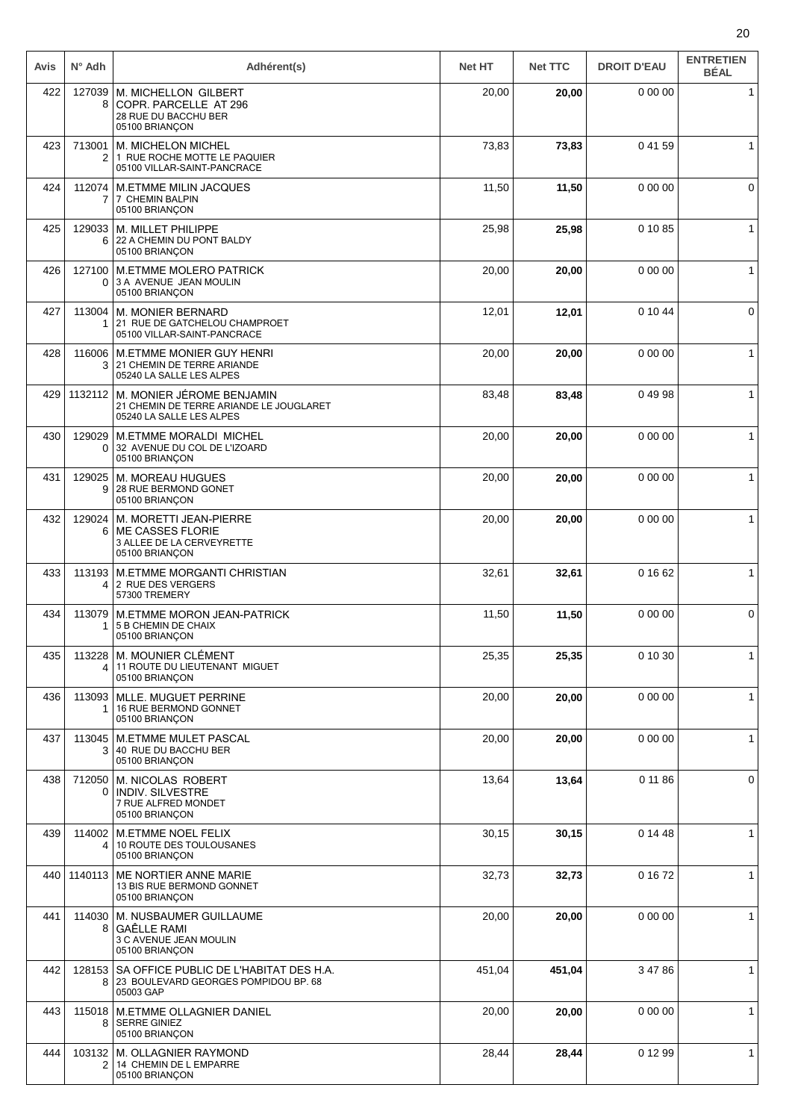| Avis | $N^{\circ}$ Adh          | Adhérent(s)                                                                                      | <b>Net HT</b> | <b>Net TTC</b> | <b>DROIT D'EAU</b> | <b>ENTRETIEN</b><br><b>BÉAL</b> |
|------|--------------------------|--------------------------------------------------------------------------------------------------|---------------|----------------|--------------------|---------------------------------|
| 422  | 127039<br>8              | <b>M. MICHELLON GILBERT</b><br>COPR. PARCELLE AT 296<br>28 RUE DU BACCHU BER<br>05100 BRIANÇON   | 20,00         | 20,00          | 0 00 00            | $\mathbf{1}$                    |
| 423  | 713001<br>2              | M. MICHELON MICHEL<br>1 RUE ROCHE MOTTE LE PAQUIER<br>05100 VILLAR-SAINT-PANCRACE                | 73,83         | 73,83          | 04159              | 1                               |
| 424  | 112074<br>7              | <b>M.ETMME MILIN JACQUES</b><br>7 CHEMIN BALPIN<br>05100 BRIANÇON                                | 11,50         | 11,50          | 0 00 00            | $\mathbf 0$                     |
| 425  | 129033<br>6              | M. MILLET PHILIPPE<br>22 A CHEMIN DU PONT BALDY<br>05100 BRIANÇON                                | 25,98         | 25,98          | 0 10 85            | $\mathbf{1}$                    |
| 426  | 127100<br>0              | <b>M.ETMME MOLERO PATRICK</b><br>3 A AVENUE JEAN MOULIN<br>05100 BRIANÇON                        | 20,00         | 20,00          | 0 00 00            | $\mathbf{1}$                    |
| 427  | 113004<br>1              | <b>M. MONIER BERNARD</b><br>21 RUE DE GATCHELOU CHAMPROET<br>05100 VILLAR-SAINT-PANCRACE         | 12,01         | 12,01          | 0 10 44            | 0                               |
| 428  | 116006<br>3              | M.ETMME MONIER GUY HENRI<br>21 CHEMIN DE TERRE ARIANDE<br>05240 LA SALLE LES ALPES               | 20,00         | 20,00          | 0 00 00            | $\mathbf 1$                     |
| 429  | 1132112                  | M. MONIER JÉROME BENJAMIN<br>21 CHEMIN DE TERRE ARIANDE LE JOUGLARET<br>05240 LA SALLE LES ALPES | 83,48         | 83,48          | 04998              | $\mathbf{1}$                    |
| 430  | 129029<br>0              | M.ETMME MORALDI MICHEL<br>32 AVENUE DU COL DE L'IZOARD<br>05100 BRIANÇON                         | 20,00         | 20,00          | 0 00 00            | $\mathbf{1}$                    |
| 431  | 129025<br>9              | M. MOREAU HUGUES<br>28 RUE BERMOND GONET<br>05100 BRIANÇON                                       | 20,00         | 20,00          | 0 00 00            | $\mathbf{1}$                    |
| 432  | 129024<br>6              | M. MORETTI JEAN-PIERRE<br><b>ME CASSES FLORIE</b><br>3 ALLEE DE LA CERVEYRETTE<br>05100 BRIANÇON | 20,00         | 20,00          | 0 00 00            | $\mathbf{1}$                    |
| 433  | 113193<br>4              | M.ETMME MORGANTI CHRISTIAN<br>2 RUE DES VERGERS<br>57300 TREMERY                                 | 32,61         | 32,61          | 0 16 62            | $\mathbf{1}$                    |
| 434  | 113079<br>1              | <b>M.ETMME MORON JEAN-PATRICK</b><br>5 B CHEMIN DE CHAIX<br>05100 BRIANÇON                       | 11,50         | 11,50          | 0 00 00            | 0                               |
| 435  | 113228<br>4              | <b>M. MOUNIER CLÉMENT</b><br>11 ROUTE DU LIEUTENANT MIGUET<br>05100 BRIANÇON                     | 25,35         | 25,35          | 0 10 30            | 1                               |
| 436  | 113093<br>1              | MLLE. MUGUET PERRINE<br>16 RUE BERMOND GONNET<br>05100 BRIANÇON                                  | 20,00         | 20,00          | 0 00 00            | $\mathbf 1$                     |
| 437  | 113045<br>3              | <b>M.ETMME MULET PASCAL</b><br>40 RUE DU BACCHU BER<br>05100 BRIANÇON                            | 20,00         | 20,00          | 0 00 00            | $\mathbf{1}$                    |
| 438  | 712050<br>0              | M. NICOLAS ROBERT<br><b>INDIV. SILVESTRE</b><br>7 RUE ALFRED MONDET<br>05100 BRIANÇON            | 13,64         | 13,64          | 0 11 86            | $\mathbf 0$                     |
| 439  | 114002<br>4              | M.ETMME NOEL FELIX<br>10 ROUTE DES TOULOUSANES<br>05100 BRIANÇON                                 | 30,15         | 30,15          | 0 14 48            | $\mathbf 1$                     |
| 440  | 1140113                  | ME NORTIER ANNE MARIE<br>13 BIS RUE BERMOND GONNET<br>05100 BRIANÇON                             | 32,73         | 32,73          | 0 16 72            | $\mathbf{1}$                    |
| 441  | 114030<br>8              | M. NUSBAUMER GUILLAUME<br><b>GAÊLLE RAMI</b><br>3 C AVENUE JEAN MOULIN<br>05100 BRIANÇON         | 20,00         | 20,00          | 0 00 00            | $\mathbf{1}$                    |
| 442  | 128153<br>8              | SA OFFICE PUBLIC DE L'HABITAT DES H.A.<br>23 BOULEVARD GEORGES POMPIDOU BP. 68<br>05003 GAP      | 451,04        | 451,04         | 3 47 86            | $\mathbf{1}$                    |
| 443  | 115018<br>8              | M.ETMME OLLAGNIER DANIEL<br><b>SERRE GINIEZ</b><br>05100 BRIANÇON                                | 20,00         | 20,00          | 0 00 00            | $\mathbf{1}$                    |
| 444  | 103132<br>$\overline{2}$ | M. OLLAGNIER RAYMOND<br>14 CHEMIN DE L EMPARRE<br>05100 BRIANÇON                                 | 28,44         | 28,44          | 0 12 99            | $\mathbf{1}$                    |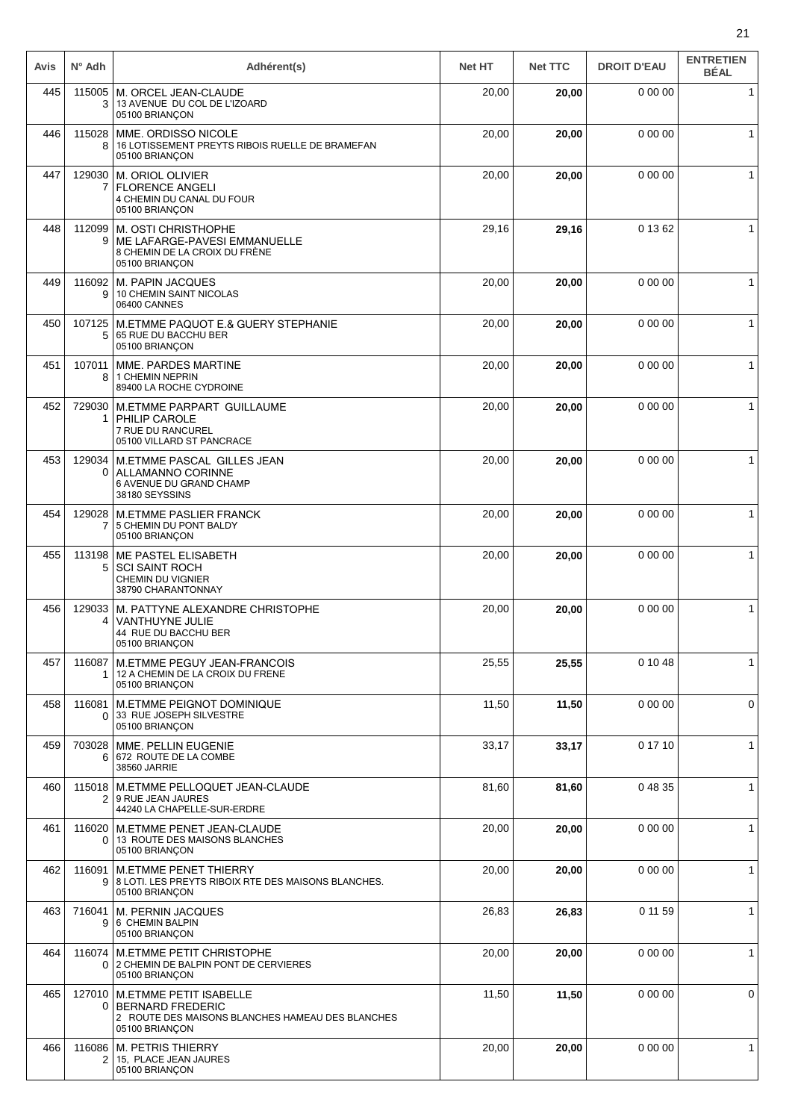| Avis | $N^{\circ}$ Adh          | Adhérent(s)                                                                                                                    | <b>Net HT</b> | <b>Net TTC</b> | <b>DROIT D'EAU</b> | <b>ENTRETIEN</b><br><b>BÉAL</b> |
|------|--------------------------|--------------------------------------------------------------------------------------------------------------------------------|---------------|----------------|--------------------|---------------------------------|
| 445  | 115005<br>3              | M. ORCEL JEAN-CLAUDE<br>13 AVENUE DU COL DE L'IZOARD<br>05100 BRIANÇON                                                         | 20,00         | 20,00          | 0 00 00            | $\mathbf{1}$                    |
| 446  | 115028<br>8              | MME. ORDISSO NICOLE<br>16 LOTISSEMENT PREYTS RIBOIS RUELLE DE BRAMEFAN<br>05100 BRIANÇON                                       | 20,00         | 20,00          | 0 00 00            | $\mathbf{1}$                    |
| 447  | 129030<br>7              | M. ORIOL OLIVIER<br><b>FLORENCE ANGELI</b><br>4 CHEMIN DU CANAL DU FOUR<br>05100 BRIANÇON                                      | 20,00         | 20,00          | 0 00 00            | 1                               |
| 448  | 112099<br>9              | M. OSTI CHRISTHOPHE<br>ME LAFARGE-PAVESI EMMANUELLE<br>8 CHEMIN DE LA CROIX DU FRÈNE<br>05100 BRIANÇON                         | 29,16         | 29,16          | 0 13 62            | $\mathbf{1}$                    |
| 449  | 116092<br>9              | M. PAPIN JACQUES<br>10 CHEMIN SAINT NICOLAS<br>06400 CANNES                                                                    | 20,00         | 20,00          | 0 00 00            | $\mathbf{1}$                    |
| 450  | 107125<br>5              | M.ETMME PAQUOT E.& GUERY STEPHANIE<br>65 RUE DU BACCHU BER<br>05100 BRIANÇON                                                   | 20,00         | 20,00          | 0 00 00            | $\mathbf{1}$                    |
| 451  | 107011<br>8              | MME. PARDES MARTINE<br>1 CHEMIN NEPRIN<br>89400 LA ROCHE CYDROINE                                                              | 20,00         | 20,00          | 0 00 00            | $\mathbf{1}$                    |
| 452  | 729030<br>1              | M.ETMME PARPART GUILLAUME<br>PHILIP CAROLE<br>7 RUE DU RANCUREL<br>05100 VILLARD ST PANCRACE                                   | 20,00         | 20,00          | 0 00 00            | 1                               |
| 453  | 129034<br>0              | M.ETMME PASCAL GILLES JEAN<br>ALLAMANNO CORINNE<br>6 AVENUE DU GRAND CHAMP<br>38180 SEYSSINS                                   | 20,00         | 20,00          | 0 00 00            | $\mathbf{1}$                    |
| 454  | 129028<br>7              | <b>M.ETMME PASLIER FRANCK</b><br>5 CHEMIN DU PONT BALDY<br>05100 BRIANÇON                                                      | 20,00         | 20,00          | 0 00 00            | $\mathbf{1}$                    |
| 455  | 113198<br>5              | ME PASTEL ELISABETH<br><b>SCI SAINT ROCH</b><br><b>CHEMIN DU VIGNIER</b><br>38790 CHARANTONNAY                                 | 20,00         | 20,00          | 0 00 00            | $\mathbf{1}$                    |
| 456  | 129033<br>4              | M. PATTYNE ALEXANDRE CHRISTOPHE<br><b>VANTHUYNE JULIE</b><br>44 RUE DU BACCHU BER<br>05100 BRIANÇON                            | 20,00         | 20,00          | 0 00 00            | $\mathbf{1}$                    |
| 457  | 116087<br>1              | M.ETMME PEGUY JEAN-FRANCOIS<br>12 A CHEMIN DE LA CROIX DU FRENE<br>05100 BRIANÇON                                              | 25,55         | 25,55          | 0 10 48            | $\mathbf{1}$                    |
| 458  | 116081<br>$\Omega$       | M.ETMME PEIGNOT DOMINIQUE<br>33 RUE JOSEPH SILVESTRE<br>05100 BRIANÇON                                                         | 11,50         | 11,50          | 0 00 00            | 0                               |
| 459  | 703028<br>6              | MME. PELLIN EUGENIE<br>672 ROUTE DE LA COMBE<br>38560 JARRIE                                                                   | 33,17         | 33,17          | 0 17 10            | $\mathbf{1}$                    |
| 460  |                          | 115018   M.ETMME PELLOQUET JEAN-CLAUDE<br>2   9 RUE JEAN JAURES<br>44240 LA CHAPELLE-SUR-ERDRE                                 | 81,60         | 81,60          | 0 48 35            | $\mathbf{1}$                    |
| 461  | 0                        | 116020   M.ETMME PENET JEAN-CLAUDE<br>13 ROUTE DES MAISONS BLANCHES<br>05100 BRIANÇON                                          | 20,00         | 20,00          | 0 00 00            | $\mathbf{1}$                    |
| 462  | 116091<br>9 <sup>1</sup> | <b>M.ETMME PENET THIERRY</b><br>8 LOTI. LES PREYTS RIBOIX RTE DES MAISONS BLANCHES.<br>05100 BRIANÇON                          | 20,00         | 20,00          | 0 00 00            | 1                               |
| 463  | 716041<br>9              | M. PERNIN JACQUES<br>6 CHEMIN BALPIN<br>05100 BRIANÇON                                                                         | 26,83         | 26,83          | 0 11 59            | 1                               |
| 464  | 116074<br>0 <sup>1</sup> | M.ETMME PETIT CHRISTOPHE<br>2 CHEMIN DE BALPIN PONT DE CERVIERES<br>05100 BRIANÇON                                             | 20,00         | 20,00          | 0 00 00            | $\mathbf{1}$                    |
| 465  | 127010<br>0              | <b>M.ETMME PETIT ISABELLE</b><br><b>BERNARD FREDERIC</b><br>2 ROUTE DES MAISONS BLANCHES HAMEAU DES BLANCHES<br>05100 BRIANÇON | 11,50         | 11,50          | 0 00 00            | 0                               |
| 466  | 116086<br>$\overline{2}$ | M. PETRIS THIERRY<br>15, PLACE JEAN JAURES<br>05100 BRIANÇON                                                                   | 20,00         | 20,00          | 0 00 00            | $\mathbf 1$                     |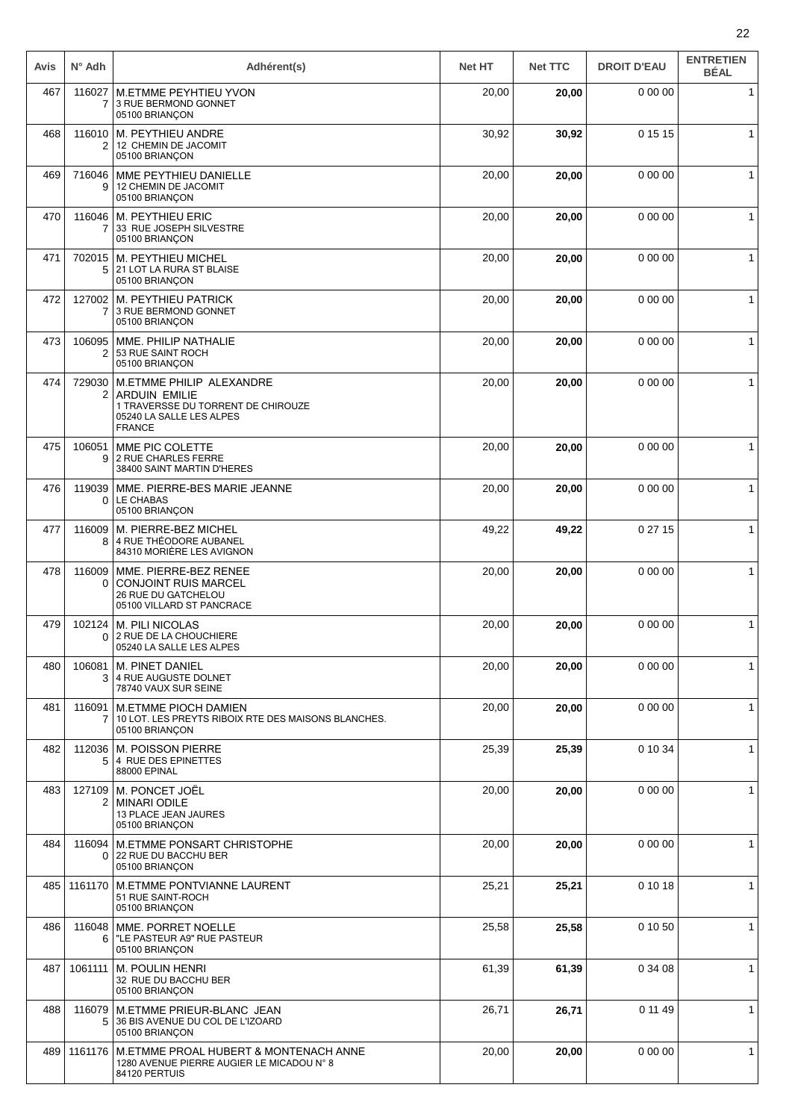| Avis | $N^{\circ}$ Adh          | Adhérent(s)                                                                                                                         | <b>Net HT</b> | <b>Net TTC</b> | <b>DROIT D'EAU</b> | <b>ENTRETIEN</b><br><b>BÉAL</b> |
|------|--------------------------|-------------------------------------------------------------------------------------------------------------------------------------|---------------|----------------|--------------------|---------------------------------|
| 467  | 116027<br>7              | <b>M.ETMME PEYHTIEU YVON</b><br>3 RUE BERMOND GONNET<br>05100 BRIANÇON                                                              | 20,00         | 20,00          | 0 00 00            | $\mathbf{1}$                    |
| 468  | 2                        | 116010   M. PEYTHIEU ANDRE<br>12 CHEMIN DE JACOMIT<br>05100 BRIANÇON                                                                | 30,92         | 30,92          | 0 15 15            | $\mathbf{1}$                    |
| 469  | 716046<br>9              | MME PEYTHIEU DANIELLE<br>12 CHEMIN DE JACOMIT<br>05100 BRIANÇON                                                                     | 20,00         | 20,00          | 0 00 00            | 1                               |
| 470  | 116046<br>$\overline{7}$ | <b>M. PEYTHIEU ERIC</b><br>33 RUE JOSEPH SILVESTRE<br>05100 BRIANÇON                                                                | 20,00         | 20,00          | 0 00 00            | $\mathbf{1}$                    |
| 471  | 702015<br>5              | M. PEYTHIEU MICHEL<br>21 LOT LA RURA ST BLAISE<br>05100 BRIANÇON                                                                    | 20,00         | 20,00          | 0 00 00            | $\mathbf{1}$                    |
| 472  | 127002<br>7              | M. PEYTHIEU PATRICK<br>3 RUE BERMOND GONNET<br>05100 BRIANÇON                                                                       | 20,00         | 20,00          | 0 00 00            | $\mathbf{1}$                    |
| 473  | 106095<br>2              | MME. PHILIP NATHALIE<br>53 RUE SAINT ROCH<br>05100 BRIANÇON                                                                         | 20,00         | 20,00          | 0 00 00            | $\mathbf{1}$                    |
| 474  | 729030<br>2              | M.ETMME PHILIP ALEXANDRE<br><b>ARDUIN EMILIE</b><br>1 TRAVERSSE DU TORRENT DE CHIROUZE<br>05240 LA SALLE LES ALPES<br><b>FRANCE</b> | 20,00         | 20,00          | 0 00 00            | $\mathbf{1}$                    |
| 475  | 106051<br>9              | MME PIC COLETTE<br>2 RUE CHARLES FERRE<br>38400 SAINT MARTIN D'HERES                                                                | 20,00         | 20,00          | 0 00 00            | 1                               |
| 476  | 119039<br>0 <sup>1</sup> | MME. PIERRE-BES MARIE JEANNE<br>LE CHABAS<br>05100 BRIANÇON                                                                         | 20,00         | 20,00          | 0 00 00            | $\mathbf{1}$                    |
| 477  | 116009<br>8              | M. PIERRE-BEZ MICHEL<br>4 RUE THÉODORE AUBANEL<br>84310 MORIÈRE LES AVIGNON                                                         | 49,22         | 49,22          | 0 27 15            | $\mathbf{1}$                    |
| 478  | 116009<br>0              | MME. PIERRE-BEZ RENEE<br><b>CONJOINT RUIS MARCEL</b><br>26 RUE DU GATCHELOU<br>05100 VILLARD ST PANCRACE                            | 20,00         | 20,00          | 0 00 00            | $\mathbf{1}$                    |
| 479  | 102124<br>0              | M. PILI NICOLAS<br>2 RUE DE LA CHOUCHIERE<br>05240 LA SALLE LES ALPES                                                               | 20,00         | 20,00          | 0 00 00            | $\mathbf{1}$                    |
| 480  | 106081<br>3              | M. PINET DANIEL<br>4 RUE AUGUSTE DOLNET<br>78740 VAUX SUR SEINE                                                                     | 20,00         | 20,00          | 0 00 00            | $\mathbf{1}$                    |
| 481  | 116091<br>7              | <b>M.ETMME PIOCH DAMIEN</b><br>10 LOT. LES PREYTS RIBOIX RTE DES MAISONS BLANCHES.<br>05100 BRIANÇON                                | 20,00         | 20,00          | 0 00 00            | $\mathbf{1}$                    |
| 482  | 5                        | 112036   M. POISSON PIERRE<br>4 RUE DES EPINETTES<br>88000 EPINAL                                                                   | 25,39         | 25,39          | 0 10 34            | $\mathbf{1}$                    |
| 483  | 127109<br>2              | M. PONCET JOËL<br><b>MINARI ODILE</b><br>13 PLACE JEAN JAURES<br>05100 BRIANÇON                                                     | 20,00         | 20,00          | 0 00 00            | 1                               |
| 484  | 116094<br>0              | M. ETMME PONSART CHRISTOPHE<br>22 RUE DU BACCHU BER<br>05100 BRIANÇON                                                               | 20,00         | 20,00          | 0 00 00            | $\mathbf{1}$                    |
| 485  | 1161170                  | <b>M.ETMME PONTVIANNE LAURENT</b><br>51 RUE SAINT-ROCH<br>05100 BRIANÇON                                                            | 25,21         | 25,21          | 0 10 18            | 1                               |
| 486  | 116048<br>6              | MME. PORRET NOELLE<br>"LE PASTEUR A9" RUE PASTEUR<br>05100 BRIANÇON                                                                 | 25,58         | 25,58          | 0 10 50            | $\mathbf{1}$                    |
| 487  | 1061111                  | <b>M. POULIN HENRI</b><br>32 RUE DU BACCHU BER<br>05100 BRIANÇON                                                                    | 61,39         | 61,39          | 0 34 08            | $\mathbf{1}$                    |
| 488  | 116079<br>5              | M.ETMME PRIEUR-BLANC JEAN<br>36 BIS AVENUE DU COL DE L'IZOARD<br>05100 BRIANÇON                                                     | 26,71         | 26,71          | 0 11 49            | $\mathbf{1}$                    |
| 489  | 1161176                  | M.ETMME PROAL HUBERT & MONTENACH ANNE<br>1280 AVENUE PIERRE AUGIER LE MICADOU N° 8<br>84120 PERTUIS                                 | 20,00         | 20,00          | 0 00 00            | $\mathbf{1}$                    |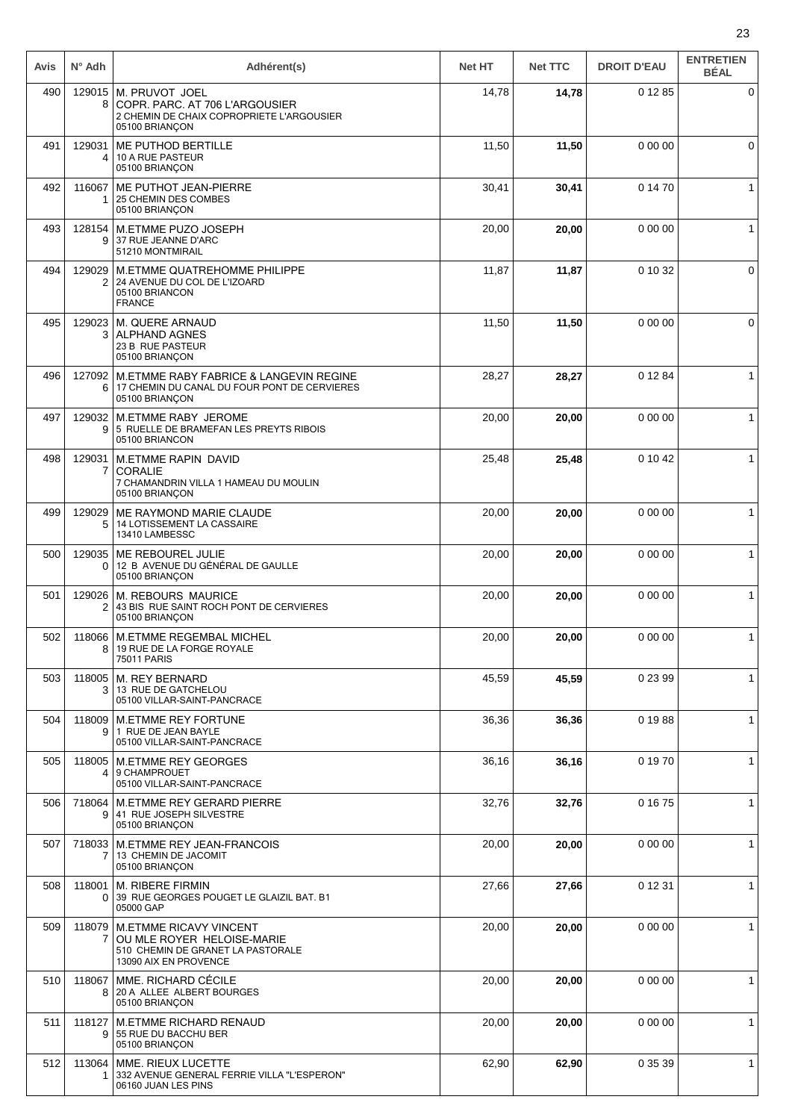| Avis | $N^{\circ}$ Adh          | Adhérent(s)                                                                                                               | <b>Net HT</b> | <b>Net TTC</b> | <b>DROIT D'EAU</b> | <b>ENTRETIEN</b><br><b>BÉAL</b> |
|------|--------------------------|---------------------------------------------------------------------------------------------------------------------------|---------------|----------------|--------------------|---------------------------------|
| 490  | 8                        | 129015   M. PRUVOT JOEL<br>COPR. PARC. AT 706 L'ARGOUSIER<br>2 CHEMIN DE CHAIX COPROPRIETE L'ARGOUSIER<br>05100 BRIANÇON  | 14,78         | 14,78          | 0 12 85            | 0                               |
| 491  | 129031<br>4              | ME PUTHOD BERTILLE<br>10 A RUE PASTEUR<br>05100 BRIANÇON                                                                  | 11,50         | 11,50          | 0 00 00            | 0                               |
| 492  | 116067                   | ME PUTHOT JEAN-PIERRE<br>25 CHEMIN DES COMBES<br>05100 BRIANÇON                                                           | 30,41         | 30,41          | 0 14 70            | $\mathbf{1}$                    |
| 493  | 128154<br>9              | M.ETMME PUZO JOSEPH<br>37 RUE JEANNE D'ARC<br>51210 MONTMIRAIL                                                            | 20,00         | 20,00          | 0 00 00            | $\mathbf{1}$                    |
| 494  | 129029<br>2              | M.ETMME QUATREHOMME PHILIPPE<br>24 AVENUE DU COL DE L'IZOARD<br>05100 BRIANCON<br><b>FRANCE</b>                           | 11,87         | 11,87          | 0 10 32            | 0                               |
| 495  | 129023                   | M. QUERE ARNAUD<br>3   ALPHAND AGNES<br>23 B RUE PASTEUR<br>05100 BRIANÇON                                                | 11,50         | 11,50          | 0 00 00            | 0                               |
| 496  | 127092<br>6              | M.ETMME RABY FABRICE & LANGEVIN REGINE<br>17 CHEMIN DU CANAL DU FOUR PONT DE CERVIERES<br>05100 BRIANÇON                  | 28,27         | 28,27          | 0 12 84            | $\mathbf{1}$                    |
| 497  | 129032<br>9 <sup>1</sup> | <b>M.ETMME RABY JEROME</b><br>5 RUELLE DE BRAMEFAN LES PREYTS RIBOIS<br>05100 BRIANCON                                    | 20,00         | 20,00          | 0 00 00            | $\mathbf{1}$                    |
| 498  | 129031<br>7              | <b>M.ETMME RAPIN DAVID</b><br><b>CORALIE</b><br>7 CHAMANDRIN VILLA 1 HAMEAU DU MOULIN<br>05100 BRIANÇON                   | 25,48         | 25,48          | 0 10 42            | $\mathbf{1}$                    |
| 499  | 129029<br>5              | ME RAYMOND MARIE CLAUDE<br>14 LOTISSEMENT LA CASSAIRE<br>13410 LAMBESSC                                                   | 20,00         | 20,00          | 0 00 00            | $\mathbf{1}$                    |
| 500  | 129035<br>0              | ME REBOUREL JULIE<br>12 B AVENUE DU GÉNÉRAL DE GAULLE<br>05100 BRIANCON                                                   | 20,00         | 20,00          | 0 00 00            | $\mathbf{1}$                    |
| 501  | 129026<br>2              | <b>M. REBOURS MAURICE</b><br>43 BIS RUE SAINT ROCH PONT DE CERVIERES<br>05100 BRIANÇON                                    | 20,00         | 20,00          | 0 00 00            | $\mathbf{1}$                    |
| 502  | 8                        | 118066   M.ETMME REGEMBAL MICHEL<br>19 RUE DE LA FORGE ROYALE<br>75011 PARIS                                              | 20,00         | 20,00          | 0 00 00            | $\mathbf{1}$                    |
| 503  | 118005<br>3              | M. REY BERNARD<br>13 RUE DE GATCHELOU<br>05100 VILLAR-SAINT-PANCRACE                                                      | 45,59         | 45,59          | 0 23 99            | 1                               |
| 504  | 9                        | 118009   M.ETMME REY FORTUNE<br>1 RUE DE JEAN BAYLE<br>05100 VILLAR-SAINT-PANCRACE                                        | 36,36         | 36,36          | 0 19 88            | $\mathbf{1}$                    |
| 505  | 118005                   | <b>M.ETMME REY GEORGES</b><br>4 9 CHAMPROUET<br>05100 VILLAR-SAINT-PANCRACE                                               | 36,16         | 36,16          | 0 19 70            | $\mathbf{1}$                    |
| 506  |                          | 718064   M.ETMME REY GERARD PIERRE<br>9 41 RUE JOSEPH SILVESTRE<br>05100 BRIANÇON                                         | 32,76         | 32,76          | 0 16 75            | $\mathbf{1}$                    |
| 507  |                          | 718033   M.ETMME REY JEAN-FRANCOIS<br>13 CHEMIN DE JACOMIT<br>05100 BRIANÇON                                              | 20,00         | 20,00          | 0 00 00            | $\mathbf{1}$                    |
| 508  | 118001<br>$\Omega$       | M. RIBERE FIRMIN<br>39 RUE GEORGES POUGET LE GLAIZIL BAT. B1<br>05000 GAP                                                 | 27,66         | 27,66          | 0 12 31            | $\mathbf 1$                     |
| 509  | 118079<br>7              | <b>M.ETMME RICAVY VINCENT</b><br>OU MLE ROYER HELOISE-MARIE<br>510 CHEMIN DE GRANET LA PASTORALE<br>13090 AIX EN PROVENCE | 20,00         | 20,00          | 0 00 00            | $\mathbf{1}$                    |
| 510  | 118067<br>8              | MME. RICHARD CÉCILE<br>20 A ALLEE ALBERT BOURGES<br>05100 BRIANÇON                                                        | 20,00         | 20,00          | 0 00 00            | $\mathbf{1}$                    |
| 511  | 118127<br>9              | <b>M.ETMME RICHARD RENAUD</b><br>55 RUE DU BACCHU BER<br>05100 BRIANÇON                                                   | 20,00         | 20,00          | 0 00 00            | $\mathbf{1}$                    |
| 512  | 113064<br>1              | MME. RIEUX LUCETTE<br>332 AVENUE GENERAL FERRIE VILLA "L'ESPERON"<br>06160 JUAN LES PINS                                  | 62,90         | 62,90          | 0 35 39            | $\mathbf{1}$                    |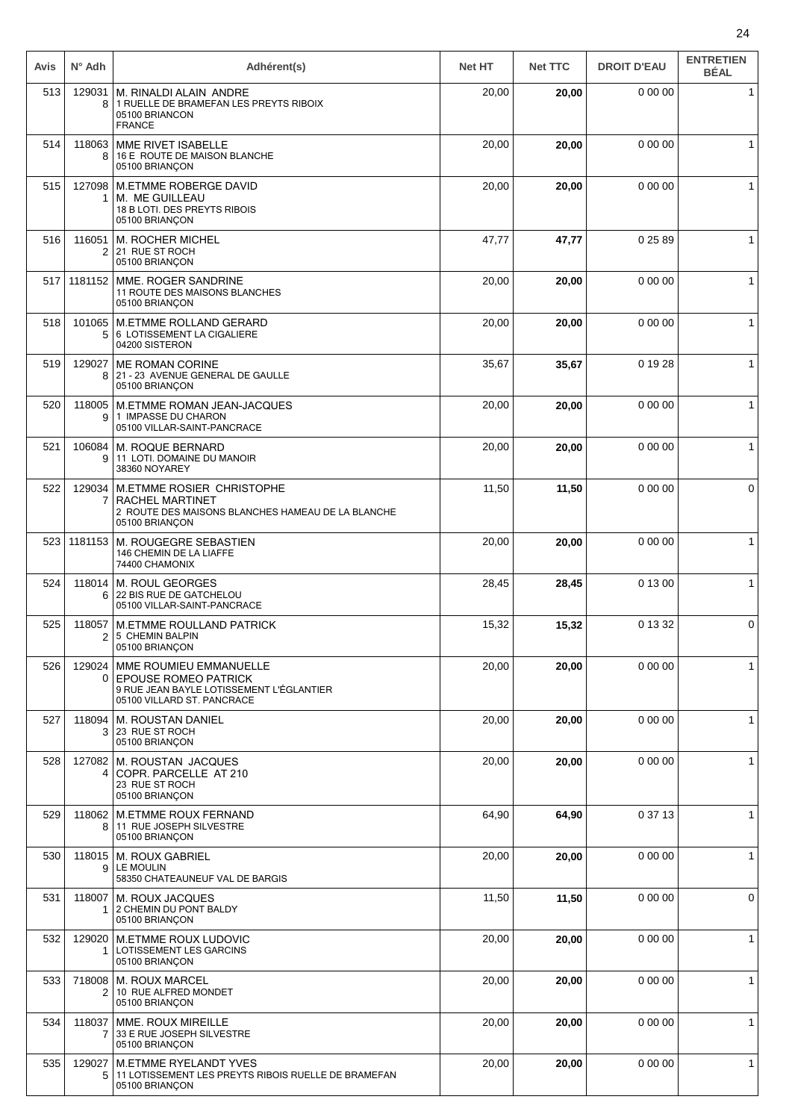| Avis | $N^{\circ}$ Adh          | Adhérent(s)                                                                                                                     | <b>Net HT</b> | <b>Net TTC</b> | <b>DROIT D'EAU</b> | <b>ENTRETIEN</b><br><b>BÉAL</b> |
|------|--------------------------|---------------------------------------------------------------------------------------------------------------------------------|---------------|----------------|--------------------|---------------------------------|
| 513  | 129031<br>8              | M. RINALDI ALAIN ANDRE<br>1 RUELLE DE BRAMEFAN LES PREYTS RIBOIX<br>05100 BRIANCON<br><b>FRANCE</b>                             | 20,00         | 20,00          | 0 00 00            | $\mathbf{1}$                    |
| 514  | 118063<br>8              | MME RIVET ISABELLE<br>16 E ROUTE DE MAISON BLANCHE<br>05100 BRIANÇON                                                            | 20,00         | 20,00          | 0 00 00            | 1                               |
| 515  | 127098<br>1.             | M.ETMME ROBERGE DAVID<br>M. ME GUILLEAU<br>18 B LOTI. DES PREYTS RIBOIS<br>05100 BRIANÇON                                       | 20,00         | 20,00          | 0 00 00            | $\mathbf 1$                     |
| 516  | 116051<br>$\overline{2}$ | <b>M. ROCHER MICHEL</b><br>21 RUE ST ROCH<br>05100 BRIANÇON                                                                     | 47,77         | 47,77          | 0 25 89            | 1                               |
| 517  | 1181152                  | MME. ROGER SANDRINE<br>11 ROUTE DES MAISONS BLANCHES<br>05100 BRIANÇON                                                          | 20,00         | 20,00          | 0 00 00            | 1                               |
| 518  | 101065<br>5              | <b>M.ETMME ROLLAND GERARD</b><br>6 LOTISSEMENT LA CIGALIERE<br>04200 SISTERON                                                   | 20,00         | 20,00          | 0 00 00            | $\mathbf{1}$                    |
| 519  | 129027<br>8              | <b>ME ROMAN CORINE</b><br>21 - 23 AVENUE GENERAL DE GAULLE<br>05100 BRIANÇON                                                    | 35,67         | 35,67          | 0 19 28            | $\mathbf{1}$                    |
| 520  | 9                        | 118005   M.ETMME ROMAN JEAN-JACQUES<br>1 IMPASSE DU CHARON<br>05100 VILLAR-SAINT-PANCRACE                                       | 20,00         | 20,00          | 0 00 00            | $\mathbf{1}$                    |
| 521  | 106084<br>9              | M. ROQUE BERNARD<br>11 LOTI. DOMAINE DU MANOIR<br>38360 NOYAREY                                                                 | 20,00         | 20,00          | 0 00 00            | $\mathbf{1}$                    |
| 522  | 129034<br>$\mathbf{7}$   | M.ETMME ROSIER CHRISTOPHE<br>RACHEL MARTINET<br>2 ROUTE DES MAISONS BLANCHES HAMEAU DE LA BLANCHE<br>05100 BRIANÇON             | 11,50         | 11,50          | 0 00 00            | 0                               |
| 523  | 1181153                  | M. ROUGEGRE SEBASTIEN<br>146 CHEMIN DE LA LIAFFE<br>74400 CHAMONIX                                                              | 20,00         | 20,00          | 0 00 00            | $\mathbf{1}$                    |
| 524  | 118014<br>6              | <b>M. ROUL GEORGES</b><br>22 BIS RUE DE GATCHELOU<br>05100 VILLAR-SAINT-PANCRACE                                                | 28,45         | 28,45          | 0 13 00            | $\mathbf{1}$                    |
| 525  | 118057<br>$\overline{2}$ | <b>M.ETMME ROULLAND PATRICK</b><br>5 CHEMIN BALPIN<br>05100 BRIANÇON                                                            | 15,32         | 15,32          | 0 13 32            | 0                               |
| 526  | 129024<br>0              | MME ROUMIEU EMMANUELLE<br><b>EPOUSE ROMEO PATRICK</b><br>9 RUE JEAN BAYLE LOTISSEMENT L'ÉGLANTIER<br>05100 VILLARD ST. PANCRACE | 20,00         | 20,00          | 0 00 00            | $\mathbf{1}$                    |
| 527  | 118094<br>3              | <b>M. ROUSTAN DANIEL</b><br>23 RUE ST ROCH<br>05100 BRIANÇON                                                                    | 20,00         | 20,00          | 0 00 00            | $\mathbf{1}$                    |
| 528  | 127082<br>4              | M. ROUSTAN JACQUES<br>COPR. PARCELLE AT 210<br>23 RUE ST ROCH<br>05100 BRIANÇON                                                 | 20,00         | 20,00          | 0 00 00            | $\mathbf{1}$                    |
| 529  | 118062<br>8 <sup>1</sup> | <b>M.ETMME ROUX FERNAND</b><br>11 RUE JOSEPH SILVESTRE<br>05100 BRIANÇON                                                        | 64,90         | 64,90          | 0 37 13            | $\mathbf{1}$                    |
| 530  | 118015<br>9              | <b>M. ROUX GABRIEL</b><br>LE MOULIN<br>58350 CHATEAUNEUF VAL DE BARGIS                                                          | 20,00         | 20,00          | 0 00 00            | $\mathbf{1}$                    |
| 531  | 118007<br>1              | M. ROUX JACQUES<br>2 CHEMIN DU PONT BALDY<br>05100 BRIANÇON                                                                     | 11,50         | 11,50          | 0 00 00            | 0                               |
| 532  | 129020                   | <b>M.ETMME ROUX LUDOVIC</b><br>LOTISSEMENT LES GARCINS<br>05100 BRIANÇON                                                        | 20,00         | 20,00          | 0 00 00            | $\mathbf{1}$                    |
| 533  | 718008<br>2              | <b>M. ROUX MARCEL</b><br>10 RUE ALFRED MONDET<br>05100 BRIANÇON                                                                 | 20,00         | 20,00          | 0 00 00            | 1                               |
| 534  | 118037<br>$\overline{7}$ | MME. ROUX MIREILLE<br>33 E RUE JOSEPH SILVESTRE<br>05100 BRIANÇON                                                               | 20,00         | 20,00          | 0 00 00            | $\mathbf{1}$                    |
| 535  | 129027<br>5              | <b>M.ETMME RYELANDT YVES</b><br>11 LOTISSEMENT LES PREYTS RIBOIS RUELLE DE BRAMEFAN<br>05100 BRIANÇON                           | 20,00         | 20,00          | 0 00 00            | $\mathbf{1}$                    |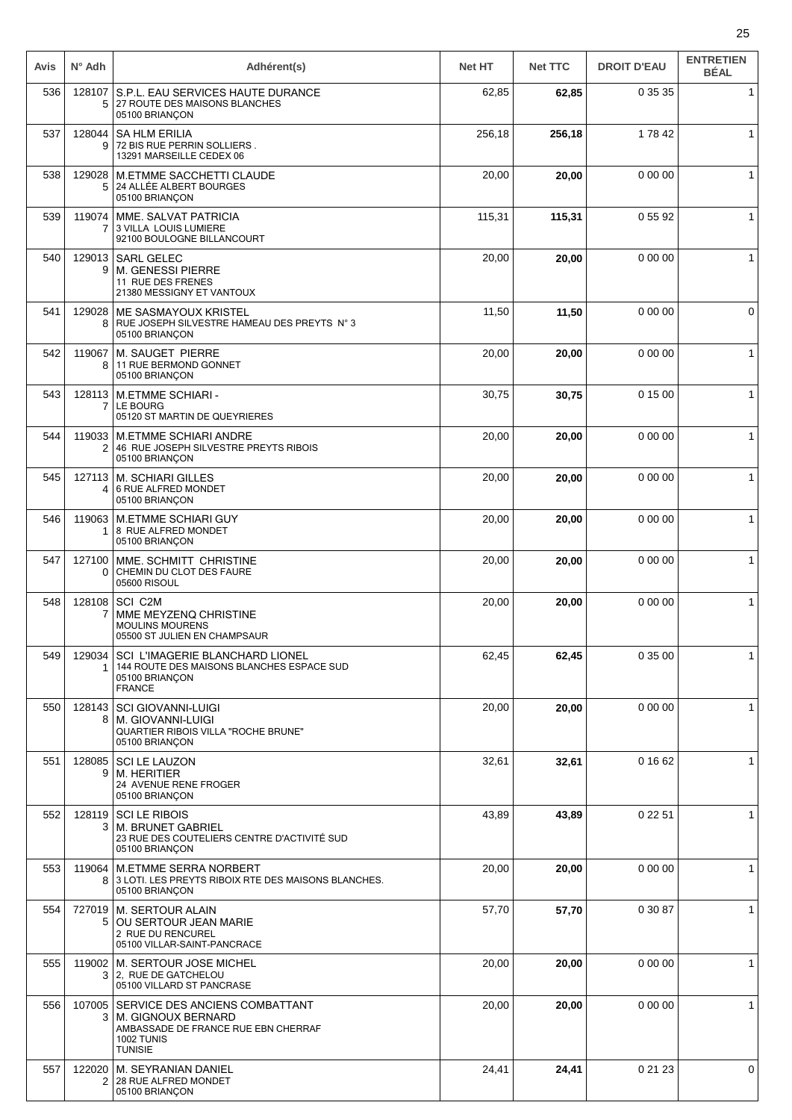| Avis | $N^{\circ}$ Adh          | Adhérent(s)                                                                                                                        | <b>Net HT</b> | <b>Net TTC</b> | <b>DROIT D'EAU</b> | <b>ENTRETIEN</b><br><b>BÉAL</b> |
|------|--------------------------|------------------------------------------------------------------------------------------------------------------------------------|---------------|----------------|--------------------|---------------------------------|
| 536  | 128107<br>5              | S.P.L. EAU SERVICES HAUTE DURANCE<br>27 ROUTE DES MAISONS BLANCHES<br>05100 BRIANÇON                                               | 62,85         | 62,85          | 0 35 35            | 1                               |
| 537  | 128044<br>9              | <b>SA HLM ERILIA</b><br>72 BIS RUE PERRIN SOLLIERS.<br>13291 MARSEILLE CEDEX 06                                                    | 256,18        | 256,18         | 17842              |                                 |
| 538  | 129028<br>5              | M.ETMME SACCHETTI CLAUDE<br>24 ALLÉE ALBERT BOURGES<br>05100 BRIANÇON                                                              | 20,00         | 20,00          | 0 00 00            | $\mathbf{1}$                    |
| 539  | 119074<br>$\overline{7}$ | MME. SALVAT PATRICIA<br>3 VILLA LOUIS LUMIERE<br>92100 BOULOGNE BILLANCOURT                                                        | 115,31        | 115.31         | 0 55 92            | $\mathbf{1}$                    |
| 540  | 9                        | 129013   SARL GELEC<br><b>M. GENESSI PIERRE</b><br>11 RUE DES FRENES<br>21380 MESSIGNY ET VANTOUX                                  | 20,00         | 20,00          | 0 00 00            | $\mathbf{1}$                    |
| 541  | 129028<br>8              | ME SASMAYOUX KRISTEL<br>RUE JOSEPH SILVESTRE HAMEAU DES PREYTS N° 3<br>05100 BRIANCON                                              | 11,50         | 11,50          | 0 00 00            | 0                               |
| 542  | 119067<br>8              | M. SAUGET PIERRE<br>11 RUE BERMOND GONNET<br>05100 BRIANÇON                                                                        | 20,00         | 20,00          | 0 00 00            | $\mathbf{1}$                    |
| 543  | 7                        | 128113   M.ETMME SCHIARI -<br>LE BOURG<br>05120 ST MARTIN DE QUEYRIERES                                                            | 30,75         | 30,75          | 0 15 00            | $\mathbf{1}$                    |
| 544  | 2                        | 119033   M.ETMME SCHIARI ANDRE<br>46 RUE JOSEPH SILVESTRE PREYTS RIBOIS<br>05100 BRIANÇON                                          | 20,00         | 20,00          | 0 00 00            | $\mathbf{1}$                    |
| 545  | 127113<br>4              | M. SCHIARI GILLES<br>6 RUE ALFRED MONDET<br>05100 BRIANÇON                                                                         | 20,00         | 20,00          | 0 00 00            | $\mathbf{1}$                    |
| 546  | 119063<br>1              | <b>M.ETMME SCHIARI GUY</b><br>8 RUE ALFRED MONDET<br>05100 BRIANÇON                                                                | 20,00         | 20,00          | 0 00 00            | $\mathbf{1}$                    |
| 547  | 127100<br>0              | MME. SCHMITT CHRISTINE<br>CHEMIN DU CLOT DES FAURE<br>05600 RISOUL                                                                 | 20,00         | 20,00          | 0 00 00            | $\mathbf{1}$                    |
| 548  | 128108<br>7              | SCI C2M<br>MME MEYZENQ CHRISTINE<br><b>MOULINS MOURENS</b><br>05500 ST JULIEN EN CHAMPSAUR                                         | 20,00         | 20,00          | 0 00 00            | $\mathbf{1}$                    |
| 549  | 129034                   | <b>SCI L'IMAGERIE BLANCHARD LIONEL</b><br>144 ROUTE DES MAISONS BLANCHES ESPACE SUD<br>05100 BRIANÇON<br><b>FRANCE</b>             | 62,45         | 62,45          | 0 35 00            | $\mathbf{1}$                    |
| 550  | 128143<br>8              | <b>SCI GIOVANNI-LUIGI</b><br>M. GIOVANNI-LUIGI<br>QUARTIER RIBOIS VILLA "ROCHE BRUNE"<br>05100 BRIANÇON                            | 20,00         | 20,00          | 0 00 00            | 1                               |
| 551  | 128085<br>9              | <b>SCI LE LAUZON</b><br>M. HERITIER<br>24 AVENUE RENE FROGER<br>05100 BRIANÇON                                                     | 32,61         | 32,61          | 0 16 62            | $\mathbf{1}$                    |
| 552  | 128119<br>3 <sup>1</sup> | <b>SCILE RIBOIS</b><br><b>M. BRUNET GABRIEL</b><br>23 RUE DES COUTELIERS CENTRE D'ACTIVITÉ SUD<br>05100 BRIANÇON                   | 43,89         | 43,89          | 0 22 51            | $\mathbf{1}$                    |
| 553  | 119064<br>8              | <b>M.ETMME SERRA NORBERT</b><br>3 LOTI. LES PREYTS RIBOIX RTE DES MAISONS BLANCHES.<br>05100 BRIANÇON                              | 20,00         | 20,00          | 0 00 00            | 1                               |
| 554  | 727019<br>5              | M. SERTOUR ALAIN<br>OU SERTOUR JEAN MARIE<br>2 RUE DU RENCUREL<br>05100 VILLAR-SAINT-PANCRACE                                      | 57,70         | 57,70          | 0 30 87            | $\mathbf{1}$                    |
| 555  | 119002<br>3 <sup>1</sup> | M. SERTOUR JOSE MICHEL<br>2. RUE DE GATCHELOU<br>05100 VILLARD ST PANCRASE                                                         | 20,00         | 20,00          | 0 00 00            | 1                               |
| 556  | 107005<br>3              | SERVICE DES ANCIENS COMBATTANT<br>M. GIGNOUX BERNARD<br>AMBASSADE DE FRANCE RUE EBN CHERRAF<br><b>1002 TUNIS</b><br><b>TUNISIE</b> | 20,00         | 20,00          | 0 00 00            | $\mathbf{1}$                    |
| 557  | 122020<br>2              | M. SEYRANIAN DANIEL<br>28 RUE ALFRED MONDET<br>05100 BRIANÇON                                                                      | 24,41         | 24,41          | 0 21 23            | 0                               |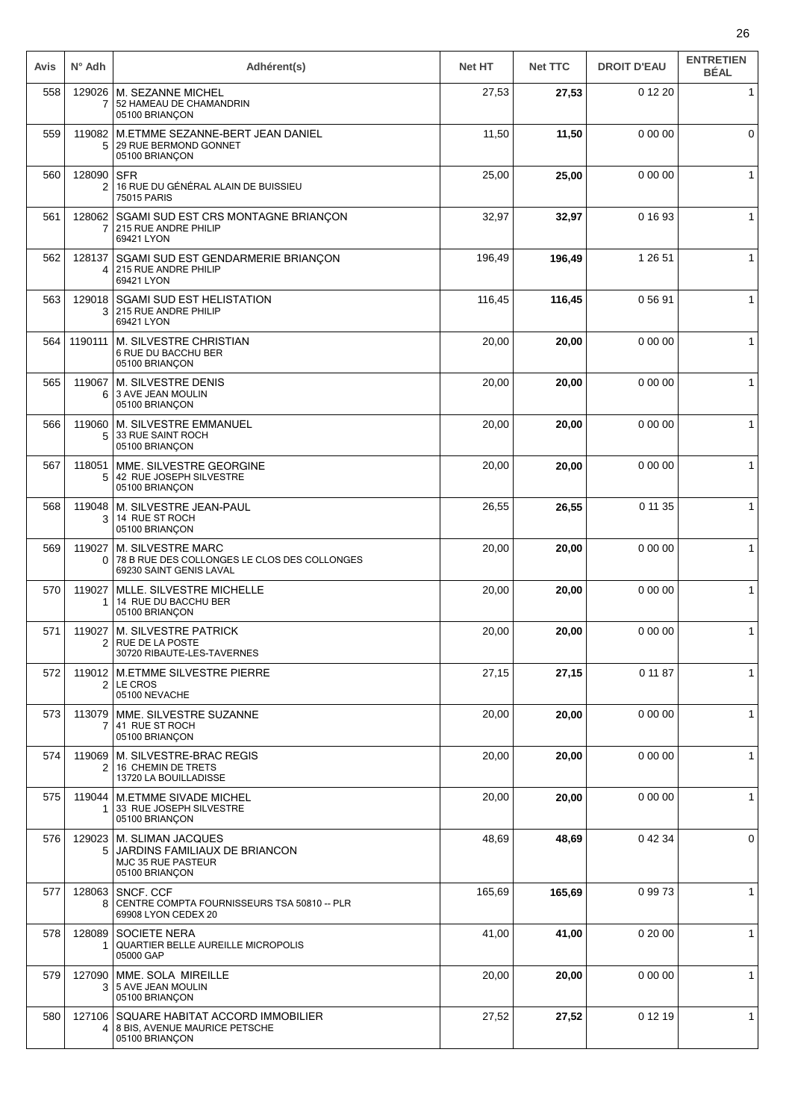| Avis | $N^{\circ}$ Adh          | Adhérent(s)                                                                                  | <b>Net HT</b> | <b>Net TTC</b> | <b>DROIT D'EAU</b> | <b>ENTRETIEN</b><br><b>BÉAL</b> |
|------|--------------------------|----------------------------------------------------------------------------------------------|---------------|----------------|--------------------|---------------------------------|
| 558  | $\overline{7}$           | 129026   M. SEZANNE MICHEL<br>52 HAMEAU DE CHAMANDRIN<br>05100 BRIANÇON                      | 27,53         | 27,53          | 0 12 20            | $\mathbf{1}$                    |
| 559  | 119082<br>5              | M.ETMME SEZANNE-BERT JEAN DANIEL<br>29 RUE BERMOND GONNET<br>05100 BRIANÇON                  | 11,50         | 11,50          | 0 00 00            | $\mathbf 0$                     |
| 560  | 128090<br>2              | <b>SFR</b><br>16 RUE DU GÉNÉRAL ALAIN DE BUISSIEU<br>75015 PARIS                             | 25,00         | 25,00          | 0 00 00            | $\mathbf{1}$                    |
| 561  | 128062<br>7              | SGAMI SUD EST CRS MONTAGNE BRIANÇON<br>215 RUE ANDRE PHILIP<br>69421 LYON                    | 32,97         | 32,97          | 0 16 93            | $\mathbf{1}$                    |
| 562  | 128137<br>4              | SGAMI SUD EST GENDARMERIE BRIANÇON<br>215 RUE ANDRE PHILIP<br>69421 LYON                     | 196,49        | 196,49         | 1 26 51            | 1                               |
| 563  | 129018<br>3              | <b>SGAMI SUD EST HELISTATION</b><br>215 RUE ANDRE PHILIP<br>69421 LYON                       | 116,45        | 116,45         | 05691              | $\mathbf{1}$                    |
| 564  | 1190111                  | M. SILVESTRE CHRISTIAN<br>6 RUE DU BACCHU BER<br>05100 BRIANÇON                              | 20,00         | 20,00          | 0 00 00            | $\mathbf{1}$                    |
| 565  | 119067<br>6.             | M. SILVESTRE DENIS<br>3 AVE JEAN MOULIN<br>05100 BRIANÇON                                    | 20,00         | 20,00          | 0 00 00            | $\mathbf{1}$                    |
| 566  | 5                        | 119060 M. SILVESTRE EMMANUEL<br>33 RUE SAINT ROCH<br>05100 BRIANÇON                          | 20,00         | 20,00          | 0 00 00            | $\mathbf{1}$                    |
| 567  | 118051<br>5              | MME. SILVESTRE GEORGINE<br>42 RUE JOSEPH SILVESTRE<br>05100 BRIANÇON                         | 20,00         | 20,00          | 0 00 00            | 1                               |
| 568  | 119048<br>3              | M. SILVESTRE JEAN-PAUL<br>14 RUE ST ROCH<br>05100 BRIANÇON                                   | 26,55         | 26,55          | 0 11 35            | $\mathbf{1}$                    |
| 569  | 119027<br>0              | M. SILVESTRE MARC<br>78 B RUE DES COLLONGES LE CLOS DES COLLONGES<br>69230 SAINT GENIS LAVAL | 20,00         | 20,00          | 0 00 00            | $\mathbf{1}$                    |
| 570  | 119027<br>1.             | MLLE. SILVESTRE MICHELLE<br>14 RUE DU BACCHU BER<br>05100 BRIANÇON                           | 20,00         | 20,00          | 0 00 00            | $\mathbf{1}$                    |
| 571  |                          | 119027 M. SILVESTRE PATRICK<br>2 RUE DE LA POSTE<br>30720 RIBAUTE-LES-TAVERNES               | 20,00         | 20,00          | 0 00 00            | $\mathbf{1}$                    |
| 572  | 2                        | 119012 M.ETMME SILVESTRE PIERRE<br>LE CROS<br>05100 NEVACHE                                  | 27,15         | 27,15          | 0 11 87            | 1                               |
| 573  | 113079<br>$\overline{7}$ | MME. SILVESTRE SUZANNE<br>41 RUE ST ROCH<br>05100 BRIANÇON                                   | 20,00         | 20,00          | 0 00 00            | $\mathbf{1}$                    |
| 574  | 119069<br>2              | M. SILVESTRE-BRAC REGIS<br>16 CHEMIN DE TRETS<br>13720 LA BOUILLADISSE                       | 20,00         | 20,00          | 0 00 00            | $\mathbf{1}$                    |
| 575  | 119044<br>1              | <b>M.ETMME SIVADE MICHEL</b><br>33 RUE JOSEPH SILVESTRE<br>05100 BRIANÇON                    | 20,00         | 20,00          | 0 00 00            | $\mathbf{1}$                    |
| 576  | 129023<br>5              | M. SLIMAN JACQUES<br>JARDINS FAMILIAUX DE BRIANCON<br>MJC 35 RUE PASTEUR<br>05100 BRIANÇON   | 48,69         | 48,69          | 0 42 34            | 0                               |
| 577  | 128063<br>8              | SNCF. CCF<br>CENTRE COMPTA FOURNISSEURS TSA 50810 -- PLR<br>69908 LYON CEDEX 20              | 165,69        | 165,69         | 09973              | $\mathbf{1}$                    |
| 578  | 128089                   | <b>SOCIETE NERA</b><br>QUARTIER BELLE AUREILLE MICROPOLIS<br>05000 GAP                       | 41,00         | 41,00          | 0 20 00            | $\mathbf{1}$                    |
| 579  | 127090<br>3              | MME. SOLA MIREILLE<br>5 AVE JEAN MOULIN<br>05100 BRIANÇON                                    | 20,00         | 20,00          | 0 00 00            | $\mathbf{1}$                    |
| 580  | 127106<br>4              | SQUARE HABITAT ACCORD IMMOBILIER<br>8 BIS, AVENUE MAURICE PETSCHE<br>05100 BRIANÇON          | 27,52         | 27,52          | 0 12 19            | 1                               |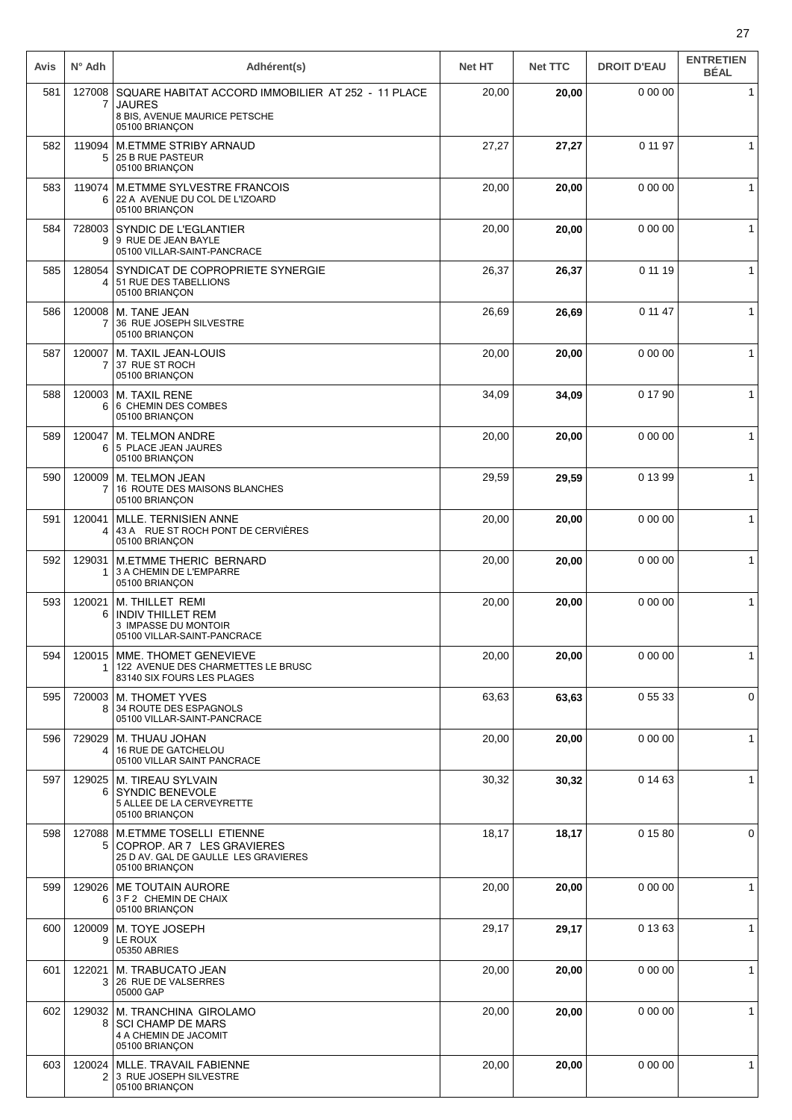| Avis | $N^{\circ}$ Adh | Adhérent(s)                                                                                                            | <b>Net HT</b> | <b>Net TTC</b> | <b>DROIT D'EAU</b> | <b>ENTRETIEN</b><br><b>BÉAL</b> |
|------|-----------------|------------------------------------------------------------------------------------------------------------------------|---------------|----------------|--------------------|---------------------------------|
| 581  | 127008<br>7     | SQUARE HABITAT ACCORD IMMOBILIER AT 252 - 11 PLACE<br><b>JAURES</b><br>8 BIS, AVENUE MAURICE PETSCHE<br>05100 BRIANÇON | 20,00         | 20,00          | 0 00 00            | $\mathbf{1}$                    |
| 582  | 119094<br>5     | <b>M.ETMME STRIBY ARNAUD</b><br>25 B RUE PASTEUR<br>05100 BRIANÇON                                                     | 27,27         | 27,27          | 0 11 97            | 1                               |
| 583  | 119074<br>6     | M.ETMME SYLVESTRE FRANCOIS<br>22 A AVENUE DU COL DE L'IZOARD<br>05100 BRIANÇON                                         | 20,00         | 20,00          | 0 00 00            | $\mathbf{1}$                    |
| 584  | 728003<br>9     | SYNDIC DE L'EGLANTIER<br>9 RUE DE JEAN BAYLE<br>05100 VILLAR-SAINT-PANCRACE                                            | 20,00         | 20,00          | 0 00 00            | $\mathbf{1}$                    |
| 585  | 128054<br>4     | SYNDICAT DE COPROPRIETE SYNERGIE<br>51 RUE DES TABELLIONS<br>05100 BRIANÇON                                            | 26,37         | 26,37          | 0 11 19            | $\mathbf{1}$                    |
| 586  | 120008<br>7     | M. TANE JEAN<br>36 RUE JOSEPH SILVESTRE<br>05100 BRIANÇON                                                              | 26,69         | 26,69          | 0 11 47            | 1                               |
| 587  | 120007<br>7     | M. TAXIL JEAN-LOUIS<br>37 RUE ST ROCH<br>05100 BRIANÇON                                                                | 20,00         | 20,00          | 0 00 00            | $\mathbf{1}$                    |
| 588  | 120003<br>6     | <b>M. TAXIL RENE</b><br>6 CHEMIN DES COMBES<br>05100 BRIANCON                                                          | 34,09         | 34,09          | 0 17 90            | $\mathbf{1}$                    |
| 589  | 120047<br>6     | M. TELMON ANDRE<br>5 PLACE JEAN JAURES<br>05100 BRIANÇON                                                               | 20,00         | 20,00          | 0 00 00            | $\mathbf{1}$                    |
| 590  | 120009<br>7     | M. TELMON JEAN<br>16 ROUTE DES MAISONS BLANCHES<br>05100 BRIANÇON                                                      | 29,59         | 29,59          | 0 13 99            | $\mathbf{1}$                    |
| 591  | 120041<br>4     | <b>MLLE. TERNISIEN ANNE</b><br>43 A RUE ST ROCH PONT DE CERVIÈRES<br>05100 BRIANÇON                                    | 20,00         | 20,00          | 0 00 00            | 1                               |
| 592  | 129031<br>1     | <b>M.ETMME THERIC BERNARD</b><br>3 A CHEMIN DE L'EMPARRE<br>05100 BRIANÇON                                             | 20,00         | 20,00          | 0 00 00            | 1                               |
| 593  | 120021<br>6     | M. THILLET REMI<br><b>INDIV THILLET REM</b><br>3 IMPASSE DU MONTOIR<br>05100 VILLAR-SAINT-PANCRACE                     | 20,00         | 20,00          | 0 00 00            | $\mathbf{1}$                    |
| 594  | 1               | 120015   MME. THOMET GENEVIEVE<br>122 AVENUE DES CHARMETTES LE BRUSC<br>83140 SIX FOURS LES PLAGES                     | 20,00         | 20,00          | 0 00 00            | $\mathbf{1}$                    |
| 595  | 720003<br>8     | M. THOMET YVES<br>34 ROUTE DES ESPAGNOLS<br>05100 VILLAR-SAINT-PANCRACE                                                | 63,63         | 63,63          | 05533              | 0                               |
| 596  | 729029<br>4     | M. THUAU JOHAN<br>16 RUE DE GATCHELOU<br>05100 VILLAR SAINT PANCRACE                                                   | 20,00         | 20,00          | 0 00 00            | $\mathbf{1}$                    |
| 597  | 6               | 129025   M. TIREAU SYLVAIN<br><b>SYNDIC BENEVOLE</b><br>5 ALLEE DE LA CERVEYRETTE<br>05100 BRIANCON                    | 30,32         | 30,32          | 0 14 63            | $\mathbf{1}$                    |
| 598  | 127088<br>5     | <b>M.ETMME TOSELLI ETIENNE</b><br>COPROP. AR 7 LES GRAVIERES<br>25 D AV. GAL DE GAULLE LES GRAVIERES<br>05100 BRIANÇON | 18,17         | 18,17          | 0 15 80            | 0                               |
| 599  | 129026<br>6     | <b>ME TOUTAIN AURORE</b><br>3 F 2 CHEMIN DE CHAIX<br>05100 BRIANÇON                                                    | 20,00         | 20,00          | 0 00 00            | $\mathbf{1}$                    |
| 600  | 120009<br>9     | M. TOYE JOSEPH<br>LE ROUX<br>05350 ABRIES                                                                              | 29,17         | 29,17          | 0 13 63            | $\mathbf{1}$                    |
| 601  | 122021<br>3     | M. TRABUCATO JEAN<br>26 RUE DE VALSERRES<br>05000 GAP                                                                  | 20,00         | 20,00          | 0 00 00            | $\mathbf{1}$                    |
| 602  | 129032<br>8     | M. TRANCHINA GIROLAMO<br><b>SCI CHAMP DE MARS</b><br>4 A CHEMIN DE JACOMIT<br>05100 BRIANÇON                           | 20,00         | 20,00          | 0 00 00            | $\mathbf{1}$                    |
| 603  | 120024<br>2     | MLLE. TRAVAIL FABIENNE<br>3 RUE JOSEPH SILVESTRE<br>05100 BRIANÇON                                                     | 20,00         | 20,00          | 0 00 00            | $\mathbf{1}$                    |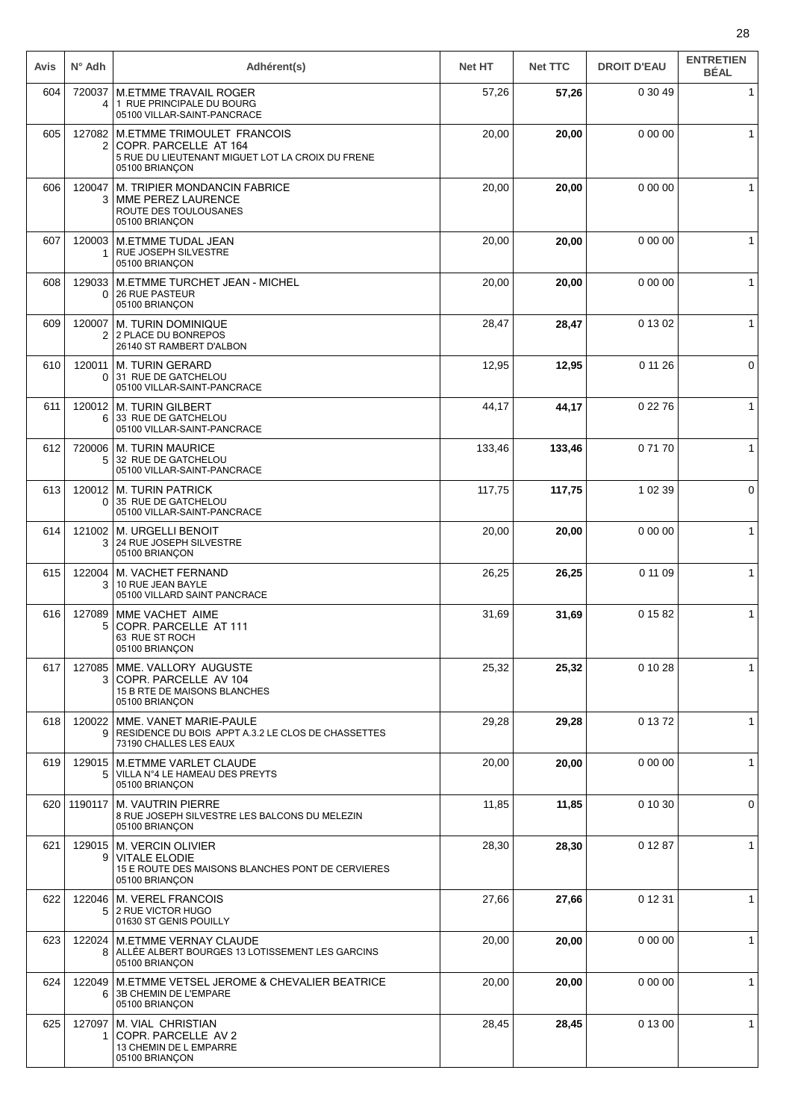| Avis | $N^{\circ}$ Adh    | Adhérent(s)                                                                                                               | <b>Net HT</b> | <b>Net TTC</b> | <b>DROIT D'EAU</b> | <b>ENTRETIEN</b><br><b>BÉAL</b> |
|------|--------------------|---------------------------------------------------------------------------------------------------------------------------|---------------|----------------|--------------------|---------------------------------|
| 604  | 720037<br>4        | <b>M.ETMME TRAVAIL ROGER</b><br>1 RUE PRINCIPALE DU BOURG<br>05100 VILLAR-SAINT-PANCRACE                                  | 57,26         | 57,26          | 0 30 49            | 1                               |
| 605  | 127082<br>2        | M.ETMME TRIMOULET FRANCOIS<br>COPR. PARCELLE AT 164<br>5 RUE DU LIEUTENANT MIGUET LOT LA CROIX DU FRENE<br>05100 BRIANÇON | 20,00         | 20,00          | 0 00 00            | $\mathbf{1}$                    |
| 606  | 120047<br>3        | M. TRIPIER MONDANCIN FABRICE<br>MME PEREZ LAURENCE<br>ROUTE DES TOULOUSANES<br>05100 BRIANÇON                             | 20,00         | 20,00          | 0 00 00            |                                 |
| 607  | 120003             | <b>M.ETMME TUDAL JEAN</b><br>RUE JOSEPH SILVESTRE<br>05100 BRIANÇON                                                       | 20,00         | 20,00          | 0 00 00            | 1                               |
| 608  | 129033<br>0        | M.ETMME TURCHET JEAN - MICHEL<br><b>26 RUE PASTEUR</b><br>05100 BRIANÇON                                                  | 20,00         | 20,00          | 0 00 00            | 1                               |
| 609  | 120007             | <b>M. TURIN DOMINIQUE</b><br>2 2 PLACE DU BONREPOS<br>26140 ST RAMBERT D'ALBON                                            | 28,47         | 28,47          | 0 13 02            | $\mathbf{1}$                    |
| 610  | 120011<br>0        | <b>M. TURIN GERARD</b><br>31 RUE DE GATCHELOU<br>05100 VILLAR-SAINT-PANCRACE                                              | 12,95         | 12,95          | 0 11 26            | 0                               |
| 611  | 6                  | 120012   M. TURIN GILBERT<br>33 RUE DE GATCHELOU<br>05100 VILLAR-SAINT-PANCRACE                                           | 44,17         | 44,17          | 0 22 76            | $\mathbf{1}$                    |
| 612  | 5                  | 720006   M. TURIN MAURICE<br>32 RUE DE GATCHELOU<br>05100 VILLAR-SAINT-PANCRACE                                           | 133,46        | 133,46         | 07170              | 1                               |
| 613  | 120012<br>$\Omega$ | <b>M. TURIN PATRICK</b><br>35 RUE DE GATCHELOU<br>05100 VILLAR-SAINT-PANCRACE                                             | 117,75        | 117,75         | 1 02 39            | 0                               |
| 614  | 121002<br>3        | <b>M. URGELLI BENOIT</b><br>24 RUE JOSEPH SILVESTRE<br>05100 BRIANÇON                                                     | 20,00         | 20,00          | 0 00 00            | $\mathbf{1}$                    |
| 615  | 122004<br>3        | M. VACHET FERNAND<br>10 RUE JEAN BAYLE<br>05100 VILLARD SAINT PANCRACE                                                    | 26,25         | 26,25          | 0 11 09            | $\mathbf{1}$                    |
| 616  | 127089<br>5        | MME VACHET AIME<br>COPR. PARCELLE AT 111<br>63 RUE ST ROCH<br>05100 BRIANÇON                                              | 31,69         | 31,69          | 0 15 82            | $\mathbf{1}$                    |
| 617  | 127085<br>3        | MME. VALLORY AUGUSTE<br>COPR. PARCELLE AV 104<br>15 B RTE DE MAISONS BLANCHES<br>05100 BRIANCON                           | 25,32         | 25,32          | 0 10 28            | $\mathbf{1}$                    |
| 618  | 120022<br>9        | MME. VANET MARIE-PAULE<br>RESIDENCE DU BOIS APPT A.3.2 LE CLOS DE CHASSETTES<br>73190 CHALLES LES EAUX                    | 29,28         | 29,28          | 0 13 72            | 1                               |
| 619  | 5                  | 129015   M.ETMME VARLET CLAUDE<br>VILLA Nº4 LE HAMEAU DES PREYTS<br>05100 BRIANÇON                                        | 20,00         | 20,00          | 0 00 00            | $\mathbf{1}$                    |
| 620  | 1190117            | M. VAUTRIN PIERRE<br>8 RUE JOSEPH SILVESTRE LES BALCONS DU MELEZIN<br>05100 BRIANÇON                                      | 11,85         | 11,85          | 0 10 30            | 0                               |
| 621  | 9                  | 129015   M. VERCIN OLIVIER<br><b>VITALE ELODIE</b><br>15 E ROUTE DES MAISONS BLANCHES PONT DE CERVIERES<br>05100 BRIANÇON | 28,30         | 28,30          | 0 12 87            | $\mathbf{1}$                    |
| 622  | 122046<br>5        | <b>M. VEREL FRANCOIS</b><br>2 RUE VICTOR HUGO<br>01630 ST GENIS POUILLY                                                   | 27,66         | 27,66          | 0 12 31            | $\mathbf{1}$                    |
| 623  | 122024             | <b>M.ETMME VERNAY CLAUDE</b><br>8 ALLÉE ALBERT BOURGES 13 LOTISSEMENT LES GARCINS<br>05100 BRIANÇON                       | 20,00         | 20,00          | 0 00 00            | $\mathbf{1}$                    |
| 624  | 122049<br>6        | M.ETMME VETSEL JEROME & CHEVALIER BEATRICE<br>3B CHEMIN DE L'EMPARE<br>05100 BRIANÇON                                     | 20,00         | 20,00          | 0 00 00            | $\mathbf{1}$                    |
| 625  | 127097<br>1        | M. VIAL CHRISTIAN<br>COPR. PARCELLE AV 2<br>13 CHEMIN DE L EMPARRE<br>05100 BRIANÇON                                      | 28,45         | 28,45          | 0 13 00            | 1                               |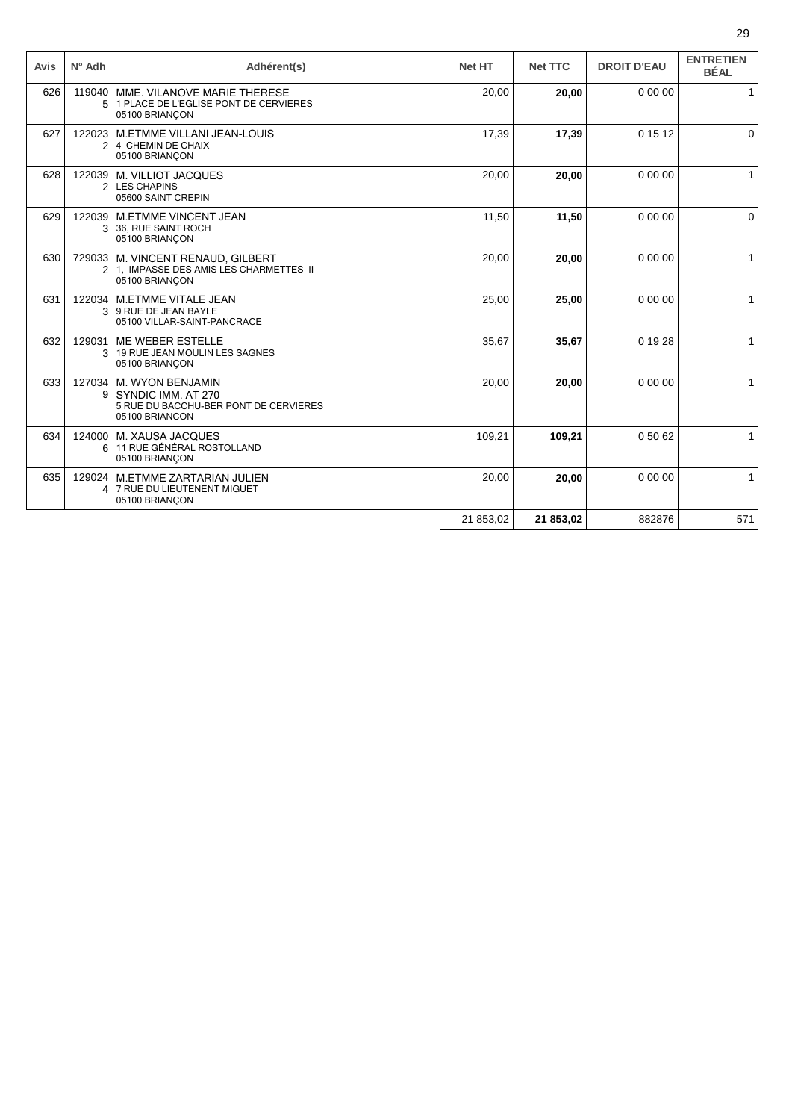| Avis | $N^{\circ}$ Adh | Adhérent(s)                                                                                       | <b>Net HT</b> | <b>Net TTC</b> | <b>DROIT D'EAU</b> | <b>ENTRETIEN</b><br><b>BÉAL</b> |
|------|-----------------|---------------------------------------------------------------------------------------------------|---------------|----------------|--------------------|---------------------------------|
| 626  | 119040<br>5     | MME. VILANOVE MARIE THERESE<br>1 PLACE DE L'EGLISE PONT DE CERVIERES<br>05100 BRIANÇON            | 20,00         | 20,00          | 0 00 00            | $\mathbf{1}$                    |
| 627  | 122023<br>2     | M.ETMME VILLANI JEAN-LOUIS<br>4 CHEMIN DE CHAIX<br>05100 BRIANÇON                                 | 17,39         | 17,39          | 0 15 12            | $\Omega$                        |
| 628  | 122039<br>2     | M. VILLIOT JACQUES<br><b>LES CHAPINS</b><br>05600 SAINT CREPIN                                    | 20,00         | 20,00          | 0 00 00            | $\mathbf{1}$                    |
| 629  | 122039<br>3     | <b>M.ETMME VINCENT JEAN</b><br>36. RUE SAINT ROCH<br>05100 BRIANÇON                               | 11,50         | 11,50          | 0 00 00            | $\Omega$                        |
| 630  | 2               | 729033 M. VINCENT RENAUD, GILBERT<br>1, IMPASSE DES AMIS LES CHARMETTES II<br>05100 BRIANCON      | 20,00         | 20,00          | 0 00 00            | $\mathbf{1}$                    |
| 631  | 122034<br>3     | M.ETMME VITALE JEAN<br>9 RUE DE JEAN BAYLE<br>05100 VILLAR-SAINT-PANCRACE                         | 25,00         | 25,00          | 0 00 00            |                                 |
| 632  | 129031<br>3     | ME WEBER ESTELLE<br>19 RUE JEAN MOULIN LES SAGNES<br>05100 BRIANÇON                               | 35,67         | 35,67          | 0 19 28            | $\mathbf{1}$                    |
| 633  | 127034<br>9     | M. WYON BENJAMIN<br>SYNDIC IMM, AT 270<br>5 RUE DU BACCHU-BER PONT DE CERVIERES<br>05100 BRIANCON | 20,00         | 20,00          | 0 00 00            | 1                               |
| 634  | 124000<br>6     | M. XAUSA JACQUES<br>11 RUE GÉNÉRAL ROSTOLLAND<br>05100 BRIANÇON                                   | 109,21        | 109,21         | 0 50 62            | $\mathbf{1}$                    |
| 635  | 129024<br>4     | <b>M.ETMME ZARTARIAN JULIEN</b><br>7 RUE DU LIEUTENENT MIGUET<br>05100 BRIANÇON                   | 20,00         | 20,00          | 0 00 00            | 1                               |
|      |                 |                                                                                                   | 21 853,02     | 21 853,02      | 882876             | 571                             |